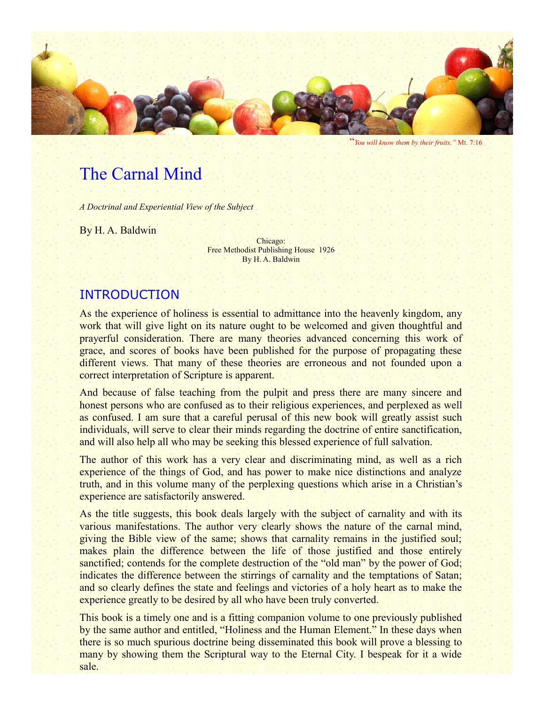

"*You will know them by their fruits."* Mt. 7:16

## The Carnal Mind

*A Doctrinal and Experiential View of the Subject*

By H. A. Baldwin

Chicago: Free Methodist Publishing House 1926 By H. A. Baldwin

### INTRODUCTION

As the experience of holiness is essential to admittance into the heavenly kingdom, any work that will give light on its nature ought to be welcomed and given thoughtful and prayerful consideration. There are many theories advanced concerning this work of grace, and scores of books have been published for the purpose of propagating these different views. That many of these theories are erroneous and not founded upon a correct interpretation of Scripture is apparent.

And because of false teaching from the pulpit and press there are many sincere and honest persons who are confused as to their religious experiences, and perplexed as well as confused. I am sure that a careful perusal of this new book will greatly assist such individuals, will serve to clear their minds regarding the doctrine of entire sanctification, and will also help all who may be seeking this blessed experience of full salvation.

The author of this work has a very clear and discriminating mind, as well as a rich experience of the things of God, and has power to make nice distinctions and analyze truth, and in this volume many of the perplexing questions which arise in a Christian's experience are satisfactorily answered.

As the title suggests, this book deals largely with the subject of carnality and with its various manifestations. The author very clearly shows the nature of the carnal mind, giving the Bible view of the same; shows that carnality remains in the justified soul; makes plain the difference between the life of those justified and those entirely sanctified; contends for the complete destruction of the "old man" by the power of God; indicates the difference between the stirrings of carnality and the temptations of Satan; and so clearly defines the state and feelings and victories of a holy heart as to make the experience greatly to be desired by all who have been truly converted.

This book is a timely one and is a fitting companion volume to one previously published by the same author and entitled, "Holiness and the Human Element." In these days when there is so much spurious doctrine being disseminated this book will prove a blessing to many by showing them the Scriptural way to the Eternal City. I bespeak for it a wide sale.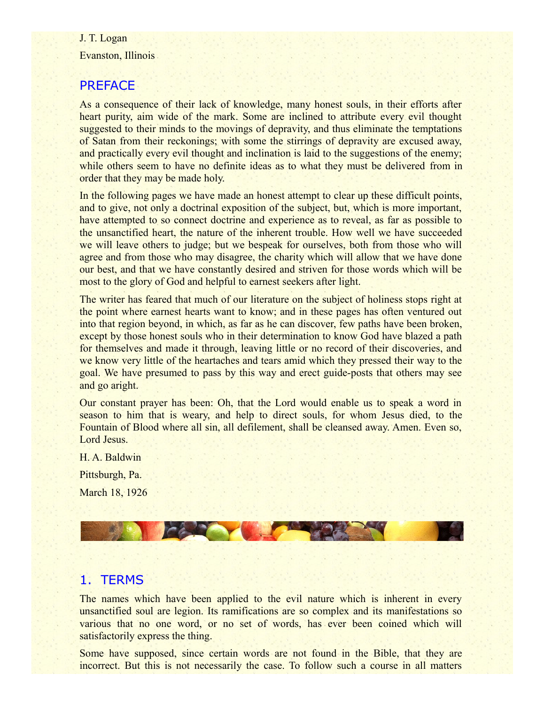# J. T. Logan

Evanston, Illinois

### PREFACE

As a consequence of their lack of knowledge, many honest souls, in their efforts after heart purity, aim wide of the mark. Some are inclined to attribute every evil thought suggested to their minds to the movings of depravity, and thus eliminate the temptations of Satan from their reckonings; with some the stirrings of depravity are excused away, and practically every evil thought and inclination is laid to the suggestions of the enemy; while others seem to have no definite ideas as to what they must be delivered from in order that they may be made holy.

In the following pages we have made an honest attempt to clear up these difficult points, and to give, not only a doctrinal exposition of the subject, but, which is more important, have attempted to so connect doctrine and experience as to reveal, as far as possible to the unsanctified heart, the nature of the inherent trouble. How well we have succeeded we will leave others to judge; but we bespeak for ourselves, both from those who will agree and from those who may disagree, the charity which will allow that we have done our best, and that we have constantly desired and striven for those words which will be most to the glory of God and helpful to earnest seekers after light.

The writer has feared that much of our literature on the subject of holiness stops right at the point where earnest hearts want to know; and in these pages has often ventured out into that region beyond, in which, as far as he can discover, few paths have been broken, except by those honest souls who in their determination to know God have blazed a path for themselves and made it through, leaving little or no record of their discoveries, and we know very little of the heartaches and tears amid which they pressed their way to the goal. We have presumed to pass by this way and erect guide-posts that others may see and go aright.

Our constant prayer has been: Oh, that the Lord would enable us to speak a word in season to him that is weary, and help to direct souls, for whom Jesus died, to the Fountain of Blood where all sin, all defilement, shall be cleansed away. Amen. Even so, Lord Jesus.

H. A. Baldwin Pittsburgh, Pa. March 18, 1926



### 1. TERMS

The names which have been applied to the evil nature which is inherent in every unsanctified soul are legion. Its ramifications are so complex and its manifestations so various that no one word, or no set of words, has ever been coined which will satisfactorily express the thing.

Some have supposed, since certain words are not found in the Bible, that they are incorrect. But this is not necessarily the case. To follow such a course in all matters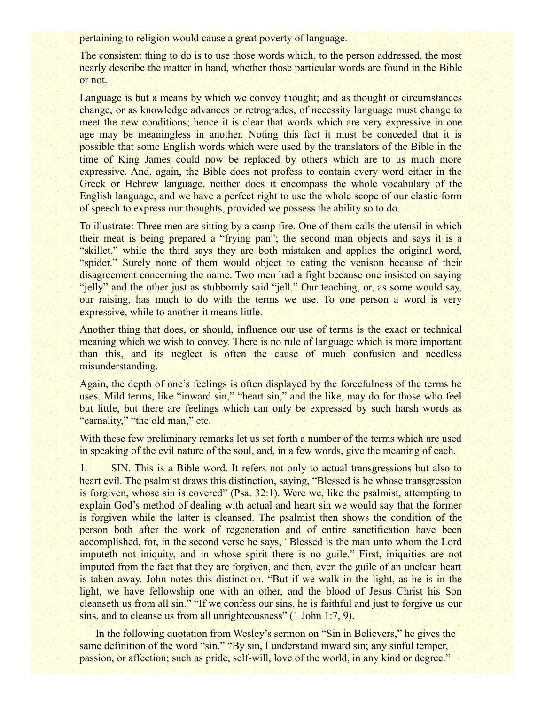pertaining to religion would cause a great poverty of language.

The consistent thing to do is to use those words which, to the person addressed, the most nearly describe the matter in hand, whether those particular words are found in the Bible or not.

Language is but a means by which we convey thought; and as thought or circumstances change, or as knowledge advances or retrogrades, of necessity language must change to meet the new conditions; hence it is clear that words which are very expressive in one age may be meaningless in another. Noting this fact it must be conceded that it is possible that some English words which were used by the translators of the Bible in the time of King James could now be replaced by others which are to us much more expressive. And, again, the Bible does not profess to contain every word either in the Greek or Hebrew language, neither does it encompass the whole vocabulary of the English language, and we have a perfect right to use the whole scope of our elastic form of speech to express our thoughts, provided we possess the ability so to do.

To illustrate: Three men are sitting by a camp fire. One of them calls the utensil in which their meat is being prepared a "frying pan"; the second man objects and says it is a "skillet," while the third says they are both mistaken and applies the original word, "spider." Surely none of them would object to eating the venison because of their disagreement concerning the name. Two men had a fight because one insisted on saying "jelly" and the other just as stubbornly said "jell." Our teaching, or, as some would say, our raising, has much to do with the terms we use. To one person a word is very expressive, while to another it means little.

Another thing that does, or should, influence our use of terms is the exact or technical meaning which we wish to convey. There is no rule of language which is more important than this, and its neglect is often the cause of much confusion and needless misunderstanding.

Again, the depth of one's feelings is often displayed by the forcefulness of the terms he uses. Mild terms, like "inward sin," "heart sin," and the like, may do for those who feel but little, but there are feelings which can only be expressed by such harsh words as "carnality," "the old man," etc.

With these few preliminary remarks let us set forth a number of the terms which are used in speaking of the evil nature of the soul, and, in a few words, give the meaning of each.

1. SIN. This is a Bible word. It refers not only to actual transgressions but also to heart evil. The psalmist draws this distinction, saying, "Blessed is he whose transgression is forgiven, whose sin is covered" (Psa. 32:1). Were we, like the psalmist, attempting to explain God's method of dealing with actual and heart sin we would say that the former is forgiven while the latter is cleansed. The psalmist then shows the condition of the person both after the work of regeneration and of entire sanctification have been accomplished, for, in the second verse he says, "Blessed is the man unto whom the Lord imputeth not iniquity, and in whose spirit there is no guile." First, iniquities are not imputed from the fact that they are forgiven, and then, even the guile of an unclean heart is taken away. John notes this distinction. "But if we walk in the light, as he is in the light, we have fellowship one with an other, and the blood of Jesus Christ his Son cleanseth us from all sin." "If we confess our sins, he is faithful and just to forgive us our sins, and to cleanse us from all unrighteousness" (1 John 1:7, 9).

 In the following quotation from Wesley's sermon on "Sin in Believers," he gives the same definition of the word "sin." "By sin, I understand inward sin; any sinful temper, passion, or affection; such as pride, self-will, love of the world, in any kind or degree."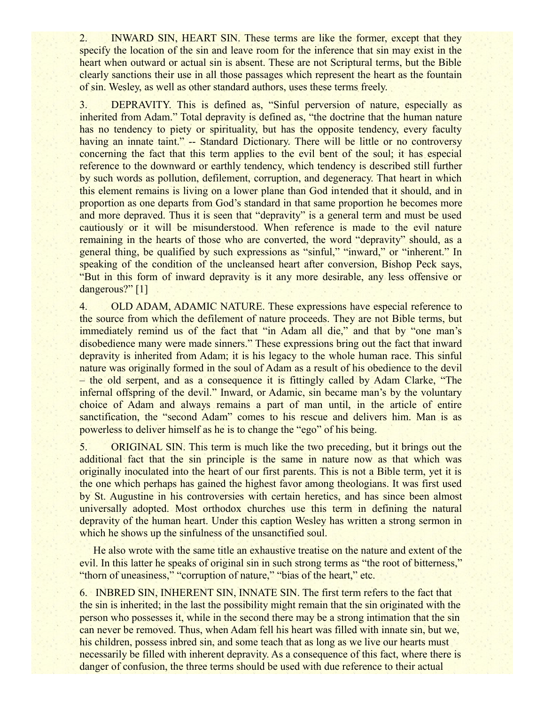2. INWARD SIN, HEART SIN. These terms are like the former, except that they specify the location of the sin and leave room for the inference that sin may exist in the heart when outward or actual sin is absent. These are not Scriptural terms, but the Bible clearly sanctions their use in all those passages which represent the heart as the fountain of sin. Wesley, as well as other standard authors, uses these terms freely.

3. DEPRAVITY. This is defined as, "Sinful perversion of nature, especially as inherited from Adam." Total depravity is defined as, "the doctrine that the human nature has no tendency to piety or spirituality, but has the opposite tendency, every faculty having an innate taint." -- Standard Dictionary. There will be little or no controversy concerning the fact that this term applies to the evil bent of the soul; it has especial reference to the downward or earthly tendency, which tendency is described still further by such words as pollution, defilement, corruption, and degeneracy. That heart in which this element remains is living on a lower plane than God intended that it should, and in proportion as one departs from God's standard in that same proportion he becomes more and more depraved. Thus it is seen that "depravity" is a general term and must be used cautiously or it will be misunderstood. When reference is made to the evil nature remaining in the hearts of those who are converted, the word "depravity" should, as a general thing, be qualified by such expressions as "sinful," "inward," or "inherent." In speaking of the condition of the uncleansed heart after conversion, Bishop Peck says, "But in this form of inward depravity is it any more desirable, any less offensive or dangerous?" [1]

4. OLD ADAM, ADAMIC NATURE. These expressions have especial reference to the source from which the defilement of nature proceeds. They are not Bible terms, but immediately remind us of the fact that "in Adam all die," and that by "one man's disobedience many were made sinners." These expressions bring out the fact that inward depravity is inherited from Adam; it is his legacy to the whole human race. This sinful nature was originally formed in the soul of Adam as a result of his obedience to the devil – the old serpent, and as a consequence it is fittingly called by Adam Clarke, "The infernal offspring of the devil." Inward, or Adamic, sin became man's by the voluntary choice of Adam and always remains a part of man until, in the article of entire sanctification, the "second Adam" comes to his rescue and delivers him. Man is as powerless to deliver himself as he is to change the "ego" of his being.

5. ORIGINAL SIN. This term is much like the two preceding, but it brings out the additional fact that the sin principle is the same in nature now as that which was originally inoculated into the heart of our first parents. This is not a Bible term, yet it is the one which perhaps has gained the highest favor among theologians. It was first used by St. Augustine in his controversies with certain heretics, and has since been almost universally adopted. Most orthodox churches use this term in defining the natural depravity of the human heart. Under this caption Wesley has written a strong sermon in which he shows up the sinfulness of the unsanctified soul.

 He also wrote with the same title an exhaustive treatise on the nature and extent of the evil. In this latter he speaks of original sin in such strong terms as "the root of bitterness," "thorn of uneasiness," "corruption of nature," "bias of the heart," etc.

6. INBRED SIN, INHERENT SIN, INNATE SIN. The first term refers to the fact that the sin is inherited; in the last the possibility might remain that the sin originated with the person who possesses it, while in the second there may be a strong intimation that the sin can never be removed. Thus, when Adam fell his heart was filled with innate sin, but we, his children, possess inbred sin, and some teach that as long as we live our hearts must necessarily be filled with inherent depravity. As a consequence of this fact, where there is danger of confusion, the three terms should be used with due reference to their actual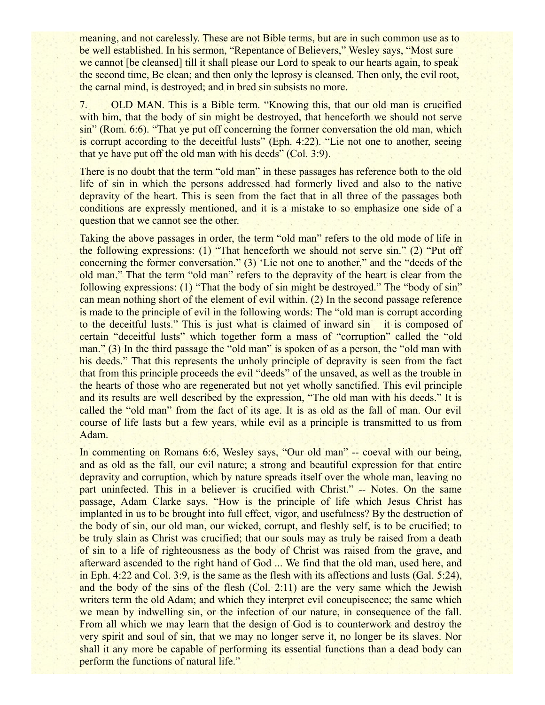meaning, and not carelessly. These are not Bible terms, but are in such common use as to be well established. In his sermon, "Repentance of Believers," Wesley says, "Most sure we cannot [be cleansed] till it shall please our Lord to speak to our hearts again, to speak the second time, Be clean; and then only the leprosy is cleansed. Then only, the evil root, the carnal mind, is destroyed; and in bred sin subsists no more.

7. OLD MAN. This is a Bible term. "Knowing this, that our old man is crucified with him, that the body of sin might be destroyed, that henceforth we should not serve sin" (Rom. 6:6). "That ye put off concerning the former conversation the old man, which is corrupt according to the deceitful lusts" (Eph. 4:22). "Lie not one to another, seeing that ye have put off the old man with his deeds" (Col. 3:9).

There is no doubt that the term "old man" in these passages has reference both to the old life of sin in which the persons addressed had formerly lived and also to the native depravity of the heart. This is seen from the fact that in all three of the passages both conditions are expressly mentioned, and it is a mistake to so emphasize one side of a question that we cannot see the other.

Taking the above passages in order, the term "old man" refers to the old mode of life in the following expressions: (1) "That henceforth we should not serve sin." (2) "Put off concerning the former conversation." (3) 'Lie not one to another," and the "deeds of the old man." That the term "old man" refers to the depravity of the heart is clear from the following expressions: (1) "That the body of sin might be destroyed." The "body of sin" can mean nothing short of the element of evil within. (2) In the second passage reference is made to the principle of evil in the following words: The "old man is corrupt according to the deceitful lusts." This is just what is claimed of inward sin – it is composed of certain "deceitful lusts" which together form a mass of "corruption" called the "old man." (3) In the third passage the "old man" is spoken of as a person, the "old man with his deeds." That this represents the unholy principle of depravity is seen from the fact that from this principle proceeds the evil "deeds" of the unsaved, as well as the trouble in the hearts of those who are regenerated but not yet wholly sanctified. This evil principle and its results are well described by the expression, "The old man with his deeds." It is called the "old man" from the fact of its age. It is as old as the fall of man. Our evil course of life lasts but a few years, while evil as a principle is transmitted to us from Adam.

In commenting on Romans 6:6, Wesley says, "Our old man" -- coeval with our being, and as old as the fall, our evil nature; a strong and beautiful expression for that entire depravity and corruption, which by nature spreads itself over the whole man, leaving no part uninfected. This in a believer is crucified with Christ." -- Notes. On the same passage, Adam Clarke says, "How is the principle of life which Jesus Christ has implanted in us to be brought into full effect, vigor, and usefulness? By the destruction of the body of sin, our old man, our wicked, corrupt, and fleshly self, is to be crucified; to be truly slain as Christ was crucified; that our souls may as truly be raised from a death of sin to a life of righteousness as the body of Christ was raised from the grave, and afterward ascended to the right hand of God ... We find that the old man, used here, and in Eph. 4:22 and Col. 3:9, is the same as the flesh with its affections and lusts (Gal. 5:24), and the body of the sins of the flesh (Col. 2:11) are the very same which the Jewish writers term the old Adam; and which they interpret evil concupiscence; the same which we mean by indwelling sin, or the infection of our nature, in consequence of the fall. From all which we may learn that the design of God is to counterwork and destroy the very spirit and soul of sin, that we may no longer serve it, no longer be its slaves. Nor shall it any more be capable of performing its essential functions than a dead body can perform the functions of natural life."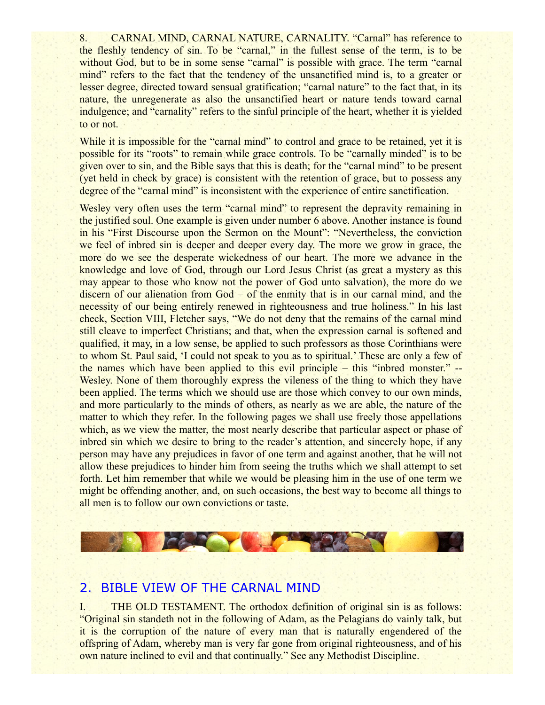8. CARNAL MIND, CARNAL NATURE, CARNALITY. "Carnal" has reference to the fleshly tendency of sin. To be "carnal," in the fullest sense of the term, is to be without God, but to be in some sense "carnal" is possible with grace. The term "carnal" mind" refers to the fact that the tendency of the unsanctified mind is, to a greater or lesser degree, directed toward sensual gratification; "carnal nature" to the fact that, in its nature, the unregenerate as also the unsanctified heart or nature tends toward carnal indulgence; and "carnality" refers to the sinful principle of the heart, whether it is yielded to or not.

While it is impossible for the "carnal mind" to control and grace to be retained, yet it is possible for its "roots" to remain while grace controls. To be "carnally minded" is to be given over to sin, and the Bible says that this is death; for the "carnal mind" to be present (yet held in check by grace) is consistent with the retention of grace, but to possess any degree of the "carnal mind" is inconsistent with the experience of entire sanctification.

Wesley very often uses the term "carnal mind" to represent the depravity remaining in the justified soul. One example is given under number 6 above. Another instance is found in his "First Discourse upon the Sermon on the Mount": "Nevertheless, the conviction we feel of inbred sin is deeper and deeper every day. The more we grow in grace, the more do we see the desperate wickedness of our heart. The more we advance in the knowledge and love of God, through our Lord Jesus Christ (as great a mystery as this may appear to those who know not the power of God unto salvation), the more do we discern of our alienation from God – of the enmity that is in our carnal mind, and the necessity of our being entirely renewed in righteousness and true holiness." In his last check, Section VIII, Fletcher says, "We do not deny that the remains of the carnal mind still cleave to imperfect Christians; and that, when the expression carnal is softened and qualified, it may, in a low sense, be applied to such professors as those Corinthians were to whom St. Paul said, 'I could not speak to you as to spiritual.' These are only a few of the names which have been applied to this evil principle – this "inbred monster." -- Wesley. None of them thoroughly express the vileness of the thing to which they have been applied. The terms which we should use are those which convey to our own minds, and more particularly to the minds of others, as nearly as we are able, the nature of the matter to which they refer. In the following pages we shall use freely those appellations which, as we view the matter, the most nearly describe that particular aspect or phase of inbred sin which we desire to bring to the reader's attention, and sincerely hope, if any person may have any prejudices in favor of one term and against another, that he will not allow these prejudices to hinder him from seeing the truths which we shall attempt to set forth. Let him remember that while we would be pleasing him in the use of one term we might be offending another, and, on such occasions, the best way to become all things to all men is to follow our own convictions or taste.

# **CAR AVER**

### 2. BIBLE VIEW OF THE CARNAL MIND

I. THE OLD TESTAMENT. The orthodox definition of original sin is as follows: "Original sin standeth not in the following of Adam, as the Pelagians do vainly talk, but it is the corruption of the nature of every man that is naturally engendered of the offspring of Adam, whereby man is very far gone from original righteousness, and of his own nature inclined to evil and that continually." See any Methodist Discipline.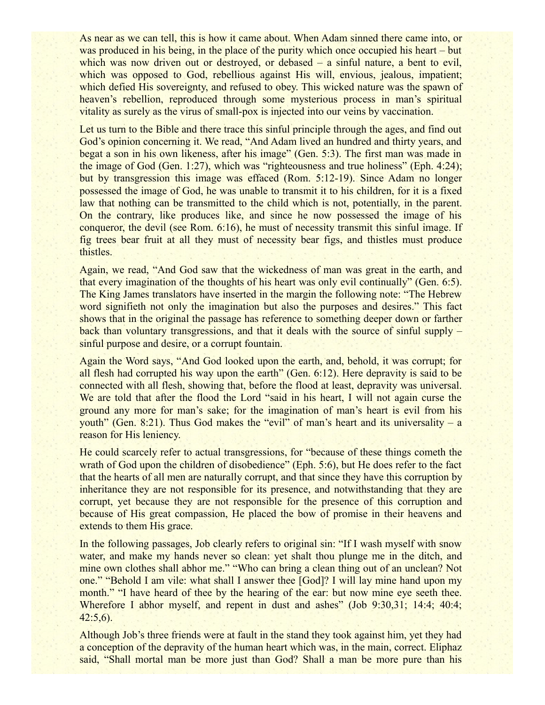As near as we can tell, this is how it came about. When Adam sinned there came into, or was produced in his being, in the place of the purity which once occupied his heart – but which was now driven out or destroyed, or debased – a sinful nature, a bent to evil, which was opposed to God, rebellious against His will, envious, jealous, impatient; which defied His sovereignty, and refused to obey. This wicked nature was the spawn of heaven's rebellion, reproduced through some mysterious process in man's spiritual vitality as surely as the virus of small-pox is injected into our veins by vaccination.

Let us turn to the Bible and there trace this sinful principle through the ages, and find out God's opinion concerning it. We read, "And Adam lived an hundred and thirty years, and begat a son in his own likeness, after his image" (Gen. 5:3). The first man was made in the image of God (Gen. 1:27), which was "righteousness and true holiness" (Eph. 4:24); but by transgression this image was effaced (Rom. 5:12-19). Since Adam no longer possessed the image of God, he was unable to transmit it to his children, for it is a fixed law that nothing can be transmitted to the child which is not, potentially, in the parent. On the contrary, like produces like, and since he now possessed the image of his conqueror, the devil (see Rom. 6:16), he must of necessity transmit this sinful image. If fig trees bear fruit at all they must of necessity bear figs, and thistles must produce thistles.

Again, we read, "And God saw that the wickedness of man was great in the earth, and that every imagination of the thoughts of his heart was only evil continually" (Gen. 6:5). The King James translators have inserted in the margin the following note: "The Hebrew word signifieth not only the imagination but also the purposes and desires." This fact shows that in the original the passage has reference to something deeper down or farther back than voluntary transgressions, and that it deals with the source of sinful supply – sinful purpose and desire, or a corrupt fountain.

Again the Word says, "And God looked upon the earth, and, behold, it was corrupt; for all flesh had corrupted his way upon the earth" (Gen. 6:12). Here depravity is said to be connected with all flesh, showing that, before the flood at least, depravity was universal. We are told that after the flood the Lord "said in his heart, I will not again curse the ground any more for man's sake; for the imagination of man's heart is evil from his youth" (Gen. 8:21). Thus God makes the "evil" of man's heart and its universality – a reason for His leniency.

He could scarcely refer to actual transgressions, for "because of these things cometh the wrath of God upon the children of disobedience" (Eph. 5:6), but He does refer to the fact that the hearts of all men are naturally corrupt, and that since they have this corruption by inheritance they are not responsible for its presence, and notwithstanding that they are corrupt, yet because they are not responsible for the presence of this corruption and because of His great compassion, He placed the bow of promise in their heavens and extends to them His grace.

In the following passages, Job clearly refers to original sin: "If I wash myself with snow water, and make my hands never so clean: yet shalt thou plunge me in the ditch, and mine own clothes shall abhor me." "Who can bring a clean thing out of an unclean? Not one." "Behold I am vile: what shall I answer thee [God]? I will lay mine hand upon my month." "I have heard of thee by the hearing of the ear: but now mine eye seeth thee. Wherefore I abhor myself, and repent in dust and ashes" (Job 9:30,31; 14:4; 40:4; 42:5,6).

Although Job's three friends were at fault in the stand they took against him, yet they had a conception of the depravity of the human heart which was, in the main, correct. Eliphaz said, "Shall mortal man be more just than God? Shall a man be more pure than his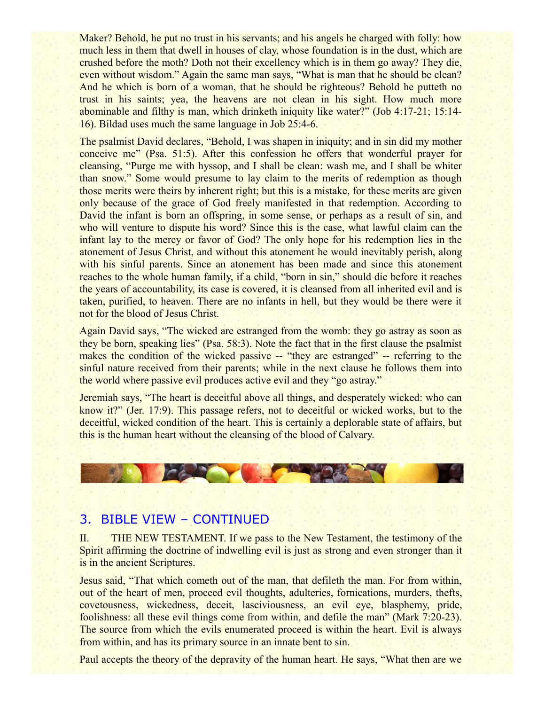Maker? Behold, he put no trust in his servants; and his angels he charged with folly: how much less in them that dwell in houses of clay, whose foundation is in the dust, which are crushed before the moth? Doth not their excellency which is in them go away? They die, even without wisdom." Again the same man says, "What is man that he should be clean? And he which is born of a woman, that he should be righteous? Behold he putteth no trust in his saints; yea, the heavens are not clean in his sight. How much more abominable and filthy is man, which drinketh iniquity like water?" (Job 4:17-21; 15:14- 16). Bildad uses much the same language in Job 25:4-6.

The psalmist David declares, "Behold, I was shapen in iniquity; and in sin did my mother conceive me" (Psa. 51:5). After this confession he offers that wonderful prayer for cleansing, "Purge me with hyssop, and I shall be clean: wash me, and I shall be whiter than snow." Some would presume to lay claim to the merits of redemption as though those merits were theirs by inherent right; but this is a mistake, for these merits are given only because of the grace of God freely manifested in that redemption. According to David the infant is born an offspring, in some sense, or perhaps as a result of sin, and who will venture to dispute his word? Since this is the case, what lawful claim can the infant lay to the mercy or favor of God? The only hope for his redemption lies in the atonement of Jesus Christ, and without this atonement he would inevitably perish, along with his sinful parents. Since an atonement has been made and since this atonement reaches to the whole human family, if a child, "born in sin," should die before it reaches the years of accountability, its case is covered, it is cleansed from all inherited evil and is taken, purified, to heaven. There are no infants in hell, but they would be there were it not for the blood of Jesus Christ.

Again David says, "The wicked are estranged from the womb: they go astray as soon as they be born, speaking lies" (Psa. 58:3). Note the fact that in the first clause the psalmist makes the condition of the wicked passive -- "they are estranged" -- referring to the sinful nature received from their parents; while in the next clause he follows them into the world where passive evil produces active evil and they "go astray."

Jeremiah says, "The heart is deceitful above all things, and desperately wicked: who can know it?" (Jer. 17:9). This passage refers, not to deceitful or wicked works, but to the deceitful, wicked condition of the heart. This is certainly a deplorable state of affairs, but this is the human heart without the cleansing of the blood of Calvary.



### 3. BIBLE VIEW – CONTINUED

II. THE NEW TESTAMENT. If we pass to the New Testament, the testimony of the Spirit affirming the doctrine of indwelling evil is just as strong and even stronger than it is in the ancient Scriptures.

Jesus said, "That which cometh out of the man, that defileth the man. For from within, out of the heart of men, proceed evil thoughts, adulteries, fornications, murders, thefts, covetousness, wickedness, deceit, lasciviousness, an evil eye, blasphemy, pride, foolishness: all these evil things come from within, and defile the man" (Mark 7:20-23). The source from which the evils enumerated proceed is within the heart. Evil is always from within, and has its primary source in an innate bent to sin.

Paul accepts the theory of the depravity of the human heart. He says, "What then are we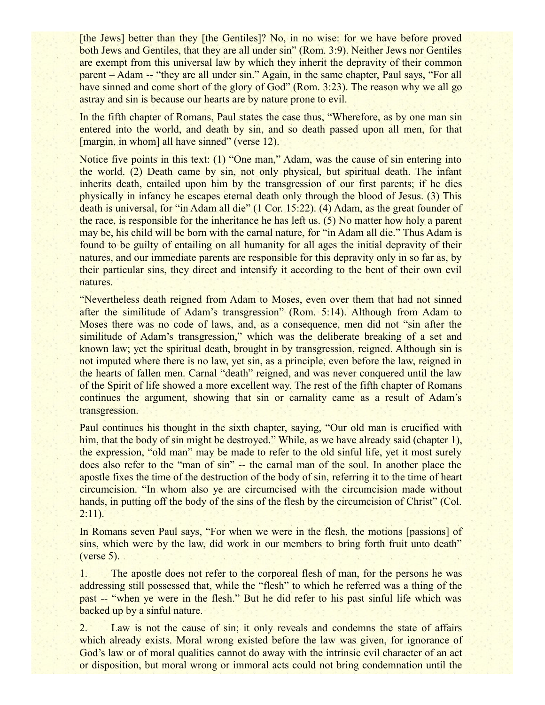[the Jews] better than they [the Gentiles]? No, in no wise: for we have before proved both Jews and Gentiles, that they are all under sin" (Rom. 3:9). Neither Jews nor Gentiles are exempt from this universal law by which they inherit the depravity of their common parent – Adam -- "they are all under sin." Again, in the same chapter, Paul says, "For all have sinned and come short of the glory of God" (Rom. 3:23). The reason why we all go astray and sin is because our hearts are by nature prone to evil.

In the fifth chapter of Romans, Paul states the case thus, "Wherefore, as by one man sin entered into the world, and death by sin, and so death passed upon all men, for that [margin, in whom] all have sinned" (verse 12).

Notice five points in this text: (1) "One man," Adam, was the cause of sin entering into the world. (2) Death came by sin, not only physical, but spiritual death. The infant inherits death, entailed upon him by the transgression of our first parents; if he dies physically in infancy he escapes eternal death only through the blood of Jesus. (3) This death is universal, for "in Adam all die" (1 Cor. 15:22). (4) Adam, as the great founder of the race, is responsible for the inheritance he has left us. (5) No matter how holy a parent may be, his child will be born with the carnal nature, for "in Adam all die." Thus Adam is found to be guilty of entailing on all humanity for all ages the initial depravity of their natures, and our immediate parents are responsible for this depravity only in so far as, by their particular sins, they direct and intensify it according to the bent of their own evil natures.

"Nevertheless death reigned from Adam to Moses, even over them that had not sinned after the similitude of Adam's transgression" (Rom. 5:14). Although from Adam to Moses there was no code of laws, and, as a consequence, men did not "sin after the similitude of Adam's transgression," which was the deliberate breaking of a set and known law; yet the spiritual death, brought in by transgression, reigned. Although sin is not imputed where there is no law, yet sin, as a principle, even before the law, reigned in the hearts of fallen men. Carnal "death" reigned, and was never conquered until the law of the Spirit of life showed a more excellent way. The rest of the fifth chapter of Romans continues the argument, showing that sin or carnality came as a result of Adam's transgression.

Paul continues his thought in the sixth chapter, saying, "Our old man is crucified with him, that the body of sin might be destroyed." While, as we have already said (chapter 1), the expression, "old man" may be made to refer to the old sinful life, yet it most surely does also refer to the "man of sin" -- the carnal man of the soul. In another place the apostle fixes the time of the destruction of the body of sin, referring it to the time of heart circumcision. "In whom also ye are circumcised with the circumcision made without hands, in putting off the body of the sins of the flesh by the circumcision of Christ" (Col.  $2:11$ ).

In Romans seven Paul says, "For when we were in the flesh, the motions [passions] of sins, which were by the law, did work in our members to bring forth fruit unto death" (verse 5).

1. The apostle does not refer to the corporeal flesh of man, for the persons he was addressing still possessed that, while the "flesh" to which he referred was a thing of the past -- "when ye were in the flesh." But he did refer to his past sinful life which was backed up by a sinful nature.

2. Law is not the cause of sin; it only reveals and condemns the state of affairs which already exists. Moral wrong existed before the law was given, for ignorance of God's law or of moral qualities cannot do away with the intrinsic evil character of an act or disposition, but moral wrong or immoral acts could not bring condemnation until the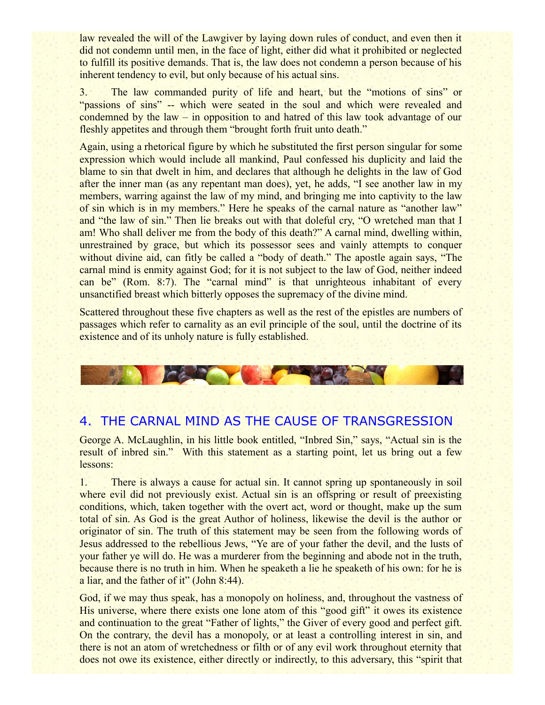law revealed the will of the Lawgiver by laying down rules of conduct, and even then it did not condemn until men, in the face of light, either did what it prohibited or neglected to fulfill its positive demands. That is, the law does not condemn a person because of his inherent tendency to evil, but only because of his actual sins.

3. The law commanded purity of life and heart, but the "motions of sins" or "passions of sins" -- which were seated in the soul and which were revealed and condemned by the law – in opposition to and hatred of this law took advantage of our fleshly appetites and through them "brought forth fruit unto death."

Again, using a rhetorical figure by which he substituted the first person singular for some expression which would include all mankind, Paul confessed his duplicity and laid the blame to sin that dwelt in him, and declares that although he delights in the law of God after the inner man (as any repentant man does), yet, he adds, "I see another law in my members, warring against the law of my mind, and bringing me into captivity to the law of sin which is in my members." Here he speaks of the carnal nature as "another law" and "the law of sin." Then lie breaks out with that doleful cry, "O wretched man that I am! Who shall deliver me from the body of this death?" A carnal mind, dwelling within, unrestrained by grace, but which its possessor sees and vainly attempts to conquer without divine aid, can fitly be called a "body of death." The apostle again says, "The carnal mind is enmity against God; for it is not subject to the law of God, neither indeed can be" (Rom. 8:7). The "carnal mind" is that unrighteous inhabitant of every unsanctified breast which bitterly opposes the supremacy of the divine mind.

Scattered throughout these five chapters as well as the rest of the epistles are numbers of passages which refer to carnality as an evil principle of the soul, until the doctrine of its existence and of its unholy nature is fully established.



### 4. THE CARNAL MIND AS THE CAUSE OF TRANSGRESSION

George A. McLaughlin, in his little book entitled, "Inbred Sin," says, "Actual sin is the result of inbred sin." With this statement as a starting point, let us bring out a few lessons:

1. There is always a cause for actual sin. It cannot spring up spontaneously in soil where evil did not previously exist. Actual sin is an offspring or result of preexisting conditions, which, taken together with the overt act, word or thought, make up the sum total of sin. As God is the great Author of holiness, likewise the devil is the author or originator of sin. The truth of this statement may be seen from the following words of Jesus addressed to the rebellious Jews, "Ye are of your father the devil, and the lusts of your father ye will do. He was a murderer from the beginning and abode not in the truth, because there is no truth in him. When he speaketh a lie he speaketh of his own: for he is a liar, and the father of it" (John 8:44).

God, if we may thus speak, has a monopoly on holiness, and, throughout the vastness of His universe, where there exists one lone atom of this "good gift" it owes its existence and continuation to the great "Father of lights," the Giver of every good and perfect gift. On the contrary, the devil has a monopoly, or at least a controlling interest in sin, and there is not an atom of wretchedness or filth or of any evil work throughout eternity that does not owe its existence, either directly or indirectly, to this adversary, this "spirit that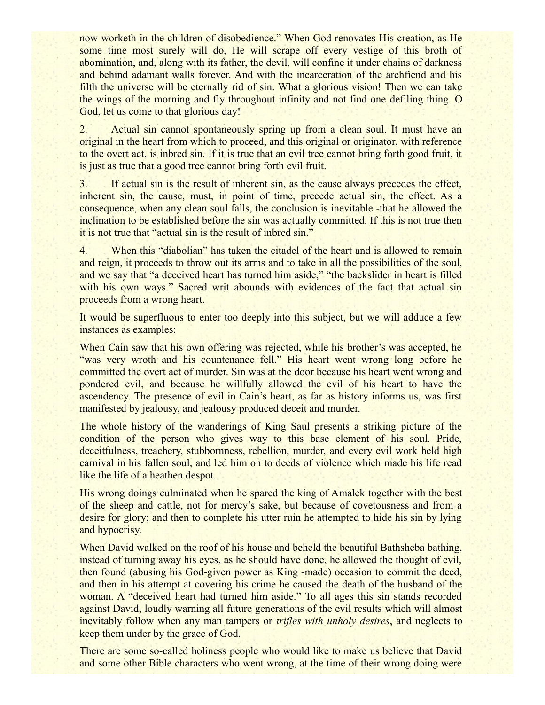now worketh in the children of disobedience." When God renovates His creation, as He some time most surely will do, He will scrape off every vestige of this broth of abomination, and, along with its father, the devil, will confine it under chains of darkness and behind adamant walls forever. And with the incarceration of the archfiend and his filth the universe will be eternally rid of sin. What a glorious vision! Then we can take the wings of the morning and fly throughout infinity and not find one defiling thing. O God, let us come to that glorious day!

2. Actual sin cannot spontaneously spring up from a clean soul. It must have an original in the heart from which to proceed, and this original or originator, with reference to the overt act, is inbred sin. If it is true that an evil tree cannot bring forth good fruit, it is just as true that a good tree cannot bring forth evil fruit.

3. If actual sin is the result of inherent sin, as the cause always precedes the effect, inherent sin, the cause, must, in point of time, precede actual sin, the effect. As a consequence, when any clean soul falls, the conclusion is inevitable -that he allowed the inclination to be established before the sin was actually committed. If this is not true then it is not true that "actual sin is the result of inbred sin."

4. When this "diabolian" has taken the citadel of the heart and is allowed to remain and reign, it proceeds to throw out its arms and to take in all the possibilities of the soul, and we say that "a deceived heart has turned him aside," "the backslider in heart is filled with his own ways." Sacred writ abounds with evidences of the fact that actual sin proceeds from a wrong heart.

It would be superfluous to enter too deeply into this subject, but we will adduce a few instances as examples:

When Cain saw that his own offering was rejected, while his brother's was accepted, he "was very wroth and his countenance fell." His heart went wrong long before he committed the overt act of murder. Sin was at the door because his heart went wrong and pondered evil, and because he willfully allowed the evil of his heart to have the ascendency. The presence of evil in Cain's heart, as far as history informs us, was first manifested by jealousy, and jealousy produced deceit and murder.

The whole history of the wanderings of King Saul presents a striking picture of the condition of the person who gives way to this base element of his soul. Pride, deceitfulness, treachery, stubbornness, rebellion, murder, and every evil work held high carnival in his fallen soul, and led him on to deeds of violence which made his life read like the life of a heathen despot.

His wrong doings culminated when he spared the king of Amalek together with the best of the sheep and cattle, not for mercy's sake, but because of covetousness and from a desire for glory; and then to complete his utter ruin he attempted to hide his sin by lying and hypocrisy.

When David walked on the roof of his house and beheld the beautiful Bathsheba bathing, instead of turning away his eyes, as he should have done, he allowed the thought of evil, then found (abusing his God-given power as King -made) occasion to commit the deed, and then in his attempt at covering his crime he caused the death of the husband of the woman. A "deceived heart had turned him aside." To all ages this sin stands recorded against David, loudly warning all future generations of the evil results which will almost inevitably follow when any man tampers or *trifles with unholy desires*, and neglects to keep them under by the grace of God.

There are some so-called holiness people who would like to make us believe that David and some other Bible characters who went wrong, at the time of their wrong doing were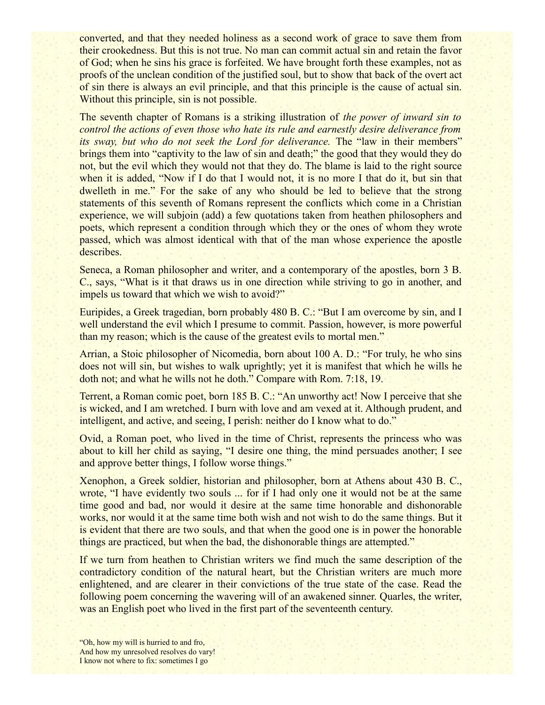converted, and that they needed holiness as a second work of grace to save them from their crookedness. But this is not true. No man can commit actual sin and retain the favor of God; when he sins his grace is forfeited. We have brought forth these examples, not as proofs of the unclean condition of the justified soul, but to show that back of the overt act of sin there is always an evil principle, and that this principle is the cause of actual sin. Without this principle, sin is not possible.

The seventh chapter of Romans is a striking illustration of *the power of inward sin to control the actions of even those who hate its rule and earnestly desire deliverance from its sway, but who do not seek the Lord for deliverance.* The "law in their members" brings them into "captivity to the law of sin and death;" the good that they would they do not, but the evil which they would not that they do. The blame is laid to the right source when it is added, "Now if I do that I would not, it is no more I that do it, but sin that dwelleth in me." For the sake of any who should be led to believe that the strong statements of this seventh of Romans represent the conflicts which come in a Christian experience, we will subjoin (add) a few quotations taken from heathen philosophers and poets, which represent a condition through which they or the ones of whom they wrote passed, which was almost identical with that of the man whose experience the apostle describes.

Seneca, a Roman philosopher and writer, and a contemporary of the apostles, born 3 B. C., says, "What is it that draws us in one direction while striving to go in another, and impels us toward that which we wish to avoid?"

Euripides, a Greek tragedian, born probably 480 B. C.: "But I am overcome by sin, and I well understand the evil which I presume to commit. Passion, however, is more powerful than my reason; which is the cause of the greatest evils to mortal men."

Arrian, a Stoic philosopher of Nicomedia, born about 100 A. D.: "For truly, he who sins does not will sin, but wishes to walk uprightly; yet it is manifest that which he wills he doth not; and what he wills not he doth." Compare with Rom. 7:18, 19.

Terrent, a Roman comic poet, born 185 B. C.: "An unworthy act! Now I perceive that she is wicked, and I am wretched. I burn with love and am vexed at it. Although prudent, and intelligent, and active, and seeing, I perish: neither do I know what to do."

Ovid, a Roman poet, who lived in the time of Christ, represents the princess who was about to kill her child as saying, "I desire one thing, the mind persuades another; I see and approve better things, I follow worse things."

Xenophon, a Greek soldier, historian and philosopher, born at Athens about 430 B. C., wrote, "I have evidently two souls ... for if I had only one it would not be at the same time good and bad, nor would it desire at the same time honorable and dishonorable works, nor would it at the same time both wish and not wish to do the same things. But it is evident that there are two souls, and that when the good one is in power the honorable things are practiced, but when the bad, the dishonorable things are attempted."

If we turn from heathen to Christian writers we find much the same description of the contradictory condition of the natural heart, but the Christian writers are much more enlightened, and are clearer in their convictions of the true state of the case. Read the following poem concerning the wavering will of an awakened sinner. Quarles, the writer, was an English poet who lived in the first part of the seventeenth century.

"Oh, how my will is hurried to and fro, And how my unresolved resolves do vary! I know not where to fix: sometimes I go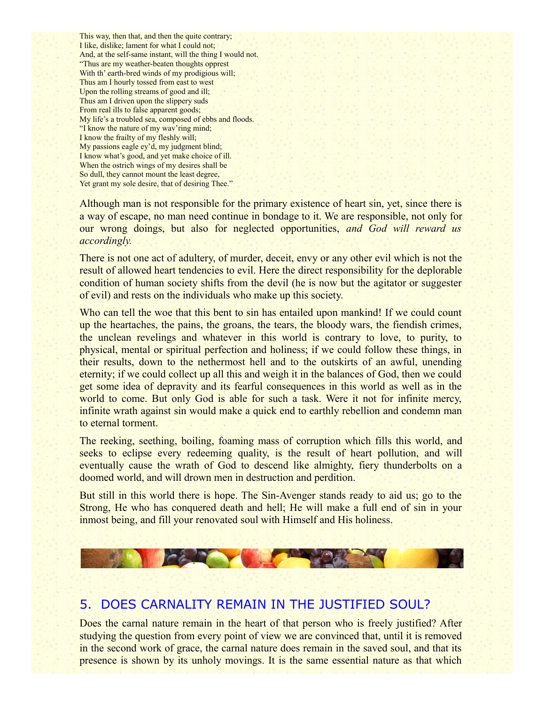This way, then that, and then the quite contrary; I like, dislike; lament for what I could not; And, at the self-same instant, will the thing I would not. "Thus are my weather-beaten thoughts opprest With th' earth-bred winds of my prodigious will; Thus am I hourly tossed from east to west Upon the rolling streams of good and ill; Thus am I driven upon the slippery suds From real ills to false apparent goods; My life's a troubled sea, composed of ebbs and floods. "I know the nature of my wav'ring mind; I know the frailty of my fleshly will; My passions eagle ey'd, my judgment blind; I know what's good, and yet make choice of ill. When the ostrich wings of my desires shall be So dull, they cannot mount the least degree, Yet grant my sole desire, that of desiring Thee."

Although man is not responsible for the primary existence of heart sin, yet, since there is a way of escape, no man need continue in bondage to it. We are responsible, not only for our wrong doings, but also for neglected opportunities, *and God will reward us accordingly.*

There is not one act of adultery, of murder, deceit, envy or any other evil which is not the result of allowed heart tendencies to evil. Here the direct responsibility for the deplorable condition of human society shifts from the devil (he is now but the agitator or suggester of evil) and rests on the individuals who make up this society.

Who can tell the woe that this bent to sin has entailed upon mankind! If we could count up the heartaches, the pains, the groans, the tears, the bloody wars, the fiendish crimes, the unclean revelings and whatever in this world is contrary to love, to purity, to physical, mental or spiritual perfection and holiness; if we could follow these things, in their results, down to the nethermost hell and to the outskirts of an awful, unending eternity; if we could collect up all this and weigh it in the balances of God, then we could get some idea of depravity and its fearful consequences in this world as well as in the world to come. But only God is able for such a task. Were it not for infinite mercy, infinite wrath against sin would make a quick end to earthly rebellion and condemn man to eternal torment.

The reeking, seething, boiling, foaming mass of corruption which fills this world, and seeks to eclipse every redeeming quality, is the result of heart pollution, and will eventually cause the wrath of God to descend like almighty, fiery thunderbolts on a doomed world, and will drown men in destruction and perdition.

But still in this world there is hope. The Sin-Avenger stands ready to aid us; go to the Strong, He who has conquered death and hell; He will make a full end of sin in your inmost being, and fill your renovated soul with Himself and His holiness.

### 5. DOES CARNALITY REMAIN IN THE JUSTIFIED SOUL?

Does the carnal nature remain in the heart of that person who is freely justified? After studying the question from every point of view we are convinced that, until it is removed in the second work of grace, the carnal nature does remain in the saved soul, and that its presence is shown by its unholy movings. It is the same essential nature as that which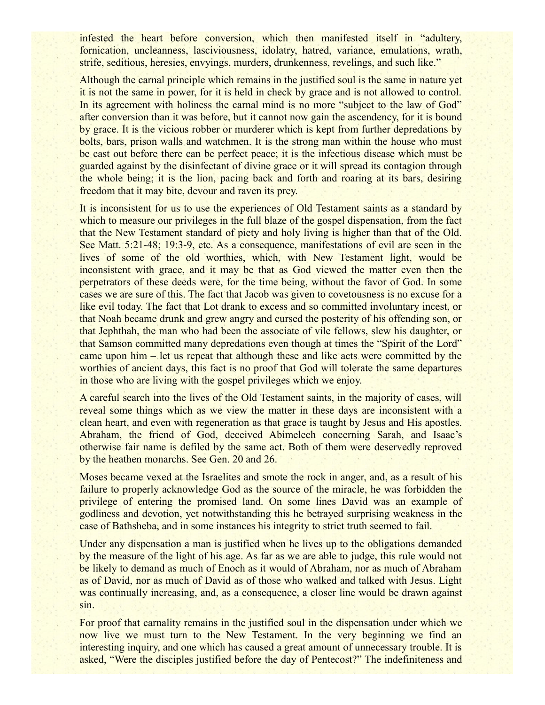infested the heart before conversion, which then manifested itself in "adultery, fornication, uncleanness, lasciviousness, idolatry, hatred, variance, emulations, wrath, strife, seditious, heresies, envyings, murders, drunkenness, revelings, and such like."

Although the carnal principle which remains in the justified soul is the same in nature yet it is not the same in power, for it is held in check by grace and is not allowed to control. In its agreement with holiness the carnal mind is no more "subject to the law of God" after conversion than it was before, but it cannot now gain the ascendency, for it is bound by grace. It is the vicious robber or murderer which is kept from further depredations by bolts, bars, prison walls and watchmen. It is the strong man within the house who must be cast out before there can be perfect peace; it is the infectious disease which must be guarded against by the disinfectant of divine grace or it will spread its contagion through the whole being; it is the lion, pacing back and forth and roaring at its bars, desiring freedom that it may bite, devour and raven its prey.

It is inconsistent for us to use the experiences of Old Testament saints as a standard by which to measure our privileges in the full blaze of the gospel dispensation, from the fact that the New Testament standard of piety and holy living is higher than that of the Old. See Matt. 5:21-48; 19:3-9, etc. As a consequence, manifestations of evil are seen in the lives of some of the old worthies, which, with New Testament light, would be inconsistent with grace, and it may be that as God viewed the matter even then the perpetrators of these deeds were, for the time being, without the favor of God. In some cases we are sure of this. The fact that Jacob was given to covetousness is no excuse for a like evil today. The fact that Lot drank to excess and so committed involuntary incest, or that Noah became drunk and grew angry and cursed the posterity of his offending son, or that Jephthah, the man who had been the associate of vile fellows, slew his daughter, or that Samson committed many depredations even though at times the "Spirit of the Lord" came upon him – let us repeat that although these and like acts were committed by the worthies of ancient days, this fact is no proof that God will tolerate the same departures in those who are living with the gospel privileges which we enjoy.

A careful search into the lives of the Old Testament saints, in the majority of cases, will reveal some things which as we view the matter in these days are inconsistent with a clean heart, and even with regeneration as that grace is taught by Jesus and His apostles. Abraham, the friend of God, deceived Abimelech concerning Sarah, and Isaac's otherwise fair name is defiled by the same act. Both of them were deservedly reproved by the heathen monarchs. See Gen. 20 and 26.

Moses became vexed at the Israelites and smote the rock in anger, and, as a result of his failure to properly acknowledge God as the source of the miracle, he was forbidden the privilege of entering the promised land. On some lines David was an example of godliness and devotion, yet notwithstanding this he betrayed surprising weakness in the case of Bathsheba, and in some instances his integrity to strict truth seemed to fail.

Under any dispensation a man is justified when he lives up to the obligations demanded by the measure of the light of his age. As far as we are able to judge, this rule would not be likely to demand as much of Enoch as it would of Abraham, nor as much of Abraham as of David, nor as much of David as of those who walked and talked with Jesus. Light was continually increasing, and, as a consequence, a closer line would be drawn against sin.

For proof that carnality remains in the justified soul in the dispensation under which we now live we must turn to the New Testament. In the very beginning we find an interesting inquiry, and one which has caused a great amount of unnecessary trouble. It is asked, "Were the disciples justified before the day of Pentecost?" The indefiniteness and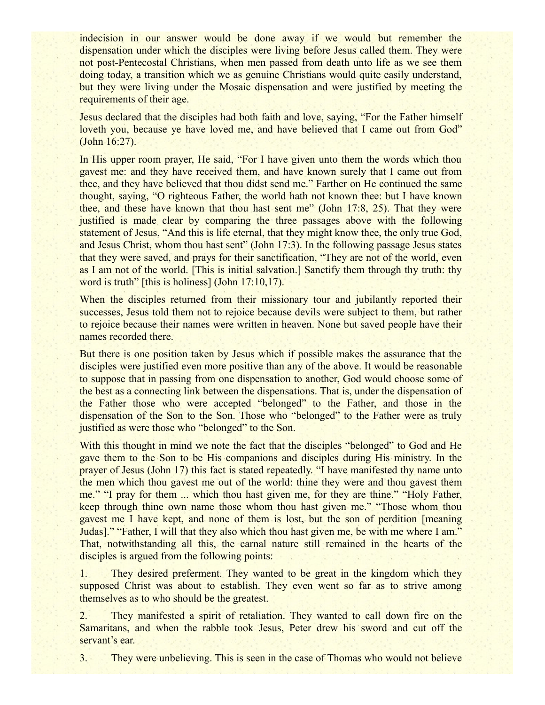indecision in our answer would be done away if we would but remember the dispensation under which the disciples were living before Jesus called them. They were not post-Pentecostal Christians, when men passed from death unto life as we see them doing today, a transition which we as genuine Christians would quite easily understand, but they were living under the Mosaic dispensation and were justified by meeting the requirements of their age.

Jesus declared that the disciples had both faith and love, saying, "For the Father himself loveth you, because ye have loved me, and have believed that I came out from God" (John 16:27).

In His upper room prayer, He said, "For I have given unto them the words which thou gavest me: and they have received them, and have known surely that I came out from thee, and they have believed that thou didst send me." Farther on He continued the same thought, saying, "O righteous Father, the world hath not known thee: but I have known thee, and these have known that thou hast sent me" (John 17:8, 25). That they were justified is made clear by comparing the three passages above with the following statement of Jesus, "And this is life eternal, that they might know thee, the only true God, and Jesus Christ, whom thou hast sent" (John 17:3). In the following passage Jesus states that they were saved, and prays for their sanctification, "They are not of the world, even as I am not of the world. [This is initial salvation.] Sanctify them through thy truth: thy word is truth" [this is holiness] (John 17:10,17).

When the disciples returned from their missionary tour and jubilantly reported their successes, Jesus told them not to rejoice because devils were subject to them, but rather to rejoice because their names were written in heaven. None but saved people have their names recorded there.

But there is one position taken by Jesus which if possible makes the assurance that the disciples were justified even more positive than any of the above. It would be reasonable to suppose that in passing from one dispensation to another, God would choose some of the best as a connecting link between the dispensations. That is, under the dispensation of the Father those who were accepted "belonged" to the Father, and those in the dispensation of the Son to the Son. Those who "belonged" to the Father were as truly justified as were those who "belonged" to the Son.

With this thought in mind we note the fact that the disciples "belonged" to God and He gave them to the Son to be His companions and disciples during His ministry. In the prayer of Jesus (John 17) this fact is stated repeatedly. "I have manifested thy name unto the men which thou gavest me out of the world: thine they were and thou gavest them me." "I pray for them ... which thou hast given me, for they are thine." "Holy Father, keep through thine own name those whom thou hast given me." "Those whom thou gavest me I have kept, and none of them is lost, but the son of perdition [meaning Judas]." "Father, I will that they also which thou hast given me, be with me where I am." That, notwithstanding all this, the carnal nature still remained in the hearts of the disciples is argued from the following points:

1. They desired preferment. They wanted to be great in the kingdom which they supposed Christ was about to establish. They even went so far as to strive among themselves as to who should be the greatest.

2. They manifested a spirit of retaliation. They wanted to call down fire on the Samaritans, and when the rabble took Jesus, Peter drew his sword and cut off the servant's ear.

3. They were unbelieving. This is seen in the case of Thomas who would not believe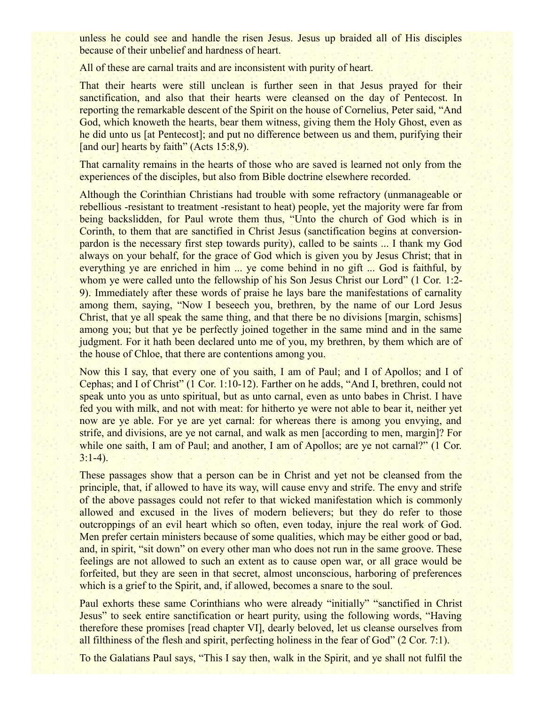unless he could see and handle the risen Jesus. Jesus up braided all of His disciples because of their unbelief and hardness of heart.

All of these are carnal traits and are inconsistent with purity of heart.

That their hearts were still unclean is further seen in that Jesus prayed for their sanctification, and also that their hearts were cleansed on the day of Pentecost. In reporting the remarkable descent of the Spirit on the house of Cornelius, Peter said, "And God, which knoweth the hearts, bear them witness, giving them the Holy Ghost, even as he did unto us [at Pentecost]; and put no difference between us and them, purifying their [and our] hearts by faith" (Acts 15:8,9).

That carnality remains in the hearts of those who are saved is learned not only from the experiences of the disciples, but also from Bible doctrine elsewhere recorded.

Although the Corinthian Christians had trouble with some refractory (unmanageable or rebellious -resistant to treatment -resistant to heat) people, yet the majority were far from being backslidden, for Paul wrote them thus, "Unto the church of God which is in Corinth, to them that are sanctified in Christ Jesus (sanctification begins at conversionpardon is the necessary first step towards purity), called to be saints ... I thank my God always on your behalf, for the grace of God which is given you by Jesus Christ; that in everything ye are enriched in him ... ye come behind in no gift ... God is faithful, by whom ye were called unto the fellowship of his Son Jesus Christ our Lord" (1 Cor. 1:2-9). Immediately after these words of praise he lays bare the manifestations of carnality among them, saying, "Now I beseech you, brethren, by the name of our Lord Jesus Christ, that ye all speak the same thing, and that there be no divisions [margin, schisms] among you; but that ye be perfectly joined together in the same mind and in the same judgment. For it hath been declared unto me of you, my brethren, by them which are of the house of Chloe, that there are contentions among you.

Now this I say, that every one of you saith, I am of Paul; and I of Apollos; and I of Cephas; and I of Christ" (1 Cor. 1:10-12). Farther on he adds, "And I, brethren, could not speak unto you as unto spiritual, but as unto carnal, even as unto babes in Christ. I have fed you with milk, and not with meat: for hitherto ye were not able to bear it, neither yet now are ye able. For ye are yet carnal: for whereas there is among you envying, and strife, and divisions, are ye not carnal, and walk as men [according to men, margin]? For while one saith, I am of Paul; and another, I am of Apollos; are ye not carnal?" (1 Cor.  $3:1-4$ ).

These passages show that a person can be in Christ and yet not be cleansed from the principle, that, if allowed to have its way, will cause envy and strife. The envy and strife of the above passages could not refer to that wicked manifestation which is commonly allowed and excused in the lives of modern believers; but they do refer to those outcroppings of an evil heart which so often, even today, injure the real work of God. Men prefer certain ministers because of some qualities, which may be either good or bad, and, in spirit, "sit down" on every other man who does not run in the same groove. These feelings are not allowed to such an extent as to cause open war, or all grace would be forfeited, but they are seen in that secret, almost unconscious, harboring of preferences which is a grief to the Spirit, and, if allowed, becomes a snare to the soul.

Paul exhorts these same Corinthians who were already "initially" "sanctified in Christ Jesus" to seek entire sanctification or heart purity, using the following words, "Having therefore these promises [read chapter VI], dearly beloved, let us cleanse ourselves from all filthiness of the flesh and spirit, perfecting holiness in the fear of God" (2 Cor. 7:1).

To the Galatians Paul says, "This I say then, walk in the Spirit, and ye shall not fulfil the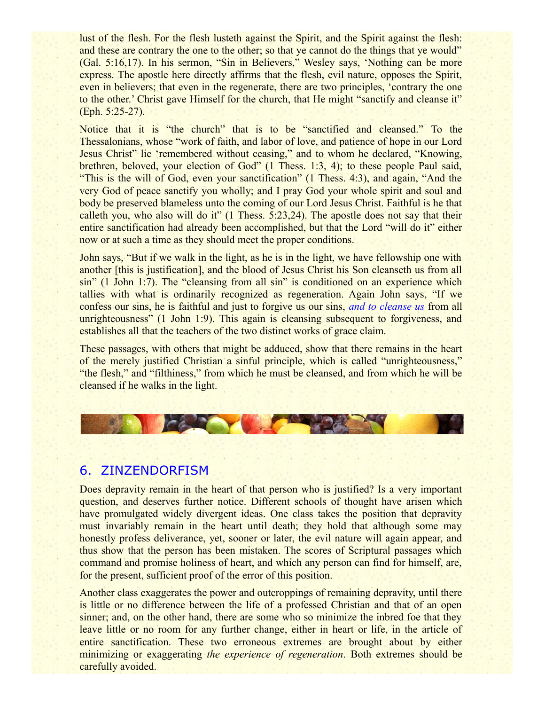lust of the flesh. For the flesh lusteth against the Spirit, and the Spirit against the flesh: and these are contrary the one to the other; so that ye cannot do the things that ye would" (Gal. 5:16,17). In his sermon, "Sin in Believers," Wesley says, 'Nothing can be more express. The apostle here directly affirms that the flesh, evil nature, opposes the Spirit, even in believers; that even in the regenerate, there are two principles, 'contrary the one to the other.' Christ gave Himself for the church, that He might "sanctify and cleanse it" (Eph. 5:25-27).

Notice that it is "the church" that is to be "sanctified and cleansed." To the Thessalonians, whose "work of faith, and labor of love, and patience of hope in our Lord Jesus Christ" lie 'remembered without ceasing," and to whom he declared, "Knowing, brethren, beloved, your election of God" (1 Thess. 1:3, 4); to these people Paul said, "This is the will of God, even your sanctification" (1 Thess. 4:3), and again, "And the very God of peace sanctify you wholly; and I pray God your whole spirit and soul and body be preserved blameless unto the coming of our Lord Jesus Christ. Faithful is he that calleth you, who also will do it" (1 Thess. 5:23,24). The apostle does not say that their entire sanctification had already been accomplished, but that the Lord "will do it" either now or at such a time as they should meet the proper conditions.

John says, "But if we walk in the light, as he is in the light, we have fellowship one with another [this is justification], and the blood of Jesus Christ his Son cleanseth us from all sin" (1 John 1:7). The "cleansing from all sin" is conditioned on an experience which tallies with what is ordinarily recognized as regeneration. Again John says, "If we confess our sins, he is faithful and just to forgive us our sins, *and to cleanse us* from all unrighteousness" (1 John 1:9). This again is cleansing subsequent to forgiveness, and establishes all that the teachers of the two distinct works of grace claim.

These passages, with others that might be adduced, show that there remains in the heart of the merely justified Christian a sinful principle, which is called "unrighteousness," "the flesh," and "filthiness," from which he must be cleansed, and from which he will be cleansed if he walks in the light.



### 6. ZINZENDORFISM

Does depravity remain in the heart of that person who is justified? Is a very important question, and deserves further notice. Different schools of thought have arisen which have promulgated widely divergent ideas. One class takes the position that depravity must invariably remain in the heart until death; they hold that although some may honestly profess deliverance, yet, sooner or later, the evil nature will again appear, and thus show that the person has been mistaken. The scores of Scriptural passages which command and promise holiness of heart, and which any person can find for himself, are, for the present, sufficient proof of the error of this position.

Another class exaggerates the power and outcroppings of remaining depravity, until there is little or no difference between the life of a professed Christian and that of an open sinner; and, on the other hand, there are some who so minimize the inbred foe that they leave little or no room for any further change, either in heart or life, in the article of entire sanctification. These two erroneous extremes are brought about by either minimizing or exaggerating *the experience of regeneration*. Both extremes should be carefully avoided.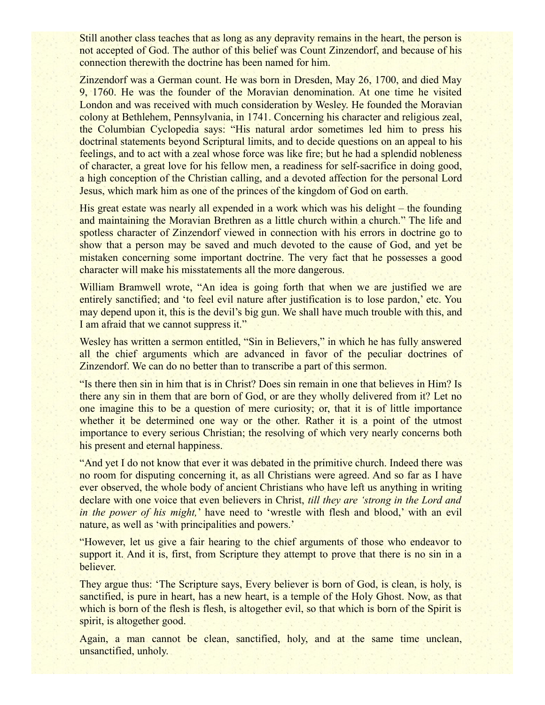Still another class teaches that as long as any depravity remains in the heart, the person is not accepted of God. The author of this belief was Count Zinzendorf, and because of his connection therewith the doctrine has been named for him.

Zinzendorf was a German count. He was born in Dresden, May 26, 1700, and died May 9, 1760. He was the founder of the Moravian denomination. At one time he visited London and was received with much consideration by Wesley. He founded the Moravian colony at Bethlehem, Pennsylvania, in 1741. Concerning his character and religious zeal, the Columbian Cyclopedia says: "His natural ardor sometimes led him to press his doctrinal statements beyond Scriptural limits, and to decide questions on an appeal to his feelings, and to act with a zeal whose force was like fire; but he had a splendid nobleness of character, a great love for his fellow men, a readiness for self-sacrifice in doing good, a high conception of the Christian calling, and a devoted affection for the personal Lord Jesus, which mark him as one of the princes of the kingdom of God on earth.

His great estate was nearly all expended in a work which was his delight – the founding and maintaining the Moravian Brethren as a little church within a church." The life and spotless character of Zinzendorf viewed in connection with his errors in doctrine go to show that a person may be saved and much devoted to the cause of God, and yet be mistaken concerning some important doctrine. The very fact that he possesses a good character will make his misstatements all the more dangerous.

William Bramwell wrote, "An idea is going forth that when we are justified we are entirely sanctified; and 'to feel evil nature after justification is to lose pardon,' etc. You may depend upon it, this is the devil's big gun. We shall have much trouble with this, and I am afraid that we cannot suppress it."

Wesley has written a sermon entitled, "Sin in Believers," in which he has fully answered all the chief arguments which are advanced in favor of the peculiar doctrines of Zinzendorf. We can do no better than to transcribe a part of this sermon.

"Is there then sin in him that is in Christ? Does sin remain in one that believes in Him? Is there any sin in them that are born of God, or are they wholly delivered from it? Let no one imagine this to be a question of mere curiosity; or, that it is of little importance whether it be determined one way or the other. Rather it is a point of the utmost importance to every serious Christian; the resolving of which very nearly concerns both his present and eternal happiness.

"And yet I do not know that ever it was debated in the primitive church. Indeed there was no room for disputing concerning it, as all Christians were agreed. And so far as I have ever observed, the whole body of ancient Christians who have left us anything in writing declare with one voice that even believers in Christ, *till they are 'strong in the Lord and in the power of his might,*' have need to 'wrestle with flesh and blood,' with an evil nature, as well as 'with principalities and powers.'

"However, let us give a fair hearing to the chief arguments of those who endeavor to support it. And it is, first, from Scripture they attempt to prove that there is no sin in a believer.

They argue thus: 'The Scripture says, Every believer is born of God, is clean, is holy, is sanctified, is pure in heart, has a new heart, is a temple of the Holy Ghost. Now, as that which is born of the flesh is flesh, is altogether evil, so that which is born of the Spirit is spirit, is altogether good.

Again, a man cannot be clean, sanctified, holy, and at the same time unclean, unsanctified, unholy.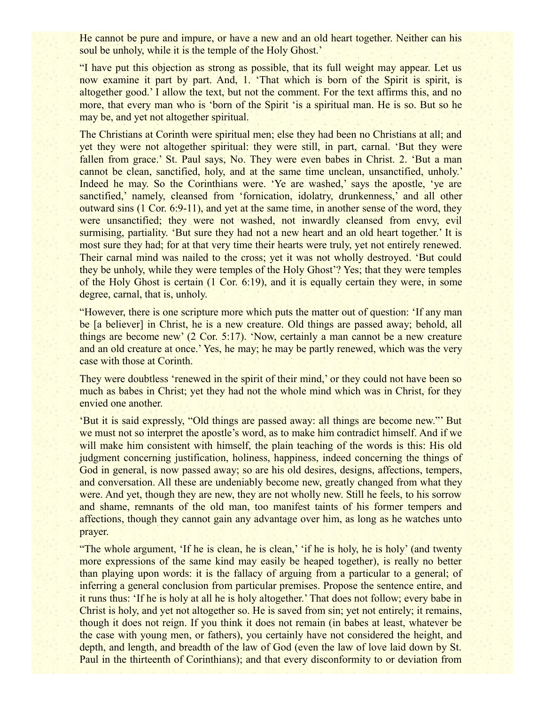He cannot be pure and impure, or have a new and an old heart together. Neither can his soul be unholy, while it is the temple of the Holy Ghost.'

"I have put this objection as strong as possible, that its full weight may appear. Let us now examine it part by part. And, 1. 'That which is born of the Spirit is spirit, is altogether good.' I allow the text, but not the comment. For the text affirms this, and no more, that every man who is 'born of the Spirit 'is a spiritual man. He is so. But so he may be, and yet not altogether spiritual.

The Christians at Corinth were spiritual men; else they had been no Christians at all; and yet they were not altogether spiritual: they were still, in part, carnal. 'But they were fallen from grace.' St. Paul says, No. They were even babes in Christ. 2. 'But a man cannot be clean, sanctified, holy, and at the same time unclean, unsanctified, unholy.' Indeed he may. So the Corinthians were. 'Ye are washed,' says the apostle, 'ye are sanctified,' namely, cleansed from 'fornication, idolatry, drunkenness,' and all other outward sins (1 Cor. 6:9-11), and yet at the same time, in another sense of the word, they were unsanctified; they were not washed, not inwardly cleansed from envy, evil surmising, partiality. 'But sure they had not a new heart and an old heart together.' It is most sure they had; for at that very time their hearts were truly, yet not entirely renewed. Their carnal mind was nailed to the cross; yet it was not wholly destroyed. 'But could they be unholy, while they were temples of the Holy Ghost'? Yes; that they were temples of the Holy Ghost is certain (1 Cor. 6:19), and it is equally certain they were, in some degree, carnal, that is, unholy.

"However, there is one scripture more which puts the matter out of question: 'If any man be [a believer] in Christ, he is a new creature. Old things are passed away; behold, all things are become new' (2 Cor. 5:17). 'Now, certainly a man cannot be a new creature and an old creature at once.' Yes, he may; he may be partly renewed, which was the very case with those at Corinth.

They were doubtless 'renewed in the spirit of their mind,' or they could not have been so much as babes in Christ; yet they had not the whole mind which was in Christ, for they envied one another.

'But it is said expressly, "Old things are passed away: all things are become new."' But we must not so interpret the apostle's word, as to make him contradict himself. And if we will make him consistent with himself, the plain teaching of the words is this: His old judgment concerning justification, holiness, happiness, indeed concerning the things of God in general, is now passed away; so are his old desires, designs, affections, tempers, and conversation. All these are undeniably become new, greatly changed from what they were. And yet, though they are new, they are not wholly new. Still he feels, to his sorrow and shame, remnants of the old man, too manifest taints of his former tempers and affections, though they cannot gain any advantage over him, as long as he watches unto prayer.

"The whole argument, 'If he is clean, he is clean,' 'if he is holy, he is holy' (and twenty more expressions of the same kind may easily be heaped together), is really no better than playing upon words: it is the fallacy of arguing from a particular to a general; of inferring a general conclusion from particular premises. Propose the sentence entire, and it runs thus: 'If he is holy at all he is holy altogether.' That does not follow; every babe in Christ is holy, and yet not altogether so. He is saved from sin; yet not entirely; it remains, though it does not reign. If you think it does not remain (in babes at least, whatever be the case with young men, or fathers), you certainly have not considered the height, and depth, and length, and breadth of the law of God (even the law of love laid down by St. Paul in the thirteenth of Corinthians); and that every disconformity to or deviation from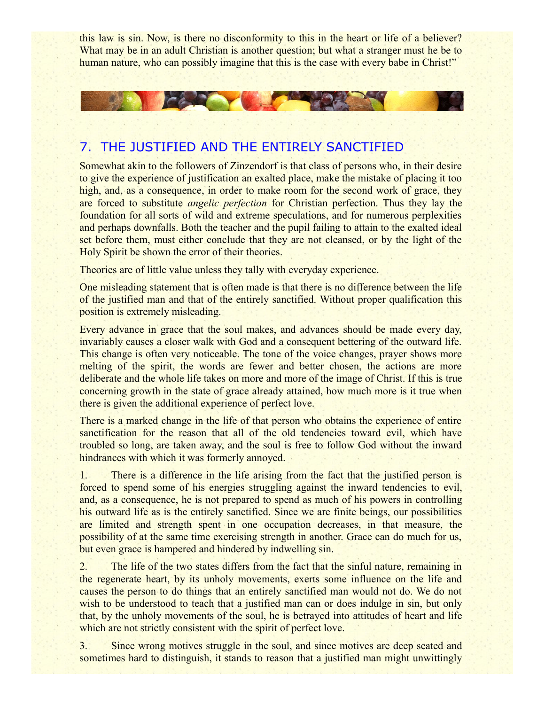this law is sin. Now, is there no disconformity to this in the heart or life of a believer? What may be in an adult Christian is another question; but what a stranger must he be to human nature, who can possibly imagine that this is the case with every babe in Christ!"

### 7. THE JUSTIFIED AND THE ENTIRELY SANCTIFIED

**Delivery** 

Somewhat akin to the followers of Zinzendorf is that class of persons who, in their desire to give the experience of justification an exalted place, make the mistake of placing it too high, and, as a consequence, in order to make room for the second work of grace, they are forced to substitute *angelic perfection* for Christian perfection. Thus they lay the foundation for all sorts of wild and extreme speculations, and for numerous perplexities and perhaps downfalls. Both the teacher and the pupil failing to attain to the exalted ideal set before them, must either conclude that they are not cleansed, or by the light of the Holy Spirit be shown the error of their theories.

Theories are of little value unless they tally with everyday experience.

One misleading statement that is often made is that there is no difference between the life of the justified man and that of the entirely sanctified. Without proper qualification this position is extremely misleading.

Every advance in grace that the soul makes, and advances should be made every day, invariably causes a closer walk with God and a consequent bettering of the outward life. This change is often very noticeable. The tone of the voice changes, prayer shows more melting of the spirit, the words are fewer and better chosen, the actions are more deliberate and the whole life takes on more and more of the image of Christ. If this is true concerning growth in the state of grace already attained, how much more is it true when there is given the additional experience of perfect love.

There is a marked change in the life of that person who obtains the experience of entire sanctification for the reason that all of the old tendencies toward evil, which have troubled so long, are taken away, and the soul is free to follow God without the inward hindrances with which it was formerly annoyed.

1. There is a difference in the life arising from the fact that the justified person is forced to spend some of his energies struggling against the inward tendencies to evil, and, as a consequence, he is not prepared to spend as much of his powers in controlling his outward life as is the entirely sanctified. Since we are finite beings, our possibilities are limited and strength spent in one occupation decreases, in that measure, the possibility of at the same time exercising strength in another. Grace can do much for us, but even grace is hampered and hindered by indwelling sin.

2. The life of the two states differs from the fact that the sinful nature, remaining in the regenerate heart, by its unholy movements, exerts some influence on the life and causes the person to do things that an entirely sanctified man would not do. We do not wish to be understood to teach that a justified man can or does indulge in sin, but only that, by the unholy movements of the soul, he is betrayed into attitudes of heart and life which are not strictly consistent with the spirit of perfect love.

3. Since wrong motives struggle in the soul, and since motives are deep seated and sometimes hard to distinguish, it stands to reason that a justified man might unwittingly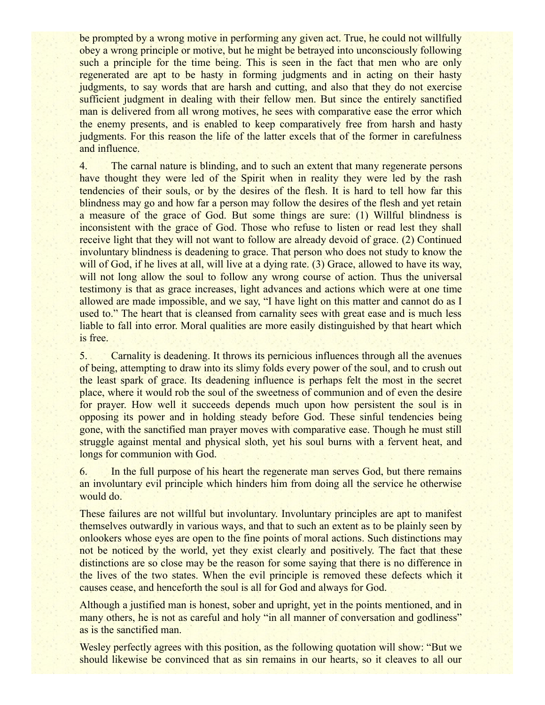be prompted by a wrong motive in performing any given act. True, he could not willfully obey a wrong principle or motive, but he might be betrayed into unconsciously following such a principle for the time being. This is seen in the fact that men who are only regenerated are apt to be hasty in forming judgments and in acting on their hasty judgments, to say words that are harsh and cutting, and also that they do not exercise sufficient judgment in dealing with their fellow men. But since the entirely sanctified man is delivered from all wrong motives, he sees with comparative ease the error which the enemy presents, and is enabled to keep comparatively free from harsh and hasty judgments. For this reason the life of the latter excels that of the former in carefulness and influence.

4. The carnal nature is blinding, and to such an extent that many regenerate persons have thought they were led of the Spirit when in reality they were led by the rash tendencies of their souls, or by the desires of the flesh. It is hard to tell how far this blindness may go and how far a person may follow the desires of the flesh and yet retain a measure of the grace of God. But some things are sure: (1) Willful blindness is inconsistent with the grace of God. Those who refuse to listen or read lest they shall receive light that they will not want to follow are already devoid of grace. (2) Continued involuntary blindness is deadening to grace. That person who does not study to know the will of God, if he lives at all, will live at a dying rate. (3) Grace, allowed to have its way, will not long allow the soul to follow any wrong course of action. Thus the universal testimony is that as grace increases, light advances and actions which were at one time allowed are made impossible, and we say, "I have light on this matter and cannot do as I used to." The heart that is cleansed from carnality sees with great ease and is much less liable to fall into error. Moral qualities are more easily distinguished by that heart which is free.

5. Carnality is deadening. It throws its pernicious influences through all the avenues of being, attempting to draw into its slimy folds every power of the soul, and to crush out the least spark of grace. Its deadening influence is perhaps felt the most in the secret place, where it would rob the soul of the sweetness of communion and of even the desire for prayer. How well it succeeds depends much upon how persistent the soul is in opposing its power and in holding steady before God. These sinful tendencies being gone, with the sanctified man prayer moves with comparative ease. Though he must still struggle against mental and physical sloth, yet his soul burns with a fervent heat, and longs for communion with God.

6. In the full purpose of his heart the regenerate man serves God, but there remains an involuntary evil principle which hinders him from doing all the service he otherwise would do.

These failures are not willful but involuntary. Involuntary principles are apt to manifest themselves outwardly in various ways, and that to such an extent as to be plainly seen by onlookers whose eyes are open to the fine points of moral actions. Such distinctions may not be noticed by the world, yet they exist clearly and positively. The fact that these distinctions are so close may be the reason for some saying that there is no difference in the lives of the two states. When the evil principle is removed these defects which it causes cease, and henceforth the soul is all for God and always for God.

Although a justified man is honest, sober and upright, yet in the points mentioned, and in many others, he is not as careful and holy "in all manner of conversation and godliness" as is the sanctified man.

Wesley perfectly agrees with this position, as the following quotation will show: "But we should likewise be convinced that as sin remains in our hearts, so it cleaves to all our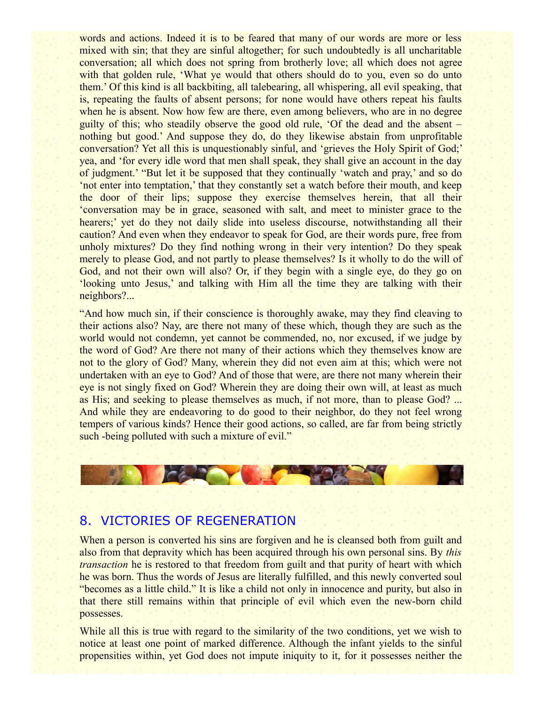words and actions. Indeed it is to be feared that many of our words are more or less mixed with sin; that they are sinful altogether; for such undoubtedly is all uncharitable conversation; all which does not spring from brotherly love; all which does not agree with that golden rule, 'What ye would that others should do to you, even so do unto them.' Of this kind is all backbiting, all talebearing, all whispering, all evil speaking, that is, repeating the faults of absent persons; for none would have others repeat his faults when he is absent. Now how few are there, even among believers, who are in no degree guilty of this; who steadily observe the good old rule, 'Of the dead and the absent – nothing but good.' And suppose they do, do they likewise abstain from unprofitable conversation? Yet all this is unquestionably sinful, and 'grieves the Holy Spirit of God;' yea, and 'for every idle word that men shall speak, they shall give an account in the day of judgment.' "But let it be supposed that they continually 'watch and pray,' and so do 'not enter into temptation,' that they constantly set a watch before their mouth, and keep the door of their lips; suppose they exercise themselves herein, that all their 'conversation may be in grace, seasoned with salt, and meet to minister grace to the hearers;' yet do they not daily slide into useless discourse, notwithstanding all their caution? And even when they endeavor to speak for God, are their words pure, free from unholy mixtures? Do they find nothing wrong in their very intention? Do they speak merely to please God, and not partly to please themselves? Is it wholly to do the will of God, and not their own will also? Or, if they begin with a single eye, do they go on 'looking unto Jesus,' and talking with Him all the time they are talking with their neighbors?...

"And how much sin, if their conscience is thoroughly awake, may they find cleaving to their actions also? Nay, are there not many of these which, though they are such as the world would not condemn, yet cannot be commended, no, nor excused, if we judge by the word of God? Are there not many of their actions which they themselves know are not to the glory of God? Many, wherein they did not even aim at this; which were not undertaken with an eye to God? And of those that were, are there not many wherein their eye is not singly fixed on God? Wherein they are doing their own will, at least as much as His; and seeking to please themselves as much, if not more, than to please God? ... And while they are endeavoring to do good to their neighbor, do they not feel wrong tempers of various kinds? Hence their good actions, so called, are far from being strictly such -being polluted with such a mixture of evil."



### 8. VICTORIES OF REGENERATION

When a person is converted his sins are forgiven and he is cleansed both from guilt and also from that depravity which has been acquired through his own personal sins. By *this transaction* he is restored to that freedom from guilt and that purity of heart with which he was born. Thus the words of Jesus are literally fulfilled, and this newly converted soul "becomes as a little child." It is like a child not only in innocence and purity, but also in that there still remains within that principle of evil which even the new-born child possesses.

While all this is true with regard to the similarity of the two conditions, yet we wish to notice at least one point of marked difference. Although the infant yields to the sinful propensities within, yet God does not impute iniquity to it, for it possesses neither the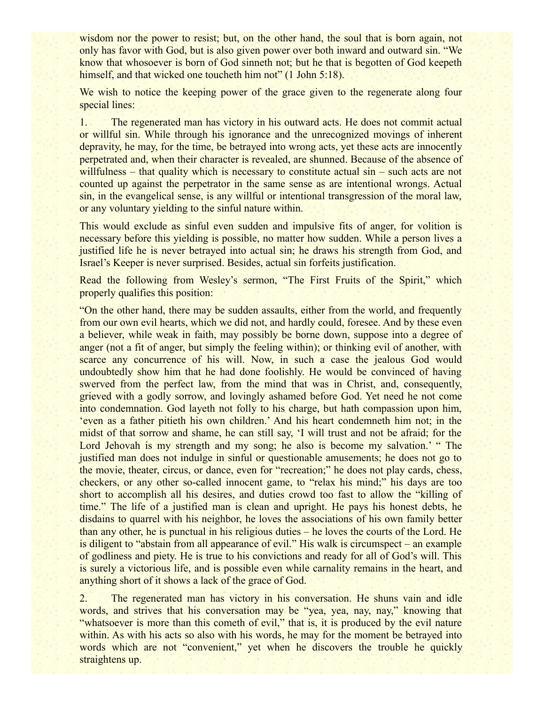wisdom nor the power to resist; but, on the other hand, the soul that is born again, not only has favor with God, but is also given power over both inward and outward sin. "We know that whosoever is born of God sinneth not; but he that is begotten of God keepeth himself, and that wicked one toucheth him not" (1 John 5:18).

We wish to notice the keeping power of the grace given to the regenerate along four special lines:

1. The regenerated man has victory in his outward acts. He does not commit actual or willful sin. While through his ignorance and the unrecognized movings of inherent depravity, he may, for the time, be betrayed into wrong acts, yet these acts are innocently perpetrated and, when their character is revealed, are shunned. Because of the absence of willfulness – that quality which is necessary to constitute actual sin – such acts are not counted up against the perpetrator in the same sense as are intentional wrongs. Actual sin, in the evangelical sense, is any willful or intentional transgression of the moral law, or any voluntary yielding to the sinful nature within.

This would exclude as sinful even sudden and impulsive fits of anger, for volition is necessary before this yielding is possible, no matter how sudden. While a person lives a justified life he is never betrayed into actual sin; he draws his strength from God, and Israel's Keeper is never surprised. Besides, actual sin forfeits justification.

Read the following from Wesley's sermon, "The First Fruits of the Spirit," which properly qualifies this position:

"On the other hand, there may be sudden assaults, either from the world, and frequently from our own evil hearts, which we did not, and hardly could, foresee. And by these even a believer, while weak in faith, may possibly be borne down, suppose into a degree of anger (not a fit of anger, but simply the feeling within); or thinking evil of another, with scarce any concurrence of his will. Now, in such a case the jealous God would undoubtedly show him that he had done foolishly. He would be convinced of having swerved from the perfect law, from the mind that was in Christ, and, consequently, grieved with a godly sorrow, and lovingly ashamed before God. Yet need he not come into condemnation. God layeth not folly to his charge, but hath compassion upon him, 'even as a father pitieth his own children.' And his heart condemneth him not; in the midst of that sorrow and shame, he can still say, 'I will trust and not be afraid; for the Lord Jehovah is my strength and my song; he also is become my salvation.' " The justified man does not indulge in sinful or questionable amusements; he does not go to the movie, theater, circus, or dance, even for "recreation;" he does not play cards, chess, checkers, or any other so-called innocent game, to "relax his mind;" his days are too short to accomplish all his desires, and duties crowd too fast to allow the "killing of time." The life of a justified man is clean and upright. He pays his honest debts, he disdains to quarrel with his neighbor, he loves the associations of his own family better than any other, he is punctual in his religious duties – he loves the courts of the Lord. He is diligent to "abstain from all appearance of evil." His walk is circumspect – an example of godliness and piety. He is true to his convictions and ready for all of God's will. This is surely a victorious life, and is possible even while carnality remains in the heart, and anything short of it shows a lack of the grace of God.

2. The regenerated man has victory in his conversation. He shuns vain and idle words, and strives that his conversation may be "yea, yea, nay, nay," knowing that "whatsoever is more than this cometh of evil," that is, it is produced by the evil nature within. As with his acts so also with his words, he may for the moment be betrayed into words which are not "convenient," yet when he discovers the trouble he quickly straightens up.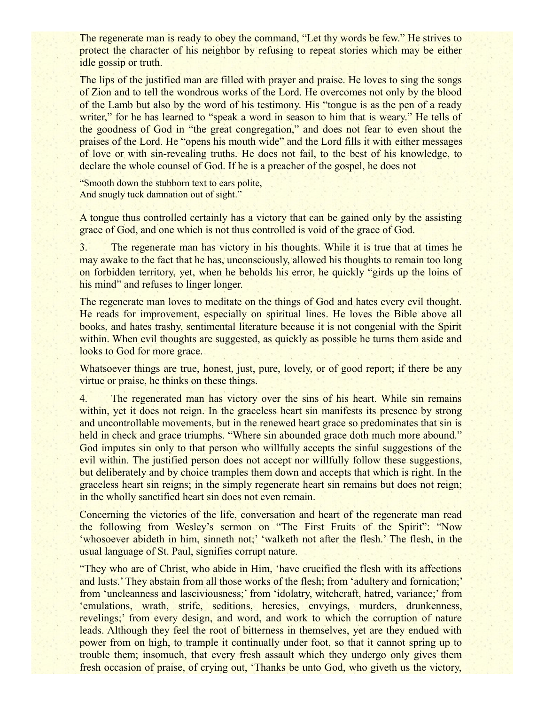The regenerate man is ready to obey the command, "Let thy words be few." He strives to protect the character of his neighbor by refusing to repeat stories which may be either idle gossip or truth.

The lips of the justified man are filled with prayer and praise. He loves to sing the songs of Zion and to tell the wondrous works of the Lord. He overcomes not only by the blood of the Lamb but also by the word of his testimony. His "tongue is as the pen of a ready writer," for he has learned to "speak a word in season to him that is weary." He tells of the goodness of God in "the great congregation," and does not fear to even shout the praises of the Lord. He "opens his mouth wide" and the Lord fills it with either messages of love or with sin-revealing truths. He does not fail, to the best of his knowledge, to declare the whole counsel of God. If he is a preacher of the gospel, he does not

"Smooth down the stubborn text to ears polite, And snugly tuck damnation out of sight."

A tongue thus controlled certainly has a victory that can be gained only by the assisting grace of God, and one which is not thus controlled is void of the grace of God.

3. The regenerate man has victory in his thoughts. While it is true that at times he may awake to the fact that he has, unconsciously, allowed his thoughts to remain too long on forbidden territory, yet, when he beholds his error, he quickly "girds up the loins of his mind" and refuses to linger longer.

The regenerate man loves to meditate on the things of God and hates every evil thought. He reads for improvement, especially on spiritual lines. He loves the Bible above all books, and hates trashy, sentimental literature because it is not congenial with the Spirit within. When evil thoughts are suggested, as quickly as possible he turns them aside and looks to God for more grace.

Whatsoever things are true, honest, just, pure, lovely, or of good report; if there be any virtue or praise, he thinks on these things.

4. The regenerated man has victory over the sins of his heart. While sin remains within, yet it does not reign. In the graceless heart sin manifests its presence by strong and uncontrollable movements, but in the renewed heart grace so predominates that sin is held in check and grace triumphs. "Where sin abounded grace doth much more abound." God imputes sin only to that person who willfully accepts the sinful suggestions of the evil within. The justified person does not accept nor willfully follow these suggestions, but deliberately and by choice tramples them down and accepts that which is right. In the graceless heart sin reigns; in the simply regenerate heart sin remains but does not reign; in the wholly sanctified heart sin does not even remain.

Concerning the victories of the life, conversation and heart of the regenerate man read the following from Wesley's sermon on "The First Fruits of the Spirit": "Now 'whosoever abideth in him, sinneth not;' 'walketh not after the flesh.' The flesh, in the usual language of St. Paul, signifies corrupt nature.

"They who are of Christ, who abide in Him, 'have crucified the flesh with its affections and lusts.' They abstain from all those works of the flesh; from 'adultery and fornication;' from 'uncleanness and lasciviousness;' from 'idolatry, witchcraft, hatred, variance;' from 'emulations, wrath, strife, seditions, heresies, envyings, murders, drunkenness, revelings;' from every design, and word, and work to which the corruption of nature leads. Although they feel the root of bitterness in themselves, yet are they endued with power from on high, to trample it continually under foot, so that it cannot spring up to trouble them; insomuch, that every fresh assault which they undergo only gives them fresh occasion of praise, of crying out, 'Thanks be unto God, who giveth us the victory,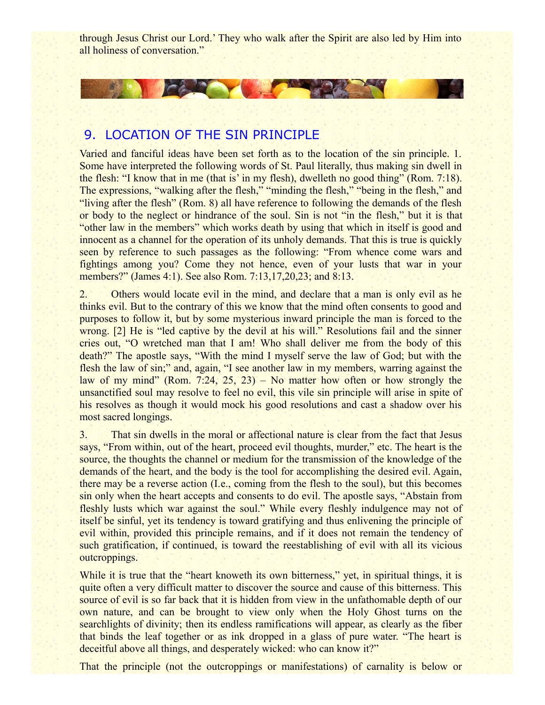through Jesus Christ our Lord.' They who walk after the Spirit are also led by Him into all holiness of conversation."

### 9. LOCATION OF THE SIN PRINCIPLE

CALCO VIDEO

Varied and fanciful ideas have been set forth as to the location of the sin principle. 1. Some have interpreted the following words of St. Paul literally, thus making sin dwell in the flesh: "I know that in me (that is' in my flesh), dwelleth no good thing" (Rom. 7:18). The expressions, "walking after the flesh," "minding the flesh," "being in the flesh," and "living after the flesh" (Rom. 8) all have reference to following the demands of the flesh or body to the neglect or hindrance of the soul. Sin is not "in the flesh," but it is that "other law in the members" which works death by using that which in itself is good and innocent as a channel for the operation of its unholy demands. That this is true is quickly seen by reference to such passages as the following: "From whence come wars and fightings among you? Come they not hence, even of your lusts that war in your members?" (James 4:1). See also Rom. 7:13,17,20,23; and 8:13.

2. Others would locate evil in the mind, and declare that a man is only evil as he thinks evil. But to the contrary of this we know that the mind often consents to good and purposes to follow it, but by some mysterious inward principle the man is forced to the wrong. [2] He is "led captive by the devil at his will." Resolutions fail and the sinner cries out, "O wretched man that I am! Who shall deliver me from the body of this death?" The apostle says, "With the mind I myself serve the law of God; but with the flesh the law of sin;" and, again, "I see another law in my members, warring against the law of my mind" (Rom. 7:24, 25, 23) – No matter how often or how strongly the unsanctified soul may resolve to feel no evil, this vile sin principle will arise in spite of his resolves as though it would mock his good resolutions and cast a shadow over his most sacred longings.

3. That sin dwells in the moral or affectional nature is clear from the fact that Jesus says, "From within, out of the heart, proceed evil thoughts, murder," etc. The heart is the source, the thoughts the channel or medium for the transmission of the knowledge of the demands of the heart, and the body is the tool for accomplishing the desired evil. Again, there may be a reverse action (I.e., coming from the flesh to the soul), but this becomes sin only when the heart accepts and consents to do evil. The apostle says, "Abstain from fleshly lusts which war against the soul." While every fleshly indulgence may not of itself be sinful, yet its tendency is toward gratifying and thus enlivening the principle of evil within, provided this principle remains, and if it does not remain the tendency of such gratification, if continued, is toward the reestablishing of evil with all its vicious outcroppings.

While it is true that the "heart knoweth its own bitterness," yet, in spiritual things, it is quite often a very difficult matter to discover the source and cause of this bitterness. This source of evil is so far back that it is hidden from view in the unfathomable depth of our own nature, and can be brought to view only when the Holy Ghost turns on the searchlights of divinity; then its endless ramifications will appear, as clearly as the fiber that binds the leaf together or as ink dropped in a glass of pure water. "The heart is deceitful above all things, and desperately wicked: who can know it?"

That the principle (not the outcroppings or manifestations) of carnality is below or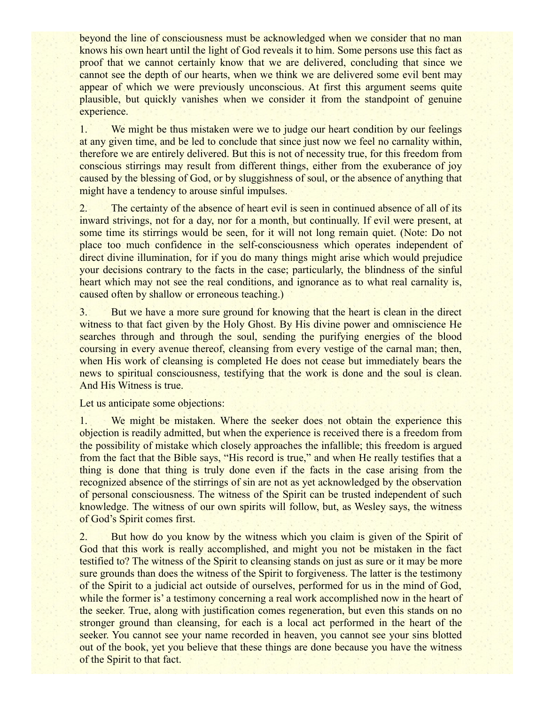beyond the line of consciousness must be acknowledged when we consider that no man knows his own heart until the light of God reveals it to him. Some persons use this fact as proof that we cannot certainly know that we are delivered, concluding that since we cannot see the depth of our hearts, when we think we are delivered some evil bent may appear of which we were previously unconscious. At first this argument seems quite plausible, but quickly vanishes when we consider it from the standpoint of genuine experience.

1. We might be thus mistaken were we to judge our heart condition by our feelings at any given time, and be led to conclude that since just now we feel no carnality within, therefore we are entirely delivered. But this is not of necessity true, for this freedom from conscious stirrings may result from different things, either from the exuberance of joy caused by the blessing of God, or by sluggishness of soul, or the absence of anything that might have a tendency to arouse sinful impulses.

2. The certainty of the absence of heart evil is seen in continued absence of all of its inward strivings, not for a day, nor for a month, but continually. If evil were present, at some time its stirrings would be seen, for it will not long remain quiet. (Note: Do not place too much confidence in the self-consciousness which operates independent of direct divine illumination, for if you do many things might arise which would prejudice your decisions contrary to the facts in the case; particularly, the blindness of the sinful heart which may not see the real conditions, and ignorance as to what real carnality is, caused often by shallow or erroneous teaching.)

3. But we have a more sure ground for knowing that the heart is clean in the direct witness to that fact given by the Holy Ghost. By His divine power and omniscience He searches through and through the soul, sending the purifying energies of the blood coursing in every avenue thereof, cleansing from every vestige of the carnal man; then, when His work of cleansing is completed He does not cease but immediately bears the news to spiritual consciousness, testifying that the work is done and the soul is clean. And His Witness is true.

Let us anticipate some objections:

1. We might be mistaken. Where the seeker does not obtain the experience this objection is readily admitted, but when the experience is received there is a freedom from the possibility of mistake which closely approaches the infallible; this freedom is argued from the fact that the Bible says, "His record is true," and when He really testifies that a thing is done that thing is truly done even if the facts in the case arising from the recognized absence of the stirrings of sin are not as yet acknowledged by the observation of personal consciousness. The witness of the Spirit can be trusted independent of such knowledge. The witness of our own spirits will follow, but, as Wesley says, the witness of God's Spirit comes first.

2. But how do you know by the witness which you claim is given of the Spirit of God that this work is really accomplished, and might you not be mistaken in the fact testified to? The witness of the Spirit to cleansing stands on just as sure or it may be more sure grounds than does the witness of the Spirit to forgiveness. The latter is the testimony of the Spirit to a judicial act outside of ourselves, performed for us in the mind of God, while the former is' a testimony concerning a real work accomplished now in the heart of the seeker. True, along with justification comes regeneration, but even this stands on no stronger ground than cleansing, for each is a local act performed in the heart of the seeker. You cannot see your name recorded in heaven, you cannot see your sins blotted out of the book, yet you believe that these things are done because you have the witness of the Spirit to that fact.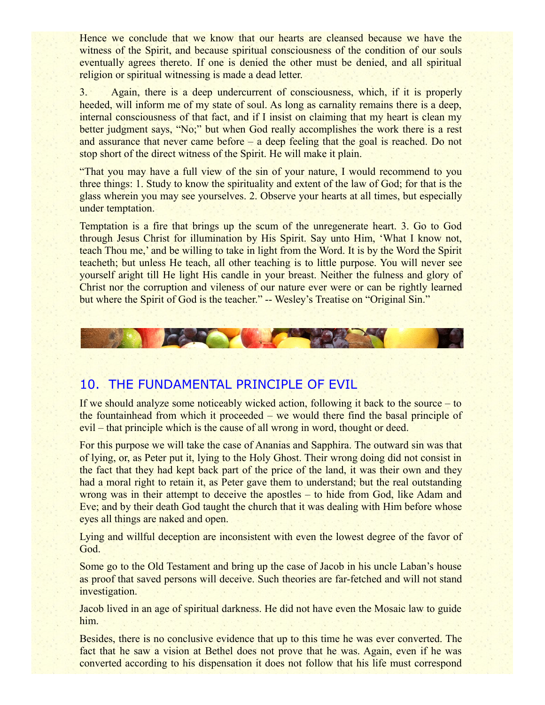Hence we conclude that we know that our hearts are cleansed because we have the witness of the Spirit, and because spiritual consciousness of the condition of our souls eventually agrees thereto. If one is denied the other must be denied, and all spiritual religion or spiritual witnessing is made a dead letter.

3. Again, there is a deep undercurrent of consciousness, which, if it is properly heeded, will inform me of my state of soul. As long as carnality remains there is a deep, internal consciousness of that fact, and if I insist on claiming that my heart is clean my better judgment says, "No;" but when God really accomplishes the work there is a rest and assurance that never came before – a deep feeling that the goal is reached. Do not stop short of the direct witness of the Spirit. He will make it plain.

"That you may have a full view of the sin of your nature, I would recommend to you three things: 1. Study to know the spirituality and extent of the law of God; for that is the glass wherein you may see yourselves. 2. Observe your hearts at all times, but especially under temptation.

Temptation is a fire that brings up the scum of the unregenerate heart. 3. Go to God through Jesus Christ for illumination by His Spirit. Say unto Him, 'What I know not, teach Thou me,' and be willing to take in light from the Word. It is by the Word the Spirit teacheth; but unless He teach, all other teaching is to little purpose. You will never see yourself aright till He light His candle in your breast. Neither the fulness and glory of Christ nor the corruption and vileness of our nature ever were or can be rightly learned but where the Spirit of God is the teacher." -- Wesley's Treatise on "Original Sin."



### 10. THE FUNDAMENTAL PRINCIPLE OF EVIL

If we should analyze some noticeably wicked action, following it back to the source – to the fountainhead from which it proceeded – we would there find the basal principle of evil – that principle which is the cause of all wrong in word, thought or deed.

For this purpose we will take the case of Ananias and Sapphira. The outward sin was that of lying, or, as Peter put it, lying to the Holy Ghost. Their wrong doing did not consist in the fact that they had kept back part of the price of the land, it was their own and they had a moral right to retain it, as Peter gave them to understand; but the real outstanding wrong was in their attempt to deceive the apostles – to hide from God, like Adam and Eve; and by their death God taught the church that it was dealing with Him before whose eyes all things are naked and open.

Lying and willful deception are inconsistent with even the lowest degree of the favor of God.

Some go to the Old Testament and bring up the case of Jacob in his uncle Laban's house as proof that saved persons will deceive. Such theories are far-fetched and will not stand investigation.

Jacob lived in an age of spiritual darkness. He did not have even the Mosaic law to guide him.

Besides, there is no conclusive evidence that up to this time he was ever converted. The fact that he saw a vision at Bethel does not prove that he was. Again, even if he was converted according to his dispensation it does not follow that his life must correspond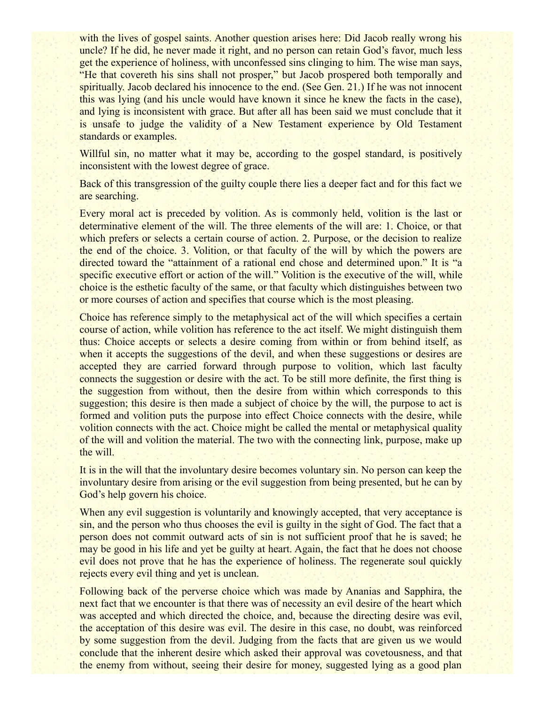with the lives of gospel saints. Another question arises here: Did Jacob really wrong his uncle? If he did, he never made it right, and no person can retain God's favor, much less get the experience of holiness, with unconfessed sins clinging to him. The wise man says, "He that covereth his sins shall not prosper," but Jacob prospered both temporally and spiritually. Jacob declared his innocence to the end. (See Gen. 21.) If he was not innocent this was lying (and his uncle would have known it since he knew the facts in the case), and lying is inconsistent with grace. But after all has been said we must conclude that it is unsafe to judge the validity of a New Testament experience by Old Testament standards or examples.

Willful sin, no matter what it may be, according to the gospel standard, is positively inconsistent with the lowest degree of grace.

Back of this transgression of the guilty couple there lies a deeper fact and for this fact we are searching.

Every moral act is preceded by volition. As is commonly held, volition is the last or determinative element of the will. The three elements of the will are: 1. Choice, or that which prefers or selects a certain course of action. 2. Purpose, or the decision to realize the end of the choice. 3. Volition, or that faculty of the will by which the powers are directed toward the "attainment of a rational end chose and determined upon." It is "a specific executive effort or action of the will." Volition is the executive of the will, while choice is the esthetic faculty of the same, or that faculty which distinguishes between two or more courses of action and specifies that course which is the most pleasing.

Choice has reference simply to the metaphysical act of the will which specifies a certain course of action, while volition has reference to the act itself. We might distinguish them thus: Choice accepts or selects a desire coming from within or from behind itself, as when it accepts the suggestions of the devil, and when these suggestions or desires are accepted they are carried forward through purpose to volition, which last faculty connects the suggestion or desire with the act. To be still more definite, the first thing is the suggestion from without, then the desire from within which corresponds to this suggestion; this desire is then made a subject of choice by the will, the purpose to act is formed and volition puts the purpose into effect Choice connects with the desire, while volition connects with the act. Choice might be called the mental or metaphysical quality of the will and volition the material. The two with the connecting link, purpose, make up the will.

It is in the will that the involuntary desire becomes voluntary sin. No person can keep the involuntary desire from arising or the evil suggestion from being presented, but he can by God's help govern his choice.

When any evil suggestion is voluntarily and knowingly accepted, that very acceptance is sin, and the person who thus chooses the evil is guilty in the sight of God. The fact that a person does not commit outward acts of sin is not sufficient proof that he is saved; he may be good in his life and yet be guilty at heart. Again, the fact that he does not choose evil does not prove that he has the experience of holiness. The regenerate soul quickly rejects every evil thing and yet is unclean.

Following back of the perverse choice which was made by Ananias and Sapphira, the next fact that we encounter is that there was of necessity an evil desire of the heart which was accepted and which directed the choice, and, because the directing desire was evil, the acceptation of this desire was evil. The desire in this case, no doubt, was reinforced by some suggestion from the devil. Judging from the facts that are given us we would conclude that the inherent desire which asked their approval was covetousness, and that the enemy from without, seeing their desire for money, suggested lying as a good plan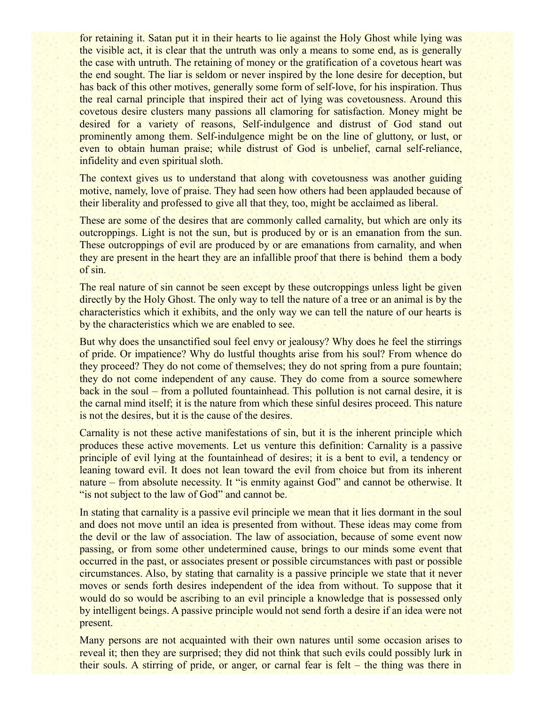for retaining it. Satan put it in their hearts to lie against the Holy Ghost while lying was the visible act, it is clear that the untruth was only a means to some end, as is generally the case with untruth. The retaining of money or the gratification of a covetous heart was the end sought. The liar is seldom or never inspired by the lone desire for deception, but has back of this other motives, generally some form of self-love, for his inspiration. Thus the real carnal principle that inspired their act of lying was covetousness. Around this covetous desire clusters many passions all clamoring for satisfaction. Money might be desired for a variety of reasons, Self-indulgence and distrust of God stand out prominently among them. Self-indulgence might be on the line of gluttony, or lust, or even to obtain human praise; while distrust of God is unbelief, carnal self-reliance, infidelity and even spiritual sloth.

The context gives us to understand that along with covetousness was another guiding motive, namely, love of praise. They had seen how others had been applauded because of their liberality and professed to give all that they, too, might be acclaimed as liberal.

These are some of the desires that are commonly called carnality, but which are only its outcroppings. Light is not the sun, but is produced by or is an emanation from the sun. These outcroppings of evil are produced by or are emanations from carnality, and when they are present in the heart they are an infallible proof that there is behind them a body of sin.

The real nature of sin cannot be seen except by these outcroppings unless light be given directly by the Holy Ghost. The only way to tell the nature of a tree or an animal is by the characteristics which it exhibits, and the only way we can tell the nature of our hearts is by the characteristics which we are enabled to see.

But why does the unsanctified soul feel envy or jealousy? Why does he feel the stirrings of pride. Or impatience? Why do lustful thoughts arise from his soul? From whence do they proceed? They do not come of themselves; they do not spring from a pure fountain; they do not come independent of any cause. They do come from a source somewhere back in the soul – from a polluted fountainhead. This pollution is not carnal desire, it is the carnal mind itself; it is the nature from which these sinful desires proceed. This nature is not the desires, but it is the cause of the desires.

Carnality is not these active manifestations of sin, but it is the inherent principle which produces these active movements. Let us venture this definition: Carnality is a passive principle of evil lying at the fountainhead of desires; it is a bent to evil, a tendency or leaning toward evil. It does not lean toward the evil from choice but from its inherent nature – from absolute necessity. It "is enmity against God" and cannot be otherwise. It "is not subject to the law of God" and cannot be.

In stating that carnality is a passive evil principle we mean that it lies dormant in the soul and does not move until an idea is presented from without. These ideas may come from the devil or the law of association. The law of association, because of some event now passing, or from some other undetermined cause, brings to our minds some event that occurred in the past, or associates present or possible circumstances with past or possible circumstances. Also, by stating that carnality is a passive principle we state that it never moves or sends forth desires independent of the idea from without. To suppose that it would do so would be ascribing to an evil principle a knowledge that is possessed only by intelligent beings. A passive principle would not send forth a desire if an idea were not present.

Many persons are not acquainted with their own natures until some occasion arises to reveal it; then they are surprised; they did not think that such evils could possibly lurk in their souls. A stirring of pride, or anger, or carnal fear is felt – the thing was there in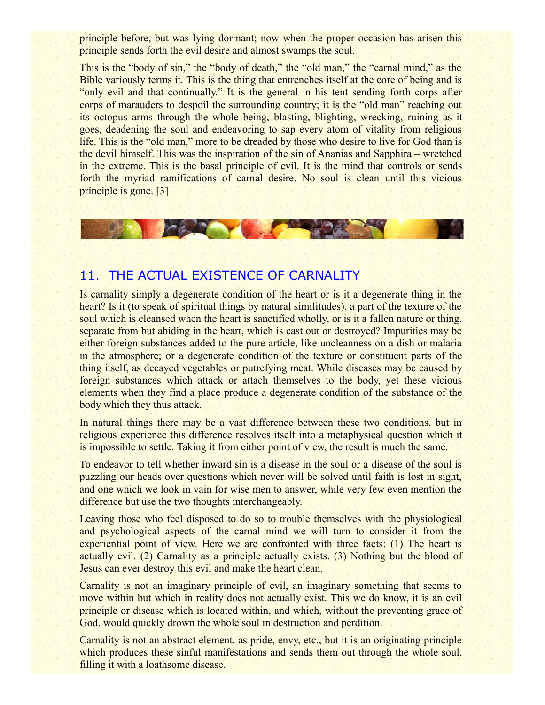principle before, but was lying dormant; now when the proper occasion has arisen this principle sends forth the evil desire and almost swamps the soul.

This is the "body of sin," the "body of death," the "old man," the "carnal mind," as the Bible variously terms it. This is the thing that entrenches itself at the core of being and is "only evil and that continually." It is the general in his tent sending forth corps after corps of marauders to despoil the surrounding country; it is the "old man" reaching out its octopus arms through the whole being, blasting, blighting, wrecking, ruining as it goes, deadening the soul and endeavoring to sap every atom of vitality from religious life. This is the "old man," more to be dreaded by those who desire to live for God than is the devil himself. This was the inspiration of the sin of Ananias and Sapphira – wretched in the extreme. This is the basal principle of evil. It is the mind that controls or sends forth the myriad ramifications of carnal desire. No soul is clean until this vicious principle is gone. [3]



### 11. THE ACTUAL EXISTENCE OF CARNALITY

Is carnality simply a degenerate condition of the heart or is it a degenerate thing in the heart? Is it (to speak of spiritual things by natural similitudes), a part of the texture of the soul which is cleansed when the heart is sanctified wholly, or is it a fallen nature or thing, separate from but abiding in the heart, which is cast out or destroyed? Impurities may be either foreign substances added to the pure article, like uncleanness on a dish or malaria in the atmosphere; or a degenerate condition of the texture or constituent parts of the thing itself, as decayed vegetables or putrefying meat. While diseases may be caused by foreign substances which attack or attach themselves to the body, yet these vicious elements when they find a place produce a degenerate condition of the substance of the body which they thus attack.

In natural things there may be a vast difference between these two conditions, but in religious experience this difference resolves itself into a metaphysical question which it is impossible to settle. Taking it from either point of view, the result is much the same.

To endeavor to tell whether inward sin is a disease in the soul or a disease of the soul is puzzling our heads over questions which never will be solved until faith is lost in sight, and one which we look in vain for wise men to answer, while very few even mention the difference but use the two thoughts interchangeably.

Leaving those who feel disposed to do so to trouble themselves with the physiological and psychological aspects of the carnal mind we will turn to consider it from the experiential point of view. Here we are confronted with three facts: (1) The heart is actually evil. (2) Carnality as a principle actually exists. (3) Nothing but the blood of Jesus can ever destroy this evil and make the heart clean.

Carnality is not an imaginary principle of evil, an imaginary something that seems to move within but which in reality does not actually exist. This we do know, it is an evil principle or disease which is located within, and which, without the preventing grace of God, would quickly drown the whole soul in destruction and perdition.

Carnality is not an abstract element, as pride, envy, etc., but it is an originating principle which produces these sinful manifestations and sends them out through the whole soul, filling it with a loathsome disease.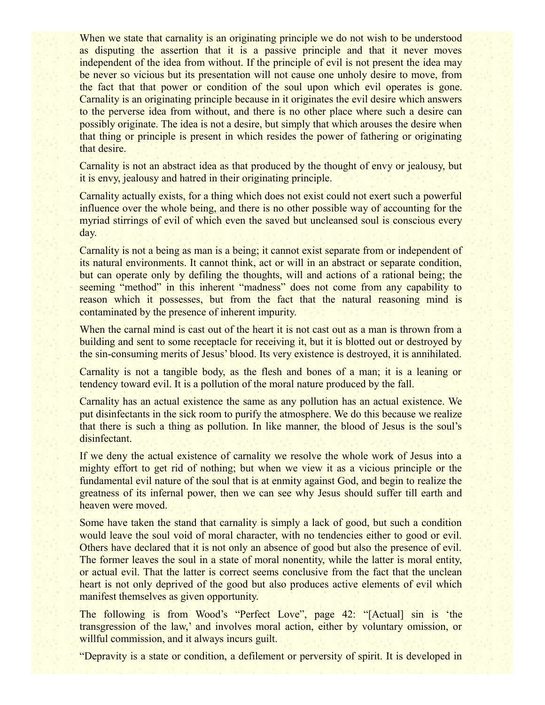When we state that carnality is an originating principle we do not wish to be understood as disputing the assertion that it is a passive principle and that it never moves independent of the idea from without. If the principle of evil is not present the idea may be never so vicious but its presentation will not cause one unholy desire to move, from the fact that that power or condition of the soul upon which evil operates is gone. Carnality is an originating principle because in it originates the evil desire which answers to the perverse idea from without, and there is no other place where such a desire can possibly originate. The idea is not a desire, but simply that which arouses the desire when that thing or principle is present in which resides the power of fathering or originating that desire.

Carnality is not an abstract idea as that produced by the thought of envy or jealousy, but it is envy, jealousy and hatred in their originating principle.

Carnality actually exists, for a thing which does not exist could not exert such a powerful influence over the whole being, and there is no other possible way of accounting for the myriad stirrings of evil of which even the saved but uncleansed soul is conscious every day.

Carnality is not a being as man is a being; it cannot exist separate from or independent of its natural environments. It cannot think, act or will in an abstract or separate condition, but can operate only by defiling the thoughts, will and actions of a rational being; the seeming "method" in this inherent "madness" does not come from any capability to reason which it possesses, but from the fact that the natural reasoning mind is contaminated by the presence of inherent impurity.

When the carnal mind is cast out of the heart it is not cast out as a man is thrown from a building and sent to some receptacle for receiving it, but it is blotted out or destroyed by the sin-consuming merits of Jesus' blood. Its very existence is destroyed, it is annihilated.

Carnality is not a tangible body, as the flesh and bones of a man; it is a leaning or tendency toward evil. It is a pollution of the moral nature produced by the fall.

Carnality has an actual existence the same as any pollution has an actual existence. We put disinfectants in the sick room to purify the atmosphere. We do this because we realize that there is such a thing as pollution. In like manner, the blood of Jesus is the soul's disinfectant.

If we deny the actual existence of carnality we resolve the whole work of Jesus into a mighty effort to get rid of nothing; but when we view it as a vicious principle or the fundamental evil nature of the soul that is at enmity against God, and begin to realize the greatness of its infernal power, then we can see why Jesus should suffer till earth and heaven were moved.

Some have taken the stand that carnality is simply a lack of good, but such a condition would leave the soul void of moral character, with no tendencies either to good or evil. Others have declared that it is not only an absence of good but also the presence of evil. The former leaves the soul in a state of moral nonentity, while the latter is moral entity, or actual evil. That the latter is correct seems conclusive from the fact that the unclean heart is not only deprived of the good but also produces active elements of evil which manifest themselves as given opportunity.

The following is from Wood's "Perfect Love", page 42: "[Actual] sin is 'the transgression of the law,' and involves moral action, either by voluntary omission, or willful commission, and it always incurs guilt.

"Depravity is a state or condition, a defilement or perversity of spirit. It is developed in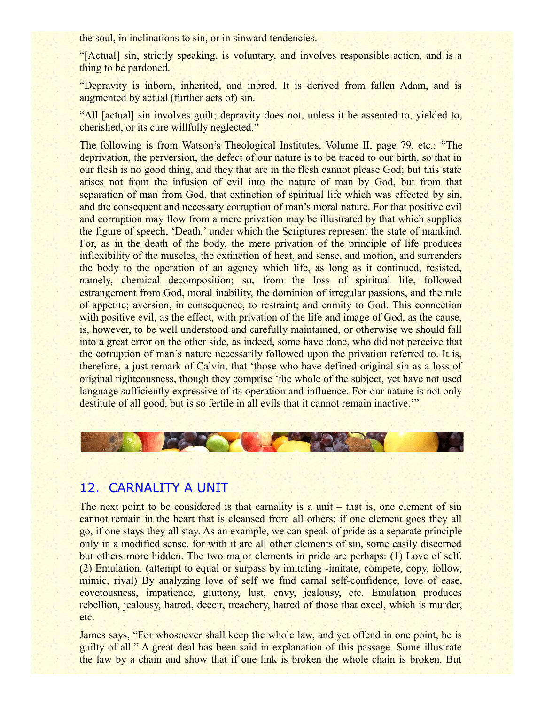the soul, in inclinations to sin, or in sinward tendencies.

"[Actual] sin, strictly speaking, is voluntary, and involves responsible action, and is a thing to be pardoned.

"Depravity is inborn, inherited, and inbred. It is derived from fallen Adam, and is augmented by actual (further acts of) sin.

"All [actual] sin involves guilt; depravity does not, unless it he assented to, yielded to, cherished, or its cure willfully neglected."

The following is from Watson's Theological Institutes, Volume II, page 79, etc.: "The deprivation, the perversion, the defect of our nature is to be traced to our birth, so that in our flesh is no good thing, and they that are in the flesh cannot please God; but this state arises not from the infusion of evil into the nature of man by God, but from that separation of man from God, that extinction of spiritual life which was effected by sin, and the consequent and necessary corruption of man's moral nature. For that positive evil and corruption may flow from a mere privation may be illustrated by that which supplies the figure of speech, 'Death,' under which the Scriptures represent the state of mankind. For, as in the death of the body, the mere privation of the principle of life produces inflexibility of the muscles, the extinction of heat, and sense, and motion, and surrenders the body to the operation of an agency which life, as long as it continued, resisted, namely, chemical decomposition; so, from the loss of spiritual life, followed estrangement from God, moral inability, the dominion of irregular passions, and the rule of appetite; aversion, in consequence, to restraint; and enmity to God. This connection with positive evil, as the effect, with privation of the life and image of God, as the cause, is, however, to be well understood and carefully maintained, or otherwise we should fall into a great error on the other side, as indeed, some have done, who did not perceive that the corruption of man's nature necessarily followed upon the privation referred to. It is, therefore, a just remark of Calvin, that 'those who have defined original sin as a loss of original righteousness, though they comprise 'the whole of the subject, yet have not used language sufficiently expressive of its operation and influence. For our nature is not only destitute of all good, but is so fertile in all evils that it cannot remain inactive."

### 12. CARNALITY A UNIT

The next point to be considered is that carnality is a unit – that is, one element of sin cannot remain in the heart that is cleansed from all others; if one element goes they all go, if one stays they all stay. As an example, we can speak of pride as a separate principle only in a modified sense, for with it are all other elements of sin, some easily discerned but others more hidden. The two major elements in pride are perhaps: (1) Love of self. (2) Emulation. (attempt to equal or surpass by imitating -imitate, compete, copy, follow, mimic, rival) By analyzing love of self we find carnal self-confidence, love of ease, covetousness, impatience, gluttony, lust, envy, jealousy, etc. Emulation produces rebellion, jealousy, hatred, deceit, treachery, hatred of those that excel, which is murder, etc.

James says, "For whosoever shall keep the whole law, and yet offend in one point, he is guilty of all." A great deal has been said in explanation of this passage. Some illustrate the law by a chain and show that if one link is broken the whole chain is broken. But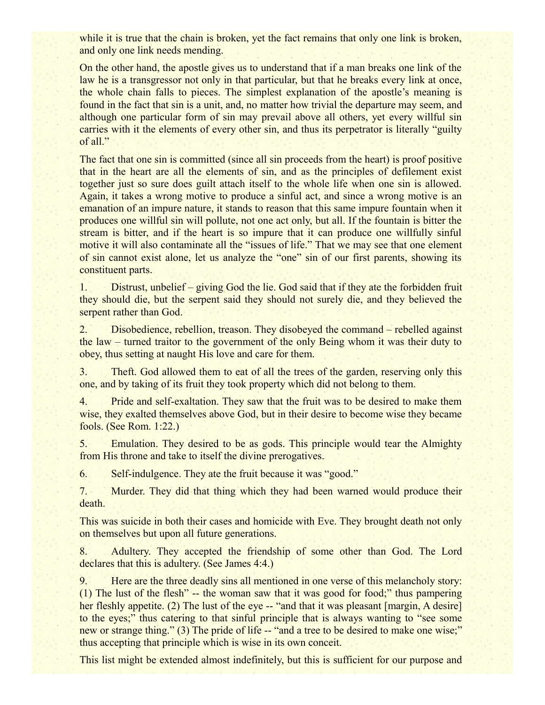while it is true that the chain is broken, yet the fact remains that only one link is broken, and only one link needs mending.

On the other hand, the apostle gives us to understand that if a man breaks one link of the law he is a transgressor not only in that particular, but that he breaks every link at once, the whole chain falls to pieces. The simplest explanation of the apostle's meaning is found in the fact that sin is a unit, and, no matter how trivial the departure may seem, and although one particular form of sin may prevail above all others, yet every willful sin carries with it the elements of every other sin, and thus its perpetrator is literally "guilty of all."

The fact that one sin is committed (since all sin proceeds from the heart) is proof positive that in the heart are all the elements of sin, and as the principles of defilement exist together just so sure does guilt attach itself to the whole life when one sin is allowed. Again, it takes a wrong motive to produce a sinful act, and since a wrong motive is an emanation of an impure nature, it stands to reason that this same impure fountain when it produces one willful sin will pollute, not one act only, but all. If the fountain is bitter the stream is bitter, and if the heart is so impure that it can produce one willfully sinful motive it will also contaminate all the "issues of life." That we may see that one element of sin cannot exist alone, let us analyze the "one" sin of our first parents, showing its constituent parts.

1. Distrust, unbelief – giving God the lie. God said that if they ate the forbidden fruit they should die, but the serpent said they should not surely die, and they believed the serpent rather than God.

2. Disobedience, rebellion, treason. They disobeyed the command – rebelled against the law – turned traitor to the government of the only Being whom it was their duty to obey, thus setting at naught His love and care for them.

3. Theft. God allowed them to eat of all the trees of the garden, reserving only this one, and by taking of its fruit they took property which did not belong to them.

4. Pride and self-exaltation. They saw that the fruit was to be desired to make them wise, they exalted themselves above God, but in their desire to become wise they became fools. (See Rom. 1:22.)

5. Emulation. They desired to be as gods. This principle would tear the Almighty from His throne and take to itself the divine prerogatives.

6. Self-indulgence. They ate the fruit because it was "good."

7. Murder. They did that thing which they had been warned would produce their death.

This was suicide in both their cases and homicide with Eve. They brought death not only on themselves but upon all future generations.

8. Adultery. They accepted the friendship of some other than God. The Lord declares that this is adultery. (See James 4:4.)

9. Here are the three deadly sins all mentioned in one verse of this melancholy story: (1) The lust of the flesh" -- the woman saw that it was good for food;" thus pampering her fleshly appetite. (2) The lust of the eye -- "and that it was pleasant [margin, A desire] to the eyes;" thus catering to that sinful principle that is always wanting to "see some new or strange thing." (3) The pride of life -- "and a tree to be desired to make one wise;" thus accepting that principle which is wise in its own conceit.

This list might be extended almost indefinitely, but this is sufficient for our purpose and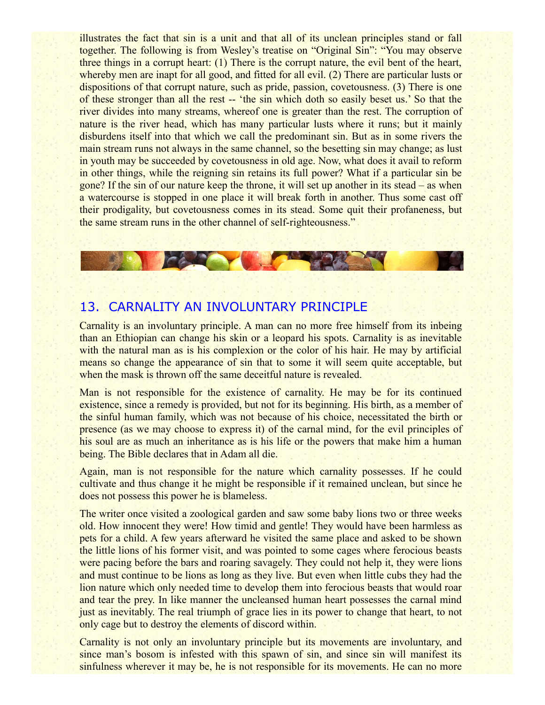illustrates the fact that sin is a unit and that all of its unclean principles stand or fall together. The following is from Wesley's treatise on "Original Sin": "You may observe three things in a corrupt heart: (1) There is the corrupt nature, the evil bent of the heart, whereby men are inapt for all good, and fitted for all evil. (2) There are particular lusts or dispositions of that corrupt nature, such as pride, passion, covetousness. (3) There is one of these stronger than all the rest -- 'the sin which doth so easily beset us.' So that the river divides into many streams, whereof one is greater than the rest. The corruption of nature is the river head, which has many particular lusts where it runs; but it mainly disburdens itself into that which we call the predominant sin. But as in some rivers the main stream runs not always in the same channel, so the besetting sin may change; as lust in youth may be succeeded by covetousness in old age. Now, what does it avail to reform in other things, while the reigning sin retains its full power? What if a particular sin be gone? If the sin of our nature keep the throne, it will set up another in its stead – as when a watercourse is stopped in one place it will break forth in another. Thus some cast off their prodigality, but covetousness comes in its stead. Some quit their profaneness, but the same stream runs in the other channel of self-righteousness."

### 13. CARNALITY AN INVOLUNTARY PRINCIPLE

**TANK OF STRAINING** 

Carnality is an involuntary principle. A man can no more free himself from its inbeing than an Ethiopian can change his skin or a leopard his spots. Carnality is as inevitable with the natural man as is his complexion or the color of his hair. He may by artificial means so change the appearance of sin that to some it will seem quite acceptable, but when the mask is thrown off the same deceitful nature is revealed.

Man is not responsible for the existence of carnality. He may be for its continued existence, since a remedy is provided, but not for its beginning. His birth, as a member of the sinful human family, which was not because of his choice, necessitated the birth or presence (as we may choose to express it) of the carnal mind, for the evil principles of his soul are as much an inheritance as is his life or the powers that make him a human being. The Bible declares that in Adam all die.

Again, man is not responsible for the nature which carnality possesses. If he could cultivate and thus change it he might be responsible if it remained unclean, but since he does not possess this power he is blameless.

The writer once visited a zoological garden and saw some baby lions two or three weeks old. How innocent they were! How timid and gentle! They would have been harmless as pets for a child. A few years afterward he visited the same place and asked to be shown the little lions of his former visit, and was pointed to some cages where ferocious beasts were pacing before the bars and roaring savagely. They could not help it, they were lions and must continue to be lions as long as they live. But even when little cubs they had the lion nature which only needed time to develop them into ferocious beasts that would roar and tear the prey. In like manner the uncleansed human heart possesses the carnal mind just as inevitably. The real triumph of grace lies in its power to change that heart, to not only cage but to destroy the elements of discord within.

Carnality is not only an involuntary principle but its movements are involuntary, and since man's bosom is infested with this spawn of sin, and since sin will manifest its sinfulness wherever it may be, he is not responsible for its movements. He can no more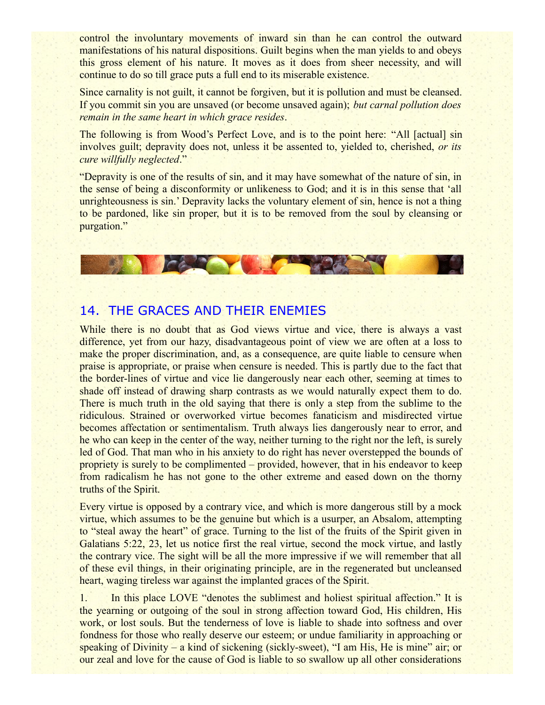control the involuntary movements of inward sin than he can control the outward manifestations of his natural dispositions. Guilt begins when the man yields to and obeys this gross element of his nature. It moves as it does from sheer necessity, and will continue to do so till grace puts a full end to its miserable existence.

Since carnality is not guilt, it cannot be forgiven, but it is pollution and must be cleansed. If you commit sin you are unsaved (or become unsaved again); *but carnal pollution does remain in the same heart in which grace resides*.

The following is from Wood's Perfect Love, and is to the point here: "All [actual] sin involves guilt; depravity does not, unless it be assented to, yielded to, cherished, *or its cure willfully neglected*."

"Depravity is one of the results of sin, and it may have somewhat of the nature of sin, in the sense of being a disconformity or unlikeness to God; and it is in this sense that 'all unrighteousness is sin.' Depravity lacks the voluntary element of sin, hence is not a thing to be pardoned, like sin proper, but it is to be removed from the soul by cleansing or purgation."



### 14. THE GRACES AND THEIR ENEMIES

While there is no doubt that as God views virtue and vice, there is always a vast difference, yet from our hazy, disadvantageous point of view we are often at a loss to make the proper discrimination, and, as a consequence, are quite liable to censure when praise is appropriate, or praise when censure is needed. This is partly due to the fact that the border-lines of virtue and vice lie dangerously near each other, seeming at times to shade off instead of drawing sharp contrasts as we would naturally expect them to do. There is much truth in the old saying that there is only a step from the sublime to the ridiculous. Strained or overworked virtue becomes fanaticism and misdirected virtue becomes affectation or sentimentalism. Truth always lies dangerously near to error, and he who can keep in the center of the way, neither turning to the right nor the left, is surely led of God. That man who in his anxiety to do right has never overstepped the bounds of propriety is surely to be complimented – provided, however, that in his endeavor to keep from radicalism he has not gone to the other extreme and eased down on the thorny truths of the Spirit.

Every virtue is opposed by a contrary vice, and which is more dangerous still by a mock virtue, which assumes to be the genuine but which is a usurper, an Absalom, attempting to "steal away the heart" of grace. Turning to the list of the fruits of the Spirit given in Galatians 5:22, 23, let us notice first the real virtue, second the mock virtue, and lastly the contrary vice. The sight will be all the more impressive if we will remember that all of these evil things, in their originating principle, are in the regenerated but uncleansed heart, waging tireless war against the implanted graces of the Spirit.

1. In this place LOVE "denotes the sublimest and holiest spiritual affection." It is the yearning or outgoing of the soul in strong affection toward God, His children, His work, or lost souls. But the tenderness of love is liable to shade into softness and over fondness for those who really deserve our esteem; or undue familiarity in approaching or speaking of Divinity – a kind of sickening (sickly-sweet), "I am His, He is mine" air; or our zeal and love for the cause of God is liable to so swallow up all other considerations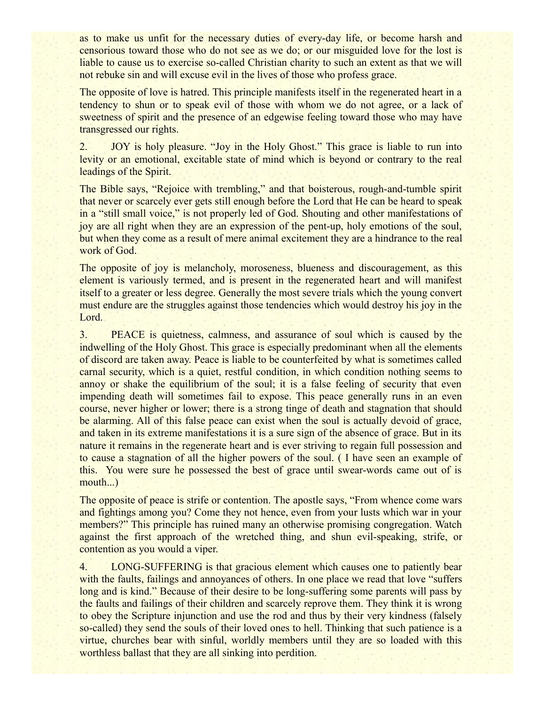as to make us unfit for the necessary duties of every-day life, or become harsh and censorious toward those who do not see as we do; or our misguided love for the lost is liable to cause us to exercise so-called Christian charity to such an extent as that we will not rebuke sin and will excuse evil in the lives of those who profess grace.

The opposite of love is hatred. This principle manifests itself in the regenerated heart in a tendency to shun or to speak evil of those with whom we do not agree, or a lack of sweetness of spirit and the presence of an edgewise feeling toward those who may have transgressed our rights.

2. JOY is holy pleasure. "Joy in the Holy Ghost." This grace is liable to run into levity or an emotional, excitable state of mind which is beyond or contrary to the real leadings of the Spirit.

The Bible says, "Rejoice with trembling," and that boisterous, rough-and-tumble spirit that never or scarcely ever gets still enough before the Lord that He can be heard to speak in a "still small voice," is not properly led of God. Shouting and other manifestations of joy are all right when they are an expression of the pent-up, holy emotions of the soul, but when they come as a result of mere animal excitement they are a hindrance to the real work of God.

The opposite of joy is melancholy, moroseness, blueness and discouragement, as this element is variously termed, and is present in the regenerated heart and will manifest itself to a greater or less degree. Generally the most severe trials which the young convert must endure are the struggles against those tendencies which would destroy his joy in the Lord.

3. PEACE is quietness, calmness, and assurance of soul which is caused by the indwelling of the Holy Ghost. This grace is especially predominant when all the elements of discord are taken away. Peace is liable to be counterfeited by what is sometimes called carnal security, which is a quiet, restful condition, in which condition nothing seems to annoy or shake the equilibrium of the soul; it is a false feeling of security that even impending death will sometimes fail to expose. This peace generally runs in an even course, never higher or lower; there is a strong tinge of death and stagnation that should be alarming. All of this false peace can exist when the soul is actually devoid of grace, and taken in its extreme manifestations it is a sure sign of the absence of grace. But in its nature it remains in the regenerate heart and is ever striving to regain full possession and to cause a stagnation of all the higher powers of the soul. ( I have seen an example of this. You were sure he possessed the best of grace until swear-words came out of is mouth...)

The opposite of peace is strife or contention. The apostle says, "From whence come wars and fightings among you? Come they not hence, even from your lusts which war in your members?" This principle has ruined many an otherwise promising congregation. Watch against the first approach of the wretched thing, and shun evil-speaking, strife, or contention as you would a viper.

4. LONG-SUFFERING is that gracious element which causes one to patiently bear with the faults, failings and annoyances of others. In one place we read that love "suffers" long and is kind." Because of their desire to be long-suffering some parents will pass by the faults and failings of their children and scarcely reprove them. They think it is wrong to obey the Scripture injunction and use the rod and thus by their very kindness (falsely so-called) they send the souls of their loved ones to hell. Thinking that such patience is a virtue, churches bear with sinful, worldly members until they are so loaded with this worthless ballast that they are all sinking into perdition.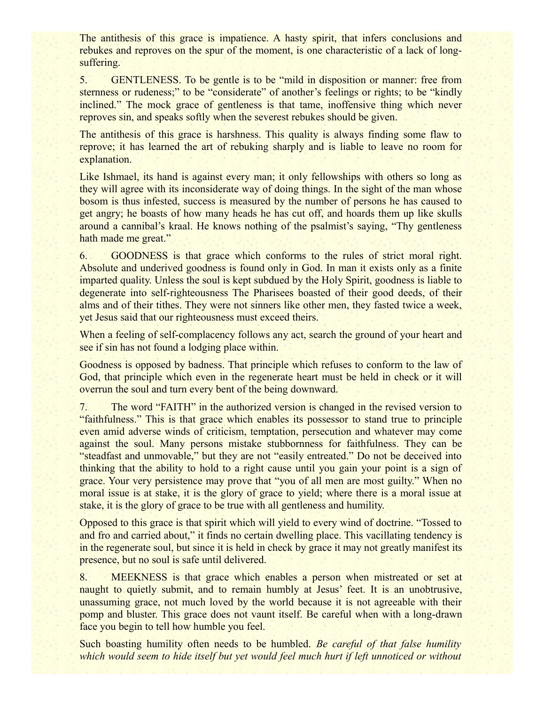The antithesis of this grace is impatience. A hasty spirit, that infers conclusions and rebukes and reproves on the spur of the moment, is one characteristic of a lack of longsuffering.

5. GENTLENESS. To be gentle is to be "mild in disposition or manner: free from sternness or rudeness;" to be "considerate" of another's feelings or rights; to be "kindly" inclined." The mock grace of gentleness is that tame, inoffensive thing which never reproves sin, and speaks softly when the severest rebukes should be given.

The antithesis of this grace is harshness. This quality is always finding some flaw to reprove; it has learned the art of rebuking sharply and is liable to leave no room for explanation.

Like Ishmael, its hand is against every man; it only fellowships with others so long as they will agree with its inconsiderate way of doing things. In the sight of the man whose bosom is thus infested, success is measured by the number of persons he has caused to get angry; he boasts of how many heads he has cut off, and hoards them up like skulls around a cannibal's kraal. He knows nothing of the psalmist's saying, "Thy gentleness hath made me great."

6. GOODNESS is that grace which conforms to the rules of strict moral right. Absolute and underived goodness is found only in God. In man it exists only as a finite imparted quality. Unless the soul is kept subdued by the Holy Spirit, goodness is liable to degenerate into self-righteousness The Pharisees boasted of their good deeds, of their alms and of their tithes. They were not sinners like other men, they fasted twice a week, yet Jesus said that our righteousness must exceed theirs.

When a feeling of self-complacency follows any act, search the ground of your heart and see if sin has not found a lodging place within.

Goodness is opposed by badness. That principle which refuses to conform to the law of God, that principle which even in the regenerate heart must be held in check or it will overrun the soul and turn every bent of the being downward.

7. The word "FAITH" in the authorized version is changed in the revised version to "faithfulness." This is that grace which enables its possessor to stand true to principle even amid adverse winds of criticism, temptation, persecution and whatever may come against the soul. Many persons mistake stubbornness for faithfulness. They can be "steadfast and unmovable," but they are not "easily entreated." Do not be deceived into thinking that the ability to hold to a right cause until you gain your point is a sign of grace. Your very persistence may prove that "you of all men are most guilty." When no moral issue is at stake, it is the glory of grace to yield; where there is a moral issue at stake, it is the glory of grace to be true with all gentleness and humility.

Opposed to this grace is that spirit which will yield to every wind of doctrine. "Tossed to and fro and carried about," it finds no certain dwelling place. This vacillating tendency is in the regenerate soul, but since it is held in check by grace it may not greatly manifest its presence, but no soul is safe until delivered.

8. MEEKNESS is that grace which enables a person when mistreated or set at naught to quietly submit, and to remain humbly at Jesus' feet. It is an unobtrusive, unassuming grace, not much loved by the world because it is not agreeable with their pomp and bluster. This grace does not vaunt itself. Be careful when with a long-drawn face you begin to tell how humble you feel.

Such boasting humility often needs to be humbled. *Be careful of that false humility which would seem to hide itself but yet would feel much hurt if left unnoticed or without*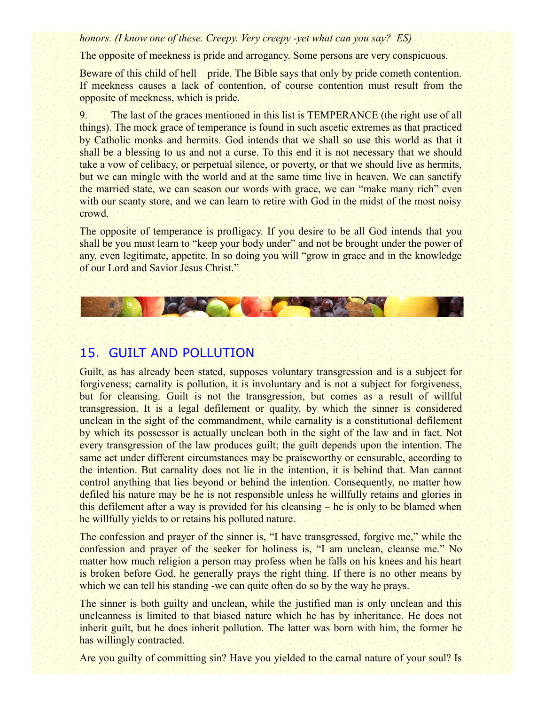### *honors. (I know one of these. Creepy. Very creepy -yet what can you say? ES)*

The opposite of meekness is pride and arrogancy. Some persons are very conspicuous.

Beware of this child of hell – pride. The Bible says that only by pride cometh contention. If meekness causes a lack of contention, of course contention must result from the opposite of meekness, which is pride.

9. The last of the graces mentioned in this list is TEMPERANCE (the right use of all things). The mock grace of temperance is found in such ascetic extremes as that practiced by Catholic monks and hermits. God intends that we shall so use this world as that it shall be a blessing to us and not a curse. To this end it is not necessary that we should take a vow of celibacy, or perpetual silence, or poverty, or that we should live as hermits, but we can mingle with the world and at the same time live in heaven. We can sanctify the married state, we can season our words with grace, we can "make many rich" even with our scanty store, and we can learn to retire with God in the midst of the most noisy crowd.

The opposite of temperance is profligacy. If you desire to be all God intends that you shall be you must learn to "keep your body under" and not be brought under the power of any, even legitimate, appetite. In so doing you will "grow in grace and in the knowledge of our Lord and Savior Jesus Christ."

### 15. GUILT AND POLLUTION

**CALLERY** 

Guilt, as has already been stated, supposes voluntary transgression and is a subject for forgiveness; carnality is pollution, it is involuntary and is not a subject for forgiveness, but for cleansing. Guilt is not the transgression, but comes as a result of willful transgression. It is a legal defilement or quality, by which the sinner is considered unclean in the sight of the commandment, while carnality is a constitutional defilement by which its possessor is actually unclean both in the sight of the law and in fact. Not every transgression of the law produces guilt; the guilt depends upon the intention. The same act under different circumstances may be praiseworthy or censurable, according to the intention. But carnality does not lie in the intention, it is behind that. Man cannot control anything that lies beyond or behind the intention. Consequently, no matter how defiled his nature may be he is not responsible unless he willfully retains and glories in this defilement after a way is provided for his cleansing – he is only to be blamed when he willfully yields to or retains his polluted nature.

The confession and prayer of the sinner is, "I have transgressed, forgive me," while the confession and prayer of the seeker for holiness is, "I am unclean, cleanse me." No matter how much religion a person may profess when he falls on his knees and his heart is broken before God, he generally prays the right thing. If there is no other means by which we can tell his standing -we can quite often do so by the way he prays.

The sinner is both guilty and unclean, while the justified man is only unclean and this uncleanness is limited to that biased nature which he has by inheritance. He does not inherit guilt, but he does inherit pollution. The latter was born with him, the former he has willingly contracted.

Are you guilty of committing sin? Have you yielded to the carnal nature of your soul? Is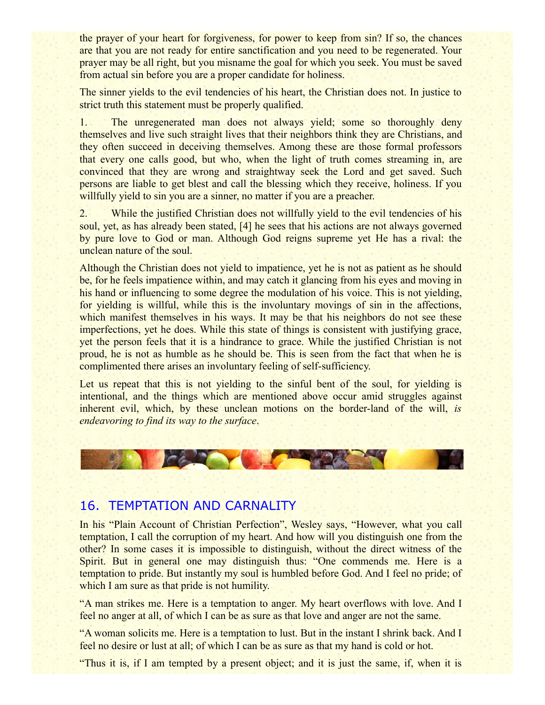the prayer of your heart for forgiveness, for power to keep from sin? If so, the chances are that you are not ready for entire sanctification and you need to be regenerated. Your prayer may be all right, but you misname the goal for which you seek. You must be saved from actual sin before you are a proper candidate for holiness.

The sinner yields to the evil tendencies of his heart, the Christian does not. In justice to strict truth this statement must be properly qualified.

1. The unregenerated man does not always yield; some so thoroughly deny themselves and live such straight lives that their neighbors think they are Christians, and they often succeed in deceiving themselves. Among these are those formal professors that every one calls good, but who, when the light of truth comes streaming in, are convinced that they are wrong and straightway seek the Lord and get saved. Such persons are liable to get blest and call the blessing which they receive, holiness. If you willfully yield to sin you are a sinner, no matter if you are a preacher.

2. While the justified Christian does not willfully yield to the evil tendencies of his soul, yet, as has already been stated, [4] he sees that his actions are not always governed by pure love to God or man. Although God reigns supreme yet He has a rival: the unclean nature of the soul.

Although the Christian does not yield to impatience, yet he is not as patient as he should be, for he feels impatience within, and may catch it glancing from his eyes and moving in his hand or influencing to some degree the modulation of his voice. This is not yielding, for yielding is willful, while this is the involuntary movings of sin in the affections, which manifest themselves in his ways. It may be that his neighbors do not see these imperfections, yet he does. While this state of things is consistent with justifying grace, yet the person feels that it is a hindrance to grace. While the justified Christian is not proud, he is not as humble as he should be. This is seen from the fact that when he is complimented there arises an involuntary feeling of self-sufficiency.

Let us repeat that this is not yielding to the sinful bent of the soul, for yielding is intentional, and the things which are mentioned above occur amid struggles against inherent evil, which, by these unclean motions on the border-land of the will, *is endeavoring to find its way to the surface*.



### 16. TEMPTATION AND CARNALITY

In his "Plain Account of Christian Perfection", Wesley says, "However, what you call temptation, I call the corruption of my heart. And how will you distinguish one from the other? In some cases it is impossible to distinguish, without the direct witness of the Spirit. But in general one may distinguish thus: "One commends me. Here is a temptation to pride. But instantly my soul is humbled before God. And I feel no pride; of which I am sure as that pride is not humility.

"A man strikes me. Here is a temptation to anger. My heart overflows with love. And I feel no anger at all, of which I can be as sure as that love and anger are not the same.

"A woman solicits me. Here is a temptation to lust. But in the instant I shrink back. And I feel no desire or lust at all; of which I can be as sure as that my hand is cold or hot.

"Thus it is, if I am tempted by a present object; and it is just the same, if, when it is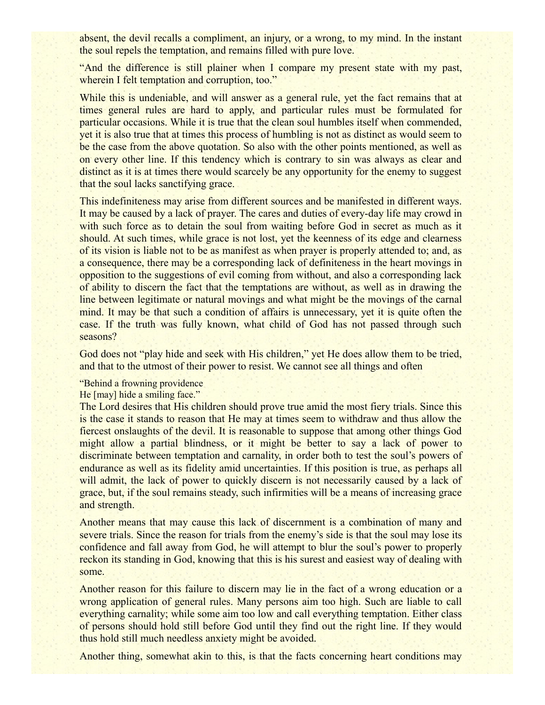absent, the devil recalls a compliment, an injury, or a wrong, to my mind. In the instant the soul repels the temptation, and remains filled with pure love.

"And the difference is still plainer when I compare my present state with my past, wherein I felt temptation and corruption, too."

While this is undeniable, and will answer as a general rule, yet the fact remains that at times general rules are hard to apply, and particular rules must be formulated for particular occasions. While it is true that the clean soul humbles itself when commended, yet it is also true that at times this process of humbling is not as distinct as would seem to be the case from the above quotation. So also with the other points mentioned, as well as on every other line. If this tendency which is contrary to sin was always as clear and distinct as it is at times there would scarcely be any opportunity for the enemy to suggest that the soul lacks sanctifying grace.

This indefiniteness may arise from different sources and be manifested in different ways. It may be caused by a lack of prayer. The cares and duties of every-day life may crowd in with such force as to detain the soul from waiting before God in secret as much as it should. At such times, while grace is not lost, yet the keenness of its edge and clearness of its vision is liable not to be as manifest as when prayer is properly attended to; and, as a consequence, there may be a corresponding lack of definiteness in the heart movings in opposition to the suggestions of evil coming from without, and also a corresponding lack of ability to discern the fact that the temptations are without, as well as in drawing the line between legitimate or natural movings and what might be the movings of the carnal mind. It may be that such a condition of affairs is unnecessary, yet it is quite often the case. If the truth was fully known, what child of God has not passed through such seasons?

God does not "play hide and seek with His children," yet He does allow them to be tried, and that to the utmost of their power to resist. We cannot see all things and often

"Behind a frowning providence

He [may] hide a smiling face."

The Lord desires that His children should prove true amid the most fiery trials. Since this is the case it stands to reason that He may at times seem to withdraw and thus allow the fiercest onslaughts of the devil. It is reasonable to suppose that among other things God might allow a partial blindness, or it might be better to say a lack of power to discriminate between temptation and carnality, in order both to test the soul's powers of endurance as well as its fidelity amid uncertainties. If this position is true, as perhaps all will admit, the lack of power to quickly discern is not necessarily caused by a lack of grace, but, if the soul remains steady, such infirmities will be a means of increasing grace and strength.

Another means that may cause this lack of discernment is a combination of many and severe trials. Since the reason for trials from the enemy's side is that the soul may lose its confidence and fall away from God, he will attempt to blur the soul's power to properly reckon its standing in God, knowing that this is his surest and easiest way of dealing with some.

Another reason for this failure to discern may lie in the fact of a wrong education or a wrong application of general rules. Many persons aim too high. Such are liable to call everything carnality; while some aim too low and call everything temptation. Either class of persons should hold still before God until they find out the right line. If they would thus hold still much needless anxiety might be avoided.

Another thing, somewhat akin to this, is that the facts concerning heart conditions may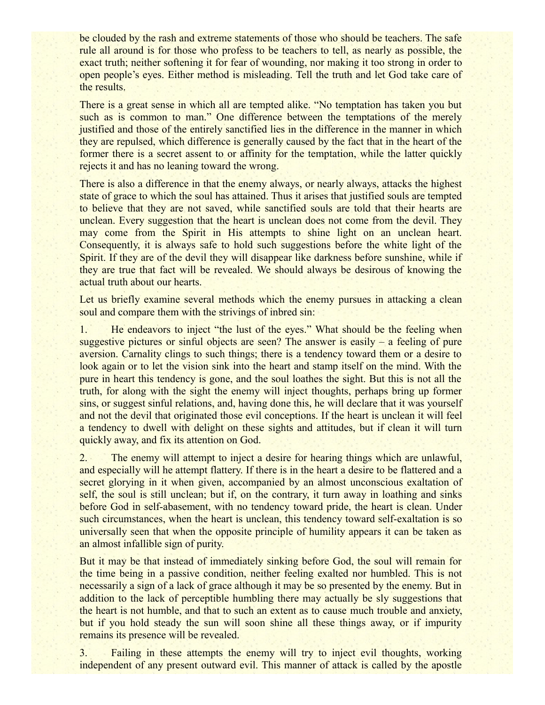be clouded by the rash and extreme statements of those who should be teachers. The safe rule all around is for those who profess to be teachers to tell, as nearly as possible, the exact truth; neither softening it for fear of wounding, nor making it too strong in order to open people's eyes. Either method is misleading. Tell the truth and let God take care of the results.

There is a great sense in which all are tempted alike. "No temptation has taken you but such as is common to man." One difference between the temptations of the merely justified and those of the entirely sanctified lies in the difference in the manner in which they are repulsed, which difference is generally caused by the fact that in the heart of the former there is a secret assent to or affinity for the temptation, while the latter quickly rejects it and has no leaning toward the wrong.

There is also a difference in that the enemy always, or nearly always, attacks the highest state of grace to which the soul has attained. Thus it arises that justified souls are tempted to believe that they are not saved, while sanctified souls are told that their hearts are unclean. Every suggestion that the heart is unclean does not come from the devil. They may come from the Spirit in His attempts to shine light on an unclean heart. Consequently, it is always safe to hold such suggestions before the white light of the Spirit. If they are of the devil they will disappear like darkness before sunshine, while if they are true that fact will be revealed. We should always be desirous of knowing the actual truth about our hearts.

Let us briefly examine several methods which the enemy pursues in attacking a clean soul and compare them with the strivings of inbred sin:

1. He endeavors to inject "the lust of the eyes." What should be the feeling when suggestive pictures or sinful objects are seen? The answer is easily – a feeling of pure aversion. Carnality clings to such things; there is a tendency toward them or a desire to look again or to let the vision sink into the heart and stamp itself on the mind. With the pure in heart this tendency is gone, and the soul loathes the sight. But this is not all the truth, for along with the sight the enemy will inject thoughts, perhaps bring up former sins, or suggest sinful relations, and, having done this, he will declare that it was yourself and not the devil that originated those evil conceptions. If the heart is unclean it will feel a tendency to dwell with delight on these sights and attitudes, but if clean it will turn quickly away, and fix its attention on God.

2. The enemy will attempt to inject a desire for hearing things which are unlawful, and especially will he attempt flattery. If there is in the heart a desire to be flattered and a secret glorying in it when given, accompanied by an almost unconscious exaltation of self, the soul is still unclean; but if, on the contrary, it turn away in loathing and sinks before God in self-abasement, with no tendency toward pride, the heart is clean. Under such circumstances, when the heart is unclean, this tendency toward self-exaltation is so universally seen that when the opposite principle of humility appears it can be taken as an almost infallible sign of purity.

But it may be that instead of immediately sinking before God, the soul will remain for the time being in a passive condition, neither feeling exalted nor humbled. This is not necessarily a sign of a lack of grace although it may be so presented by the enemy. But in addition to the lack of perceptible humbling there may actually be sly suggestions that the heart is not humble, and that to such an extent as to cause much trouble and anxiety, but if you hold steady the sun will soon shine all these things away, or if impurity remains its presence will be revealed.

3. Failing in these attempts the enemy will try to inject evil thoughts, working independent of any present outward evil. This manner of attack is called by the apostle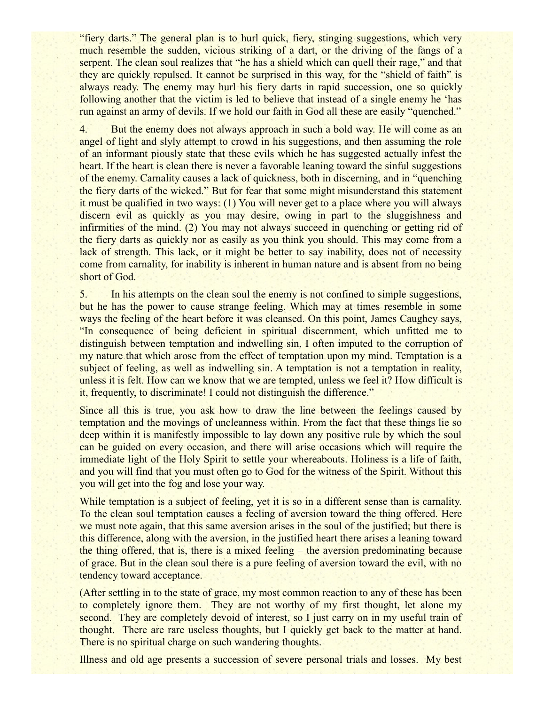"fiery darts." The general plan is to hurl quick, fiery, stinging suggestions, which very much resemble the sudden, vicious striking of a dart, or the driving of the fangs of a serpent. The clean soul realizes that "he has a shield which can quell their rage," and that they are quickly repulsed. It cannot be surprised in this way, for the "shield of faith" is always ready. The enemy may hurl his fiery darts in rapid succession, one so quickly following another that the victim is led to believe that instead of a single enemy he 'has run against an army of devils. If we hold our faith in God all these are easily "quenched."

4. But the enemy does not always approach in such a bold way. He will come as an angel of light and slyly attempt to crowd in his suggestions, and then assuming the role of an informant piously state that these evils which he has suggested actually infest the heart. If the heart is clean there is never a favorable leaning toward the sinful suggestions of the enemy. Carnality causes a lack of quickness, both in discerning, and in "quenching the fiery darts of the wicked." But for fear that some might misunderstand this statement it must be qualified in two ways: (1) You will never get to a place where you will always discern evil as quickly as you may desire, owing in part to the sluggishness and infirmities of the mind. (2) You may not always succeed in quenching or getting rid of the fiery darts as quickly nor as easily as you think you should. This may come from a lack of strength. This lack, or it might be better to say inability, does not of necessity come from carnality, for inability is inherent in human nature and is absent from no being short of God.

5. In his attempts on the clean soul the enemy is not confined to simple suggestions, but he has the power to cause strange feeling. Which may at times resemble in some ways the feeling of the heart before it was cleansed. On this point, James Caughey says, "In consequence of being deficient in spiritual discernment, which unfitted me to distinguish between temptation and indwelling sin, I often imputed to the corruption of my nature that which arose from the effect of temptation upon my mind. Temptation is a subject of feeling, as well as indwelling sin. A temptation is not a temptation in reality, unless it is felt. How can we know that we are tempted, unless we feel it? How difficult is it, frequently, to discriminate! I could not distinguish the difference."

Since all this is true, you ask how to draw the line between the feelings caused by temptation and the movings of uncleanness within. From the fact that these things lie so deep within it is manifestly impossible to lay down any positive rule by which the soul can be guided on every occasion, and there will arise occasions which will require the immediate light of the Holy Spirit to settle your whereabouts. Holiness is a life of faith, and you will find that you must often go to God for the witness of the Spirit. Without this you will get into the fog and lose your way.

While temptation is a subject of feeling, yet it is so in a different sense than is carnality. To the clean soul temptation causes a feeling of aversion toward the thing offered. Here we must note again, that this same aversion arises in the soul of the justified; but there is this difference, along with the aversion, in the justified heart there arises a leaning toward the thing offered, that is, there is a mixed feeling – the aversion predominating because of grace. But in the clean soul there is a pure feeling of aversion toward the evil, with no tendency toward acceptance.

(After settling in to the state of grace, my most common reaction to any of these has been to completely ignore them. They are not worthy of my first thought, let alone my second. They are completely devoid of interest, so I just carry on in my useful train of thought. There are rare useless thoughts, but I quickly get back to the matter at hand. There is no spiritual charge on such wandering thoughts.

Illness and old age presents a succession of severe personal trials and losses. My best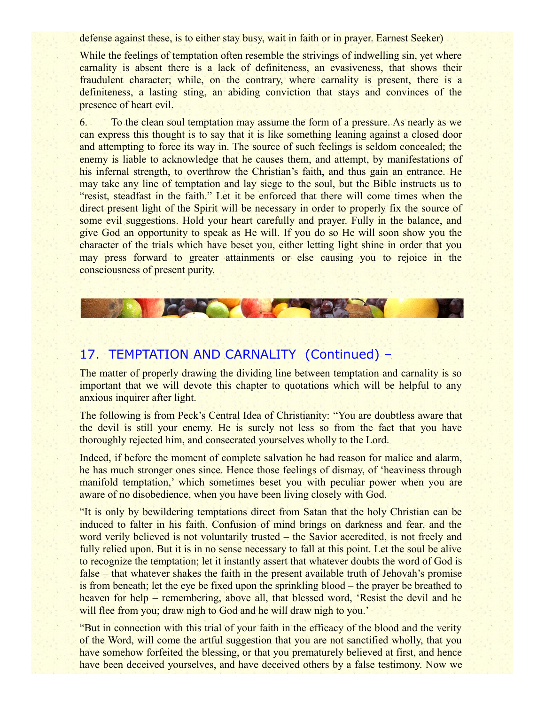defense against these, is to either stay busy, wait in faith or in prayer. Earnest Seeker)

While the feelings of temptation often resemble the strivings of indwelling sin, yet where carnality is absent there is a lack of definiteness, an evasiveness, that shows their fraudulent character; while, on the contrary, where carnality is present, there is a definiteness, a lasting sting, an abiding conviction that stays and convinces of the presence of heart evil.

6. To the clean soul temptation may assume the form of a pressure. As nearly as we can express this thought is to say that it is like something leaning against a closed door and attempting to force its way in. The source of such feelings is seldom concealed; the enemy is liable to acknowledge that he causes them, and attempt, by manifestations of his infernal strength, to overthrow the Christian's faith, and thus gain an entrance. He may take any line of temptation and lay siege to the soul, but the Bible instructs us to "resist, steadfast in the faith." Let it be enforced that there will come times when the direct present light of the Spirit will be necessary in order to properly fix the source of some evil suggestions. Hold your heart carefully and prayer. Fully in the balance, and give God an opportunity to speak as He will. If you do so He will soon show you the character of the trials which have beset you, either letting light shine in order that you may press forward to greater attainments or else causing you to rejoice in the consciousness of present purity.

### 17. TEMPTATION AND CARNALITY (Continued) –

**CARDY** 

The matter of properly drawing the dividing line between temptation and carnality is so important that we will devote this chapter to quotations which will be helpful to any anxious inquirer after light.

The following is from Peck's Central Idea of Christianity: "You are doubtless aware that the devil is still your enemy. He is surely not less so from the fact that you have thoroughly rejected him, and consecrated yourselves wholly to the Lord.

Indeed, if before the moment of complete salvation he had reason for malice and alarm, he has much stronger ones since. Hence those feelings of dismay, of 'heaviness through manifold temptation,' which sometimes beset you with peculiar power when you are aware of no disobedience, when you have been living closely with God.

"It is only by bewildering temptations direct from Satan that the holy Christian can be induced to falter in his faith. Confusion of mind brings on darkness and fear, and the word verily believed is not voluntarily trusted – the Savior accredited, is not freely and fully relied upon. But it is in no sense necessary to fall at this point. Let the soul be alive to recognize the temptation; let it instantly assert that whatever doubts the word of God is false – that whatever shakes the faith in the present available truth of Jehovah's promise is from beneath; let the eye be fixed upon the sprinkling blood – the prayer be breathed to heaven for help – remembering, above all, that blessed word, 'Resist the devil and he will flee from you; draw nigh to God and he will draw nigh to you.'

"But in connection with this trial of your faith in the efficacy of the blood and the verity of the Word, will come the artful suggestion that you are not sanctified wholly, that you have somehow forfeited the blessing, or that you prematurely believed at first, and hence have been deceived yourselves, and have deceived others by a false testimony. Now we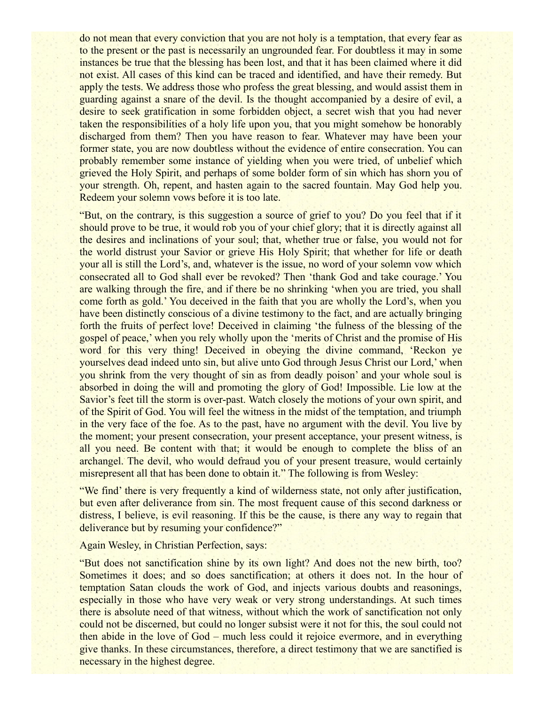do not mean that every conviction that you are not holy is a temptation, that every fear as to the present or the past is necessarily an ungrounded fear. For doubtless it may in some instances be true that the blessing has been lost, and that it has been claimed where it did not exist. All cases of this kind can be traced and identified, and have their remedy. But apply the tests. We address those who profess the great blessing, and would assist them in guarding against a snare of the devil. Is the thought accompanied by a desire of evil, a desire to seek gratification in some forbidden object, a secret wish that you had never taken the responsibilities of a holy life upon you, that you might somehow be honorably discharged from them? Then you have reason to fear. Whatever may have been your former state, you are now doubtless without the evidence of entire consecration. You can probably remember some instance of yielding when you were tried, of unbelief which grieved the Holy Spirit, and perhaps of some bolder form of sin which has shorn you of your strength. Oh, repent, and hasten again to the sacred fountain. May God help you. Redeem your solemn vows before it is too late.

"But, on the contrary, is this suggestion a source of grief to you? Do you feel that if it should prove to be true, it would rob you of your chief glory; that it is directly against all the desires and inclinations of your soul; that, whether true or false, you would not for the world distrust your Savior or grieve His Holy Spirit; that whether for life or death your all is still the Lord's, and, whatever is the issue, no word of your solemn vow which consecrated all to God shall ever be revoked? Then 'thank God and take courage.' You are walking through the fire, and if there be no shrinking 'when you are tried, you shall come forth as gold.' You deceived in the faith that you are wholly the Lord's, when you have been distinctly conscious of a divine testimony to the fact, and are actually bringing forth the fruits of perfect love! Deceived in claiming 'the fulness of the blessing of the gospel of peace,' when you rely wholly upon the 'merits of Christ and the promise of His word for this very thing! Deceived in obeying the divine command, 'Reckon ye yourselves dead indeed unto sin, but alive unto God through Jesus Christ our Lord,' when you shrink from the very thought of sin as from deadly poison' and your whole soul is absorbed in doing the will and promoting the glory of God! Impossible. Lie low at the Savior's feet till the storm is over-past. Watch closely the motions of your own spirit, and of the Spirit of God. You will feel the witness in the midst of the temptation, and triumph in the very face of the foe. As to the past, have no argument with the devil. You live by the moment; your present consecration, your present acceptance, your present witness, is all you need. Be content with that; it would be enough to complete the bliss of an archangel. The devil, who would defraud you of your present treasure, would certainly misrepresent all that has been done to obtain it." The following is from Wesley:

"We find' there is very frequently a kind of wilderness state, not only after justification, but even after deliverance from sin. The most frequent cause of this second darkness or distress, I believe, is evil reasoning. If this be the cause, is there any way to regain that deliverance but by resuming your confidence?"

Again Wesley, in Christian Perfection, says:

"But does not sanctification shine by its own light? And does not the new birth, too? Sometimes it does; and so does sanctification; at others it does not. In the hour of temptation Satan clouds the work of God, and injects various doubts and reasonings, especially in those who have very weak or very strong understandings. At such times there is absolute need of that witness, without which the work of sanctification not only could not be discerned, but could no longer subsist were it not for this, the soul could not then abide in the love of God – much less could it rejoice evermore, and in everything give thanks. In these circumstances, therefore, a direct testimony that we are sanctified is necessary in the highest degree.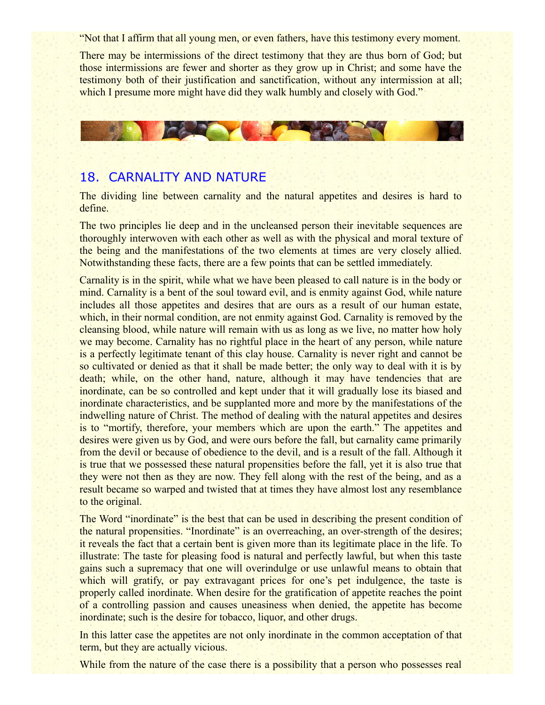"Not that I affirm that all young men, or even fathers, have this testimony every moment.

There may be intermissions of the direct testimony that they are thus born of God; but those intermissions are fewer and shorter as they grow up in Christ; and some have the testimony both of their justification and sanctification, without any intermission at all; which I presume more might have did they walk humbly and closely with God."

### 18. CARNALITY AND NATURE

**CAR OF BUILDING** 

The dividing line between carnality and the natural appetites and desires is hard to define.

The two principles lie deep and in the uncleansed person their inevitable sequences are thoroughly interwoven with each other as well as with the physical and moral texture of the being and the manifestations of the two elements at times are very closely allied. Notwithstanding these facts, there are a few points that can be settled immediately.

Carnality is in the spirit, while what we have been pleased to call nature is in the body or mind. Carnality is a bent of the soul toward evil, and is enmity against God, while nature includes all those appetites and desires that are ours as a result of our human estate, which, in their normal condition, are not enmity against God. Carnality is removed by the cleansing blood, while nature will remain with us as long as we live, no matter how holy we may become. Carnality has no rightful place in the heart of any person, while nature is a perfectly legitimate tenant of this clay house. Carnality is never right and cannot be so cultivated or denied as that it shall be made better; the only way to deal with it is by death; while, on the other hand, nature, although it may have tendencies that are inordinate, can be so controlled and kept under that it will gradually lose its biased and inordinate characteristics, and be supplanted more and more by the manifestations of the indwelling nature of Christ. The method of dealing with the natural appetites and desires is to "mortify, therefore, your members which are upon the earth." The appetites and desires were given us by God, and were ours before the fall, but carnality came primarily from the devil or because of obedience to the devil, and is a result of the fall. Although it is true that we possessed these natural propensities before the fall, yet it is also true that they were not then as they are now. They fell along with the rest of the being, and as a result became so warped and twisted that at times they have almost lost any resemblance to the original.

The Word "inordinate" is the best that can be used in describing the present condition of the natural propensities. "Inordinate" is an overreaching, an over-strength of the desires; it reveals the fact that a certain bent is given more than its legitimate place in the life. To illustrate: The taste for pleasing food is natural and perfectly lawful, but when this taste gains such a supremacy that one will overindulge or use unlawful means to obtain that which will gratify, or pay extravagant prices for one's pet indulgence, the taste is properly called inordinate. When desire for the gratification of appetite reaches the point of a controlling passion and causes uneasiness when denied, the appetite has become inordinate; such is the desire for tobacco, liquor, and other drugs.

In this latter case the appetites are not only inordinate in the common acceptation of that term, but they are actually vicious.

While from the nature of the case there is a possibility that a person who possesses real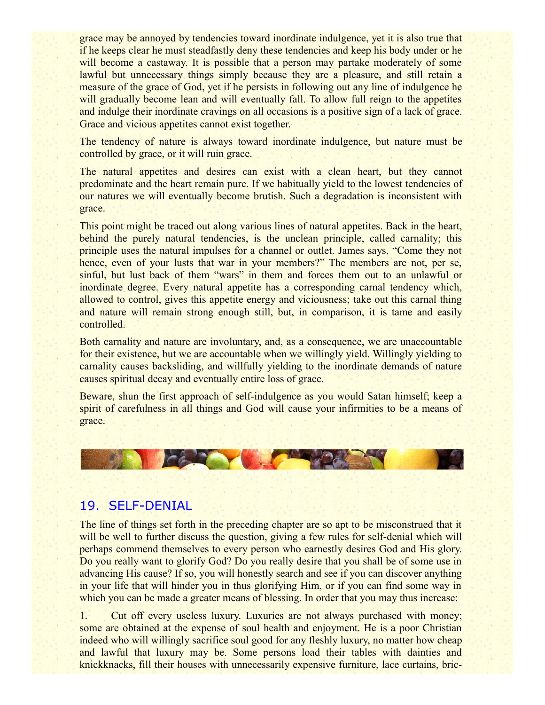grace may be annoyed by tendencies toward inordinate indulgence, yet it is also true that if he keeps clear he must steadfastly deny these tendencies and keep his body under or he will become a castaway. It is possible that a person may partake moderately of some lawful but unnecessary things simply because they are a pleasure, and still retain a measure of the grace of God, yet if he persists in following out any line of indulgence he will gradually become lean and will eventually fall. To allow full reign to the appetites and indulge their inordinate cravings on all occasions is a positive sign of a lack of grace. Grace and vicious appetites cannot exist together.

The tendency of nature is always toward inordinate indulgence, but nature must be controlled by grace, or it will ruin grace.

The natural appetites and desires can exist with a clean heart, but they cannot predominate and the heart remain pure. If we habitually yield to the lowest tendencies of our natures we will eventually become brutish. Such a degradation is inconsistent with grace.

This point might be traced out along various lines of natural appetites. Back in the heart, behind the purely natural tendencies, is the unclean principle, called carnality; this principle uses the natural impulses for a channel or outlet. James says, "Come they not hence, even of your lusts that war in your members?" The members are not, per se, sinful, but lust back of them "wars" in them and forces them out to an unlawful or inordinate degree. Every natural appetite has a corresponding carnal tendency which, allowed to control, gives this appetite energy and viciousness; take out this carnal thing and nature will remain strong enough still, but, in comparison, it is tame and easily controlled.

Both carnality and nature are involuntary, and, as a consequence, we are unaccountable for their existence, but we are accountable when we willingly yield. Willingly yielding to carnality causes backsliding, and willfully yielding to the inordinate demands of nature causes spiritual decay and eventually entire loss of grace.

Beware, shun the first approach of self-indulgence as you would Satan himself; keep a spirit of carefulness in all things and God will cause your infirmities to be a means of grace.



### 19. SELF-DENIAL

The line of things set forth in the preceding chapter are so apt to be misconstrued that it will be well to further discuss the question, giving a few rules for self-denial which will perhaps commend themselves to every person who earnestly desires God and His glory. Do you really want to glorify God? Do you really desire that you shall be of some use in advancing His cause? If so, you will honestly search and see if you can discover anything in your life that will hinder you in thus glorifying Him, or if you can find some way in which you can be made a greater means of blessing. In order that you may thus increase:

1. Cut off every useless luxury. Luxuries are not always purchased with money; some are obtained at the expense of soul health and enjoyment. He is a poor Christian indeed who will willingly sacrifice soul good for any fleshly luxury, no matter how cheap and lawful that luxury may be. Some persons load their tables with dainties and knickknacks, fill their houses with unnecessarily expensive furniture, lace curtains, bric-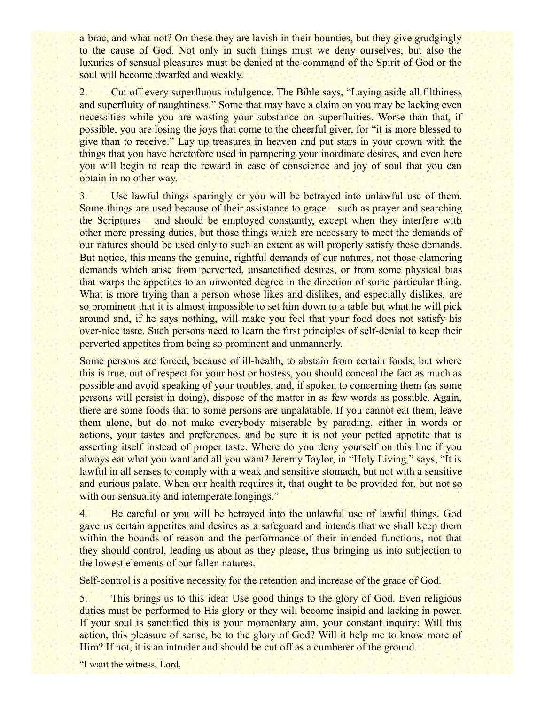a-brac, and what not? On these they are lavish in their bounties, but they give grudgingly to the cause of God. Not only in such things must we deny ourselves, but also the luxuries of sensual pleasures must be denied at the command of the Spirit of God or the soul will become dwarfed and weakly.

2. Cut off every superfluous indulgence. The Bible says, "Laying aside all filthiness and superfluity of naughtiness." Some that may have a claim on you may be lacking even necessities while you are wasting your substance on superfluities. Worse than that, if possible, you are losing the joys that come to the cheerful giver, for "it is more blessed to give than to receive." Lay up treasures in heaven and put stars in your crown with the things that you have heretofore used in pampering your inordinate desires, and even here you will begin to reap the reward in ease of conscience and joy of soul that you can obtain in no other way.

3. Use lawful things sparingly or you will be betrayed into unlawful use of them. Some things are used because of their assistance to grace – such as prayer and searching the Scriptures – and should be employed constantly, except when they interfere with other more pressing duties; but those things which are necessary to meet the demands of our natures should be used only to such an extent as will properly satisfy these demands. But notice, this means the genuine, rightful demands of our natures, not those clamoring demands which arise from perverted, unsanctified desires, or from some physical bias that warps the appetites to an unwonted degree in the direction of some particular thing. What is more trying than a person whose likes and dislikes, and especially dislikes, are so prominent that it is almost impossible to set him down to a table but what he will pick around and, if he says nothing, will make you feel that your food does not satisfy his over-nice taste. Such persons need to learn the first principles of self-denial to keep their perverted appetites from being so prominent and unmannerly.

Some persons are forced, because of ill-health, to abstain from certain foods; but where this is true, out of respect for your host or hostess, you should conceal the fact as much as possible and avoid speaking of your troubles, and, if spoken to concerning them (as some persons will persist in doing), dispose of the matter in as few words as possible. Again, there are some foods that to some persons are unpalatable. If you cannot eat them, leave them alone, but do not make everybody miserable by parading, either in words or actions, your tastes and preferences, and be sure it is not your petted appetite that is asserting itself instead of proper taste. Where do you deny yourself on this line if you always eat what you want and all you want? Jeremy Taylor, in "Holy Living," says, "It is lawful in all senses to comply with a weak and sensitive stomach, but not with a sensitive and curious palate. When our health requires it, that ought to be provided for, but not so with our sensuality and intemperate longings."

4. Be careful or you will be betrayed into the unlawful use of lawful things. God gave us certain appetites and desires as a safeguard and intends that we shall keep them within the bounds of reason and the performance of their intended functions, not that they should control, leading us about as they please, thus bringing us into subjection to the lowest elements of our fallen natures.

Self-control is a positive necessity for the retention and increase of the grace of God.

5. This brings us to this idea: Use good things to the glory of God. Even religious duties must be performed to His glory or they will become insipid and lacking in power. If your soul is sanctified this is your momentary aim, your constant inquiry: Will this action, this pleasure of sense, be to the glory of God? Will it help me to know more of Him? If not, it is an intruder and should be cut off as a cumberer of the ground.

"I want the witness, Lord,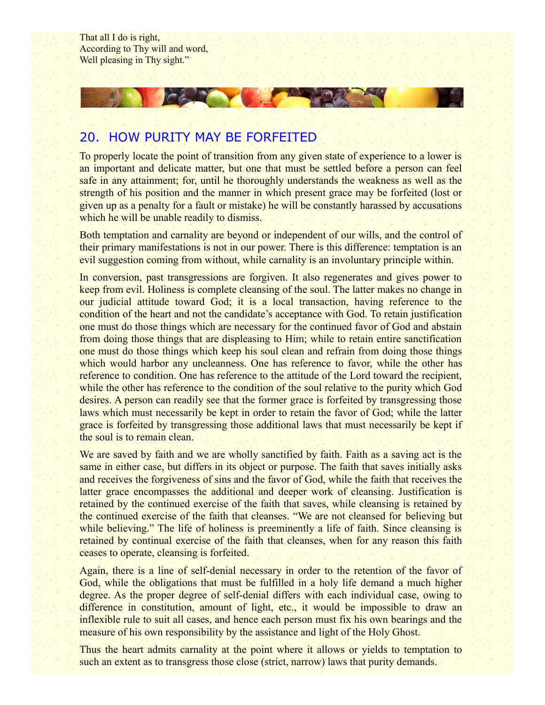That all I do is right, According to Thy will and word, Well pleasing in Thy sight."



### 20. HOW PURITY MAY BE FORFEITED

To properly locate the point of transition from any given state of experience to a lower is an important and delicate matter, but one that must be settled before a person can feel safe in any attainment; for, until he thoroughly understands the weakness as well as the strength of his position and the manner in which present grace may be forfeited (lost or given up as a penalty for a fault or mistake) he will be constantly harassed by accusations which he will be unable readily to dismiss.

Both temptation and carnality are beyond or independent of our wills, and the control of their primary manifestations is not in our power. There is this difference: temptation is an evil suggestion coming from without, while carnality is an involuntary principle within.

In conversion, past transgressions are forgiven. It also regenerates and gives power to keep from evil. Holiness is complete cleansing of the soul. The latter makes no change in our judicial attitude toward God; it is a local transaction, having reference to the condition of the heart and not the candidate's acceptance with God. To retain justification one must do those things which are necessary for the continued favor of God and abstain from doing those things that are displeasing to Him; while to retain entire sanctification one must do those things which keep his soul clean and refrain from doing those things which would harbor any uncleanness. One has reference to favor, while the other has reference to condition. One has reference to the attitude of the Lord toward the recipient, while the other has reference to the condition of the soul relative to the purity which God desires. A person can readily see that the former grace is forfeited by transgressing those laws which must necessarily be kept in order to retain the favor of God; while the latter grace is forfeited by transgressing those additional laws that must necessarily be kept if the soul is to remain clean.

We are saved by faith and we are wholly sanctified by faith. Faith as a saving act is the same in either case, but differs in its object or purpose. The faith that saves initially asks and receives the forgiveness of sins and the favor of God, while the faith that receives the latter grace encompasses the additional and deeper work of cleansing. Justification is retained by the continued exercise of the faith that saves, while cleansing is retained by the continued exercise of the faith that cleanses. "We are not cleansed for believing but while believing." The life of holiness is preeminently a life of faith. Since cleansing is retained by continual exercise of the faith that cleanses, when for any reason this faith ceases to operate, cleansing is forfeited.

Again, there is a line of self-denial necessary in order to the retention of the favor of God, while the obligations that must be fulfilled in a holy life demand a much higher degree. As the proper degree of self-denial differs with each individual case, owing to difference in constitution, amount of light, etc., it would be impossible to draw an inflexible rule to suit all cases, and hence each person must fix his own bearings and the measure of his own responsibility by the assistance and light of the Holy Ghost.

Thus the heart admits carnality at the point where it allows or yields to temptation to such an extent as to transgress those close (strict, narrow) laws that purity demands.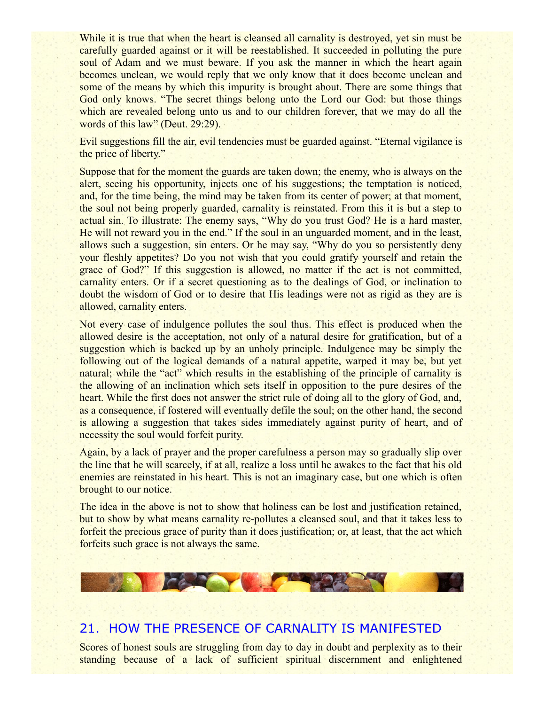While it is true that when the heart is cleansed all carnality is destroyed, yet sin must be carefully guarded against or it will be reestablished. It succeeded in polluting the pure soul of Adam and we must beware. If you ask the manner in which the heart again becomes unclean, we would reply that we only know that it does become unclean and some of the means by which this impurity is brought about. There are some things that God only knows. "The secret things belong unto the Lord our God: but those things which are revealed belong unto us and to our children forever, that we may do all the words of this law" (Deut. 29:29).

Evil suggestions fill the air, evil tendencies must be guarded against. "Eternal vigilance is the price of liberty."

Suppose that for the moment the guards are taken down; the enemy, who is always on the alert, seeing his opportunity, injects one of his suggestions; the temptation is noticed, and, for the time being, the mind may be taken from its center of power; at that moment, the soul not being properly guarded, carnality is reinstated. From this it is but a step to actual sin. To illustrate: The enemy says, "Why do you trust God? He is a hard master, He will not reward you in the end." If the soul in an unguarded moment, and in the least, allows such a suggestion, sin enters. Or he may say, "Why do you so persistently deny your fleshly appetites? Do you not wish that you could gratify yourself and retain the grace of God?" If this suggestion is allowed, no matter if the act is not committed, carnality enters. Or if a secret questioning as to the dealings of God, or inclination to doubt the wisdom of God or to desire that His leadings were not as rigid as they are is allowed, carnality enters.

Not every case of indulgence pollutes the soul thus. This effect is produced when the allowed desire is the acceptation, not only of a natural desire for gratification, but of a suggestion which is backed up by an unholy principle. Indulgence may be simply the following out of the logical demands of a natural appetite, warped it may be, but yet natural; while the "act" which results in the establishing of the principle of carnality is the allowing of an inclination which sets itself in opposition to the pure desires of the heart. While the first does not answer the strict rule of doing all to the glory of God, and, as a consequence, if fostered will eventually defile the soul; on the other hand, the second is allowing a suggestion that takes sides immediately against purity of heart, and of necessity the soul would forfeit purity.

Again, by a lack of prayer and the proper carefulness a person may so gradually slip over the line that he will scarcely, if at all, realize a loss until he awakes to the fact that his old enemies are reinstated in his heart. This is not an imaginary case, but one which is often brought to our notice.

The idea in the above is not to show that holiness can be lost and justification retained, but to show by what means carnality re-pollutes a cleansed soul, and that it takes less to forfeit the precious grace of purity than it does justification; or, at least, that the act which forfeits such grace is not always the same.



### 21. HOW THE PRESENCE OF CARNALITY IS MANIFESTED

Scores of honest souls are struggling from day to day in doubt and perplexity as to their standing because of a lack of sufficient spiritual discernment and enlightened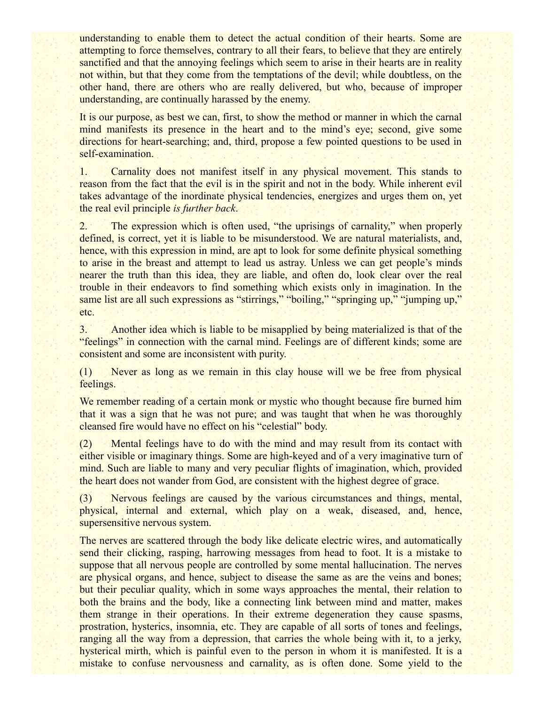understanding to enable them to detect the actual condition of their hearts. Some are attempting to force themselves, contrary to all their fears, to believe that they are entirely sanctified and that the annoying feelings which seem to arise in their hearts are in reality not within, but that they come from the temptations of the devil; while doubtless, on the other hand, there are others who are really delivered, but who, because of improper understanding, are continually harassed by the enemy.

It is our purpose, as best we can, first, to show the method or manner in which the carnal mind manifests its presence in the heart and to the mind's eye; second, give some directions for heart-searching; and, third, propose a few pointed questions to be used in self-examination.

1. Carnality does not manifest itself in any physical movement. This stands to reason from the fact that the evil is in the spirit and not in the body. While inherent evil takes advantage of the inordinate physical tendencies, energizes and urges them on, yet the real evil principle *is further back*.

2. The expression which is often used, "the uprisings of carnality," when properly defined, is correct, yet it is liable to be misunderstood. We are natural materialists, and, hence, with this expression in mind, are apt to look for some definite physical something to arise in the breast and attempt to lead us astray. Unless we can get people's minds nearer the truth than this idea, they are liable, and often do, look clear over the real trouble in their endeavors to find something which exists only in imagination. In the same list are all such expressions as "stirrings," "boiling," "springing up," "jumping up," etc.

3. Another idea which is liable to be misapplied by being materialized is that of the "feelings" in connection with the carnal mind. Feelings are of different kinds; some are consistent and some are inconsistent with purity.

(1) Never as long as we remain in this clay house will we be free from physical feelings.

We remember reading of a certain monk or mystic who thought because fire burned him that it was a sign that he was not pure; and was taught that when he was thoroughly cleansed fire would have no effect on his "celestial" body.

(2) Mental feelings have to do with the mind and may result from its contact with either visible or imaginary things. Some are high-keyed and of a very imaginative turn of mind. Such are liable to many and very peculiar flights of imagination, which, provided the heart does not wander from God, are consistent with the highest degree of grace.

(3) Nervous feelings are caused by the various circumstances and things, mental, physical, internal and external, which play on a weak, diseased, and, hence, supersensitive nervous system.

The nerves are scattered through the body like delicate electric wires, and automatically send their clicking, rasping, harrowing messages from head to foot. It is a mistake to suppose that all nervous people are controlled by some mental hallucination. The nerves are physical organs, and hence, subject to disease the same as are the veins and bones; but their peculiar quality, which in some ways approaches the mental, their relation to both the brains and the body, like a connecting link between mind and matter, makes them strange in their operations. In their extreme degeneration they cause spasms, prostration, hysterics, insomnia, etc. They are capable of all sorts of tones and feelings, ranging all the way from a depression, that carries the whole being with it, to a jerky, hysterical mirth, which is painful even to the person in whom it is manifested. It is a mistake to confuse nervousness and carnality, as is often done. Some yield to the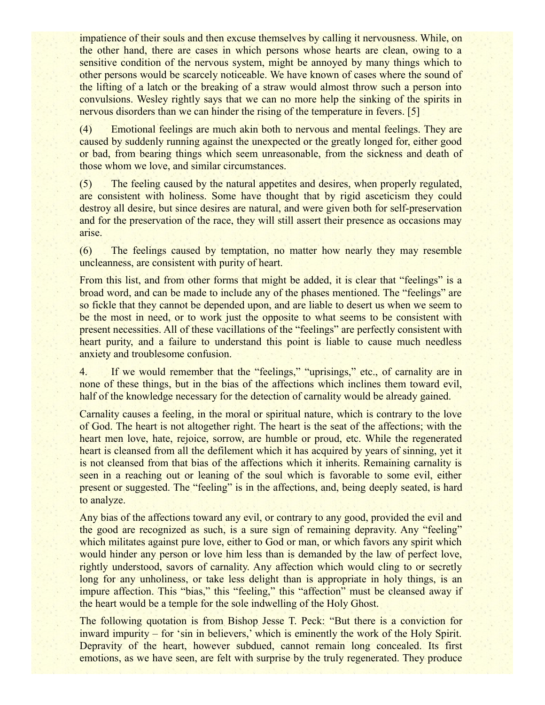impatience of their souls and then excuse themselves by calling it nervousness. While, on the other hand, there are cases in which persons whose hearts are clean, owing to a sensitive condition of the nervous system, might be annoyed by many things which to other persons would be scarcely noticeable. We have known of cases where the sound of the lifting of a latch or the breaking of a straw would almost throw such a person into convulsions. Wesley rightly says that we can no more help the sinking of the spirits in nervous disorders than we can hinder the rising of the temperature in fevers. [5]

(4) Emotional feelings are much akin both to nervous and mental feelings. They are caused by suddenly running against the unexpected or the greatly longed for, either good or bad, from bearing things which seem unreasonable, from the sickness and death of those whom we love, and similar circumstances.

(5) The feeling caused by the natural appetites and desires, when properly regulated, are consistent with holiness. Some have thought that by rigid asceticism they could destroy all desire, but since desires are natural, and were given both for self-preservation and for the preservation of the race, they will still assert their presence as occasions may arise.

(6) The feelings caused by temptation, no matter how nearly they may resemble uncleanness, are consistent with purity of heart.

From this list, and from other forms that might be added, it is clear that "feelings" is a broad word, and can be made to include any of the phases mentioned. The "feelings" are so fickle that they cannot be depended upon, and are liable to desert us when we seem to be the most in need, or to work just the opposite to what seems to be consistent with present necessities. All of these vacillations of the "feelings" are perfectly consistent with heart purity, and a failure to understand this point is liable to cause much needless anxiety and troublesome confusion.

4. If we would remember that the "feelings," "uprisings," etc., of carnality are in none of these things, but in the bias of the affections which inclines them toward evil, half of the knowledge necessary for the detection of carnality would be already gained.

Carnality causes a feeling, in the moral or spiritual nature, which is contrary to the love of God. The heart is not altogether right. The heart is the seat of the affections; with the heart men love, hate, rejoice, sorrow, are humble or proud, etc. While the regenerated heart is cleansed from all the defilement which it has acquired by years of sinning, yet it is not cleansed from that bias of the affections which it inherits. Remaining carnality is seen in a reaching out or leaning of the soul which is favorable to some evil, either present or suggested. The "feeling" is in the affections, and, being deeply seated, is hard to analyze.

Any bias of the affections toward any evil, or contrary to any good, provided the evil and the good are recognized as such, is a sure sign of remaining depravity. Any "feeling" which militates against pure love, either to God or man, or which favors any spirit which would hinder any person or love him less than is demanded by the law of perfect love, rightly understood, savors of carnality. Any affection which would cling to or secretly long for any unholiness, or take less delight than is appropriate in holy things, is an impure affection. This "bias," this "feeling," this "affection" must be cleansed away if the heart would be a temple for the sole indwelling of the Holy Ghost.

The following quotation is from Bishop Jesse T. Peck: "But there is a conviction for inward impurity – for 'sin in believers,' which is eminently the work of the Holy Spirit. Depravity of the heart, however subdued, cannot remain long concealed. Its first emotions, as we have seen, are felt with surprise by the truly regenerated. They produce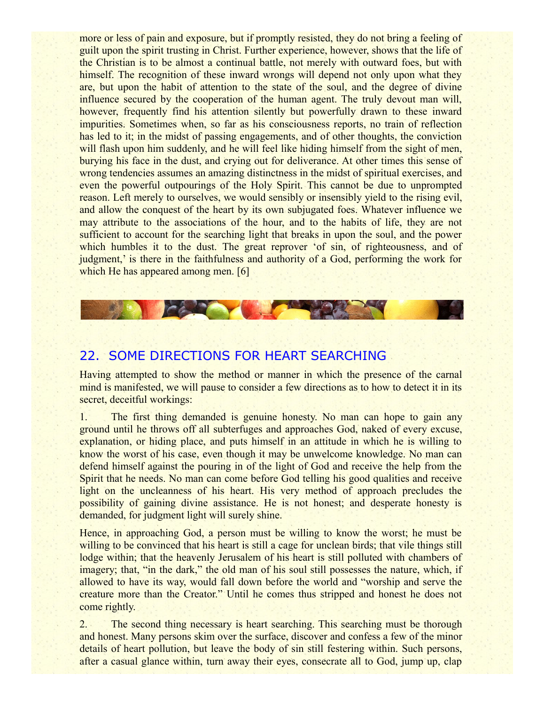more or less of pain and exposure, but if promptly resisted, they do not bring a feeling of guilt upon the spirit trusting in Christ. Further experience, however, shows that the life of the Christian is to be almost a continual battle, not merely with outward foes, but with himself. The recognition of these inward wrongs will depend not only upon what they are, but upon the habit of attention to the state of the soul, and the degree of divine influence secured by the cooperation of the human agent. The truly devout man will, however, frequently find his attention silently but powerfully drawn to these inward impurities. Sometimes when, so far as his consciousness reports, no train of reflection has led to it; in the midst of passing engagements, and of other thoughts, the conviction will flash upon him suddenly, and he will feel like hiding himself from the sight of men, burying his face in the dust, and crying out for deliverance. At other times this sense of wrong tendencies assumes an amazing distinctness in the midst of spiritual exercises, and even the powerful outpourings of the Holy Spirit. This cannot be due to unprompted reason. Left merely to ourselves, we would sensibly or insensibly yield to the rising evil, and allow the conquest of the heart by its own subjugated foes. Whatever influence we may attribute to the associations of the hour, and to the habits of life, they are not sufficient to account for the searching light that breaks in upon the soul, and the power which humbles it to the dust. The great reprover 'of sin, of righteousness, and of judgment,' is there in the faithfulness and authority of a God, performing the work for which He has appeared among men. [6]

### 22. SOME DIRECTIONS FOR HEART SEARCHING

**CERTA** 

Having attempted to show the method or manner in which the presence of the carnal mind is manifested, we will pause to consider a few directions as to how to detect it in its secret, deceitful workings:

1. The first thing demanded is genuine honesty. No man can hope to gain any ground until he throws off all subterfuges and approaches God, naked of every excuse, explanation, or hiding place, and puts himself in an attitude in which he is willing to know the worst of his case, even though it may be unwelcome knowledge. No man can defend himself against the pouring in of the light of God and receive the help from the Spirit that he needs. No man can come before God telling his good qualities and receive light on the uncleanness of his heart. His very method of approach precludes the possibility of gaining divine assistance. He is not honest; and desperate honesty is demanded, for judgment light will surely shine.

Hence, in approaching God, a person must be willing to know the worst; he must be willing to be convinced that his heart is still a cage for unclean birds; that vile things still lodge within; that the heavenly Jerusalem of his heart is still polluted with chambers of imagery; that, "in the dark," the old man of his soul still possesses the nature, which, if allowed to have its way, would fall down before the world and "worship and serve the creature more than the Creator." Until he comes thus stripped and honest he does not come rightly.

2. The second thing necessary is heart searching. This searching must be thorough and honest. Many persons skim over the surface, discover and confess a few of the minor details of heart pollution, but leave the body of sin still festering within. Such persons, after a casual glance within, turn away their eyes, consecrate all to God, jump up, clap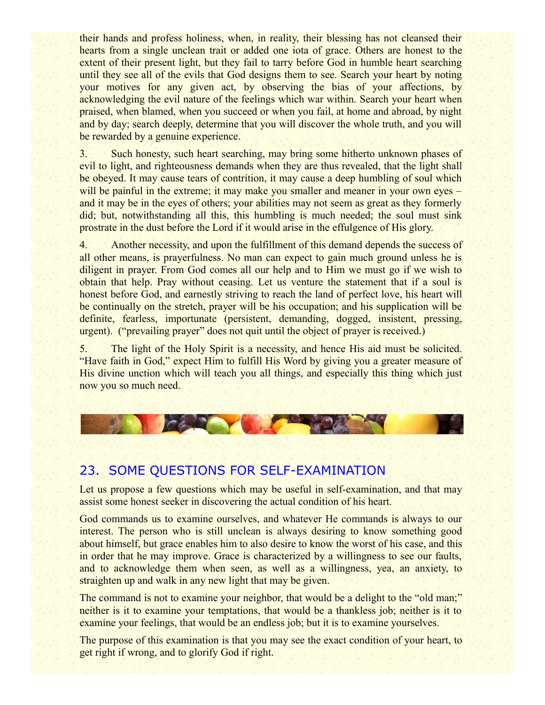their hands and profess holiness, when, in reality, their blessing has not cleansed their hearts from a single unclean trait or added one iota of grace. Others are honest to the extent of their present light, but they fail to tarry before God in humble heart searching until they see all of the evils that God designs them to see. Search your heart by noting your motives for any given act, by observing the bias of your affections, by acknowledging the evil nature of the feelings which war within. Search your heart when praised, when blamed, when you succeed or when you fail, at home and abroad, by night and by day; search deeply, determine that you will discover the whole truth, and you will be rewarded by a genuine experience.

3. Such honesty, such heart searching, may bring some hitherto unknown phases of evil to light, and righteousness demands when they are thus revealed, that the light shall be obeyed. It may cause tears of contrition, it may cause a deep humbling of soul which will be painful in the extreme; it may make you smaller and meaner in your own eyes – and it may be in the eyes of others; your abilities may not seem as great as they formerly did; but, notwithstanding all this, this humbling is much needed; the soul must sink prostrate in the dust before the Lord if it would arise in the effulgence of His glory.

4. Another necessity, and upon the fulfillment of this demand depends the success of all other means, is prayerfulness. No man can expect to gain much ground unless he is diligent in prayer. From God comes all our help and to Him we must go if we wish to obtain that help. Pray without ceasing. Let us venture the statement that if a soul is honest before God, and earnestly striving to reach the land of perfect love, his heart will be continually on the stretch, prayer will be his occupation; and his supplication will be definite, fearless, importunate (persistent, demanding, dogged, insistent, pressing, urgent). ("prevailing prayer" does not quit until the object of prayer is received.)

5. The light of the Holy Spirit is a necessity, and hence His aid must be solicited. "Have faith in God," expect Him to fulfill His Word by giving you a greater measure of His divine unction which will teach you all things, and especially this thing which just now you so much need.

### 23. SOME QUESTIONS FOR SELF-EXAMINATION

CAR THE

Let us propose a few questions which may be useful in self-examination, and that may assist some honest seeker in discovering the actual condition of his heart.

God commands us to examine ourselves, and whatever He commands is always to our interest. The person who is still unclean is always desiring to know something good about himself, but grace enables him to also desire to know the worst of his case, and this in order that he may improve. Grace is characterized by a willingness to see our faults, and to acknowledge them when seen, as well as a willingness, yea, an anxiety, to straighten up and walk in any new light that may be given.

The command is not to examine your neighbor, that would be a delight to the "old man;" neither is it to examine your temptations, that would be a thankless job; neither is it to examine your feelings, that would be an endless job; but it is to examine yourselves.

The purpose of this examination is that you may see the exact condition of your heart, to get right if wrong, and to glorify God if right.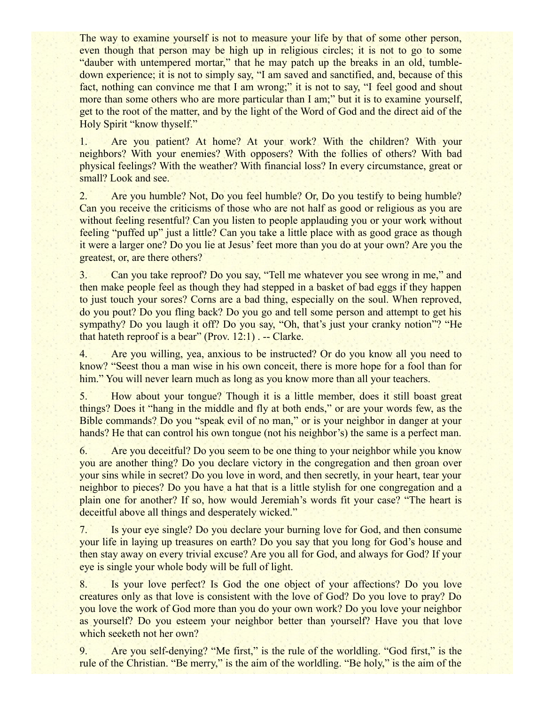The way to examine yourself is not to measure your life by that of some other person, even though that person may be high up in religious circles; it is not to go to some "dauber with untempered mortar," that he may patch up the breaks in an old, tumbledown experience; it is not to simply say, "I am saved and sanctified, and, because of this fact, nothing can convince me that I am wrong;" it is not to say, "I feel good and shout more than some others who are more particular than I am;" but it is to examine yourself, get to the root of the matter, and by the light of the Word of God and the direct aid of the Holy Spirit "know thyself."

1. Are you patient? At home? At your work? With the children? With your neighbors? With your enemies? With opposers? With the follies of others? With bad physical feelings? With the weather? With financial loss? In every circumstance, great or small? Look and see.

2. Are you humble? Not, Do you feel humble? Or, Do you testify to being humble? Can you receive the criticisms of those who are not half as good or religious as you are without feeling resentful? Can you listen to people applauding you or your work without feeling "puffed up" just a little? Can you take a little place with as good grace as though it were a larger one? Do you lie at Jesus' feet more than you do at your own? Are you the greatest, or, are there others?

3. Can you take reproof? Do you say, "Tell me whatever you see wrong in me," and then make people feel as though they had stepped in a basket of bad eggs if they happen to just touch your sores? Corns are a bad thing, especially on the soul. When reproved, do you pout? Do you fling back? Do you go and tell some person and attempt to get his sympathy? Do you laugh it off? Do you say, "Oh, that's just your cranky notion"? "He that hateth reproof is a bear" (Prov. 12:1) . -- Clarke.

4. Are you willing, yea, anxious to be instructed? Or do you know all you need to know? "Seest thou a man wise in his own conceit, there is more hope for a fool than for him." You will never learn much as long as you know more than all your teachers.

5. How about your tongue? Though it is a little member, does it still boast great things? Does it "hang in the middle and fly at both ends," or are your words few, as the Bible commands? Do you "speak evil of no man," or is your neighbor in danger at your hands? He that can control his own tongue (not his neighbor's) the same is a perfect man.

6. Are you deceitful? Do you seem to be one thing to your neighbor while you know you are another thing? Do you declare victory in the congregation and then groan over your sins while in secret? Do you love in word, and then secretly, in your heart, tear your neighbor to pieces? Do you have a hat that is a little stylish for one congregation and a plain one for another? If so, how would Jeremiah's words fit your case? "The heart is deceitful above all things and desperately wicked."

7. Is your eye single? Do you declare your burning love for God, and then consume your life in laying up treasures on earth? Do you say that you long for God's house and then stay away on every trivial excuse? Are you all for God, and always for God? If your eye is single your whole body will be full of light.

8. Is your love perfect? Is God the one object of your affections? Do you love creatures only as that love is consistent with the love of God? Do you love to pray? Do you love the work of God more than you do your own work? Do you love your neighbor as yourself? Do you esteem your neighbor better than yourself? Have you that love which seeketh not her own?

9. Are you self-denying? "Me first," is the rule of the worldling. "God first," is the rule of the Christian. "Be merry," is the aim of the worldling. "Be holy," is the aim of the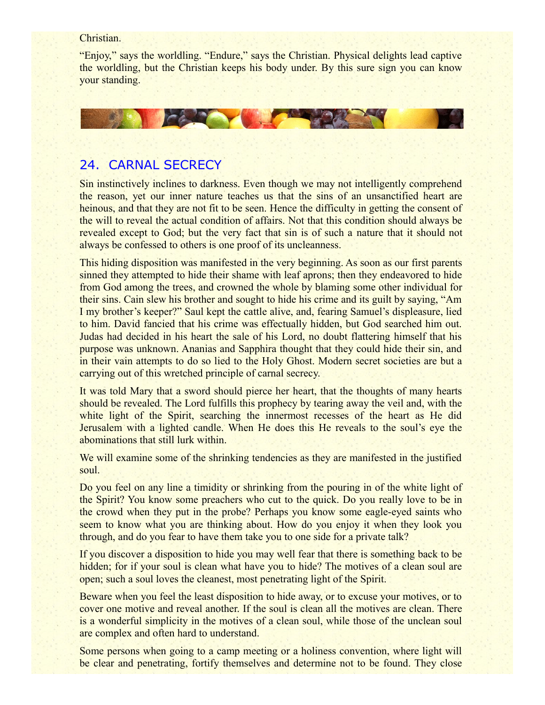#### Christian.

"Enjoy," says the worldling. "Endure," says the Christian. Physical delights lead captive the worldling, but the Christian keeps his body under. By this sure sign you can know your standing.



### 24. CARNAL SECRECY

Sin instinctively inclines to darkness. Even though we may not intelligently comprehend the reason, yet our inner nature teaches us that the sins of an unsanctified heart are heinous, and that they are not fit to be seen. Hence the difficulty in getting the consent of the will to reveal the actual condition of affairs. Not that this condition should always be revealed except to God; but the very fact that sin is of such a nature that it should not always be confessed to others is one proof of its uncleanness.

This hiding disposition was manifested in the very beginning. As soon as our first parents sinned they attempted to hide their shame with leaf aprons; then they endeavored to hide from God among the trees, and crowned the whole by blaming some other individual for their sins. Cain slew his brother and sought to hide his crime and its guilt by saying, "Am I my brother's keeper?" Saul kept the cattle alive, and, fearing Samuel's displeasure, lied to him. David fancied that his crime was effectually hidden, but God searched him out. Judas had decided in his heart the sale of his Lord, no doubt flattering himself that his purpose was unknown. Ananias and Sapphira thought that they could hide their sin, and in their vain attempts to do so lied to the Holy Ghost. Modern secret societies are but a carrying out of this wretched principle of carnal secrecy.

It was told Mary that a sword should pierce her heart, that the thoughts of many hearts should be revealed. The Lord fulfills this prophecy by tearing away the veil and, with the white light of the Spirit, searching the innermost recesses of the heart as He did Jerusalem with a lighted candle. When He does this He reveals to the soul's eye the abominations that still lurk within.

We will examine some of the shrinking tendencies as they are manifested in the justified soul.

Do you feel on any line a timidity or shrinking from the pouring in of the white light of the Spirit? You know some preachers who cut to the quick. Do you really love to be in the crowd when they put in the probe? Perhaps you know some eagle-eyed saints who seem to know what you are thinking about. How do you enjoy it when they look you through, and do you fear to have them take you to one side for a private talk?

If you discover a disposition to hide you may well fear that there is something back to be hidden; for if your soul is clean what have you to hide? The motives of a clean soul are open; such a soul loves the cleanest, most penetrating light of the Spirit.

Beware when you feel the least disposition to hide away, or to excuse your motives, or to cover one motive and reveal another. If the soul is clean all the motives are clean. There is a wonderful simplicity in the motives of a clean soul, while those of the unclean soul are complex and often hard to understand.

Some persons when going to a camp meeting or a holiness convention, where light will be clear and penetrating, fortify themselves and determine not to be found. They close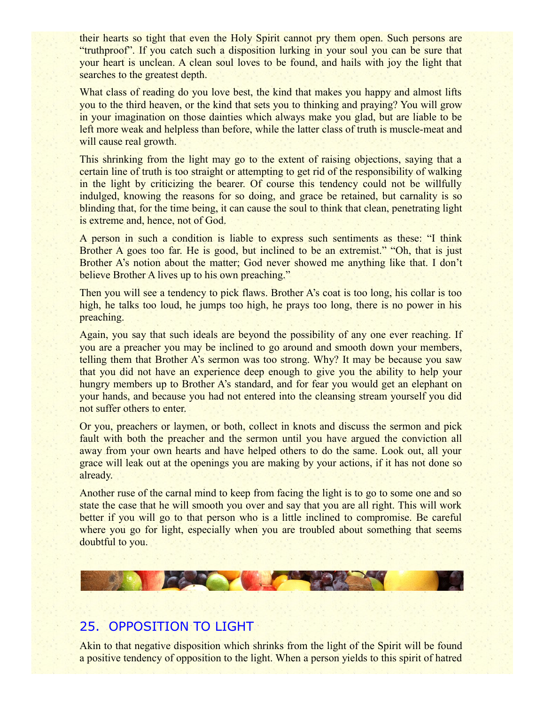their hearts so tight that even the Holy Spirit cannot pry them open. Such persons are "truthproof". If you catch such a disposition lurking in your soul you can be sure that your heart is unclean. A clean soul loves to be found, and hails with joy the light that searches to the greatest depth.

What class of reading do you love best, the kind that makes you happy and almost lifts you to the third heaven, or the kind that sets you to thinking and praying? You will grow in your imagination on those dainties which always make you glad, but are liable to be left more weak and helpless than before, while the latter class of truth is muscle-meat and will cause real growth.

This shrinking from the light may go to the extent of raising objections, saying that a certain line of truth is too straight or attempting to get rid of the responsibility of walking in the light by criticizing the bearer. Of course this tendency could not be willfully indulged, knowing the reasons for so doing, and grace be retained, but carnality is so blinding that, for the time being, it can cause the soul to think that clean, penetrating light is extreme and, hence, not of God.

A person in such a condition is liable to express such sentiments as these: "I think Brother A goes too far. He is good, but inclined to be an extremist." "Oh, that is just Brother A's notion about the matter; God never showed me anything like that. I don't believe Brother A lives up to his own preaching."

Then you will see a tendency to pick flaws. Brother A's coat is too long, his collar is too high, he talks too loud, he jumps too high, he prays too long, there is no power in his preaching.

Again, you say that such ideals are beyond the possibility of any one ever reaching. If you are a preacher you may be inclined to go around and smooth down your members, telling them that Brother A's sermon was too strong. Why? It may be because you saw that you did not have an experience deep enough to give you the ability to help your hungry members up to Brother A's standard, and for fear you would get an elephant on your hands, and because you had not entered into the cleansing stream yourself you did not suffer others to enter.

Or you, preachers or laymen, or both, collect in knots and discuss the sermon and pick fault with both the preacher and the sermon until you have argued the conviction all away from your own hearts and have helped others to do the same. Look out, all your grace will leak out at the openings you are making by your actions, if it has not done so already.

Another ruse of the carnal mind to keep from facing the light is to go to some one and so state the case that he will smooth you over and say that you are all right. This will work better if you will go to that person who is a little inclined to compromise. Be careful where you go for light, especially when you are troubled about something that seems doubtful to you.



### 25. OPPOSITION TO LIGHT

Akin to that negative disposition which shrinks from the light of the Spirit will be found a positive tendency of opposition to the light. When a person yields to this spirit of hatred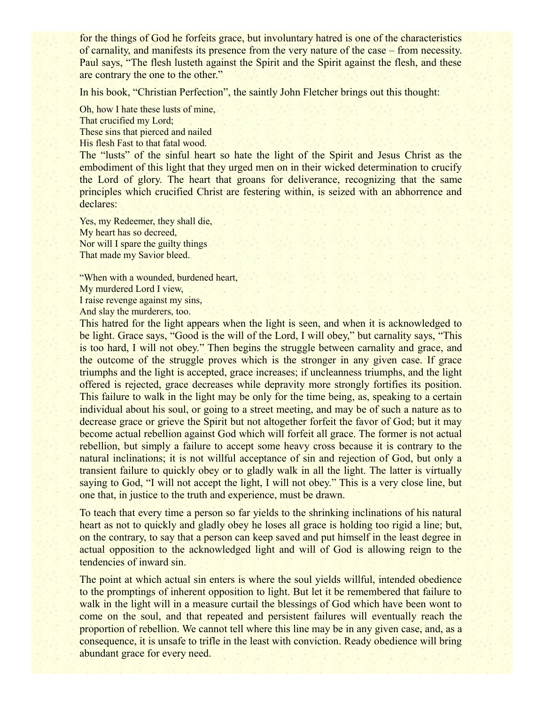for the things of God he forfeits grace, but involuntary hatred is one of the characteristics of carnality, and manifests its presence from the very nature of the case – from necessity. Paul says, "The flesh lusteth against the Spirit and the Spirit against the flesh, and these are contrary the one to the other."

In his book, "Christian Perfection", the saintly John Fletcher brings out this thought:

Oh, how I hate these lusts of mine, That crucified my Lord; These sins that pierced and nailed His flesh Fast to that fatal wood.

The "lusts" of the sinful heart so hate the light of the Spirit and Jesus Christ as the embodiment of this light that they urged men on in their wicked determination to crucify the Lord of glory. The heart that groans for deliverance, recognizing that the same principles which crucified Christ are festering within, is seized with an abhorrence and declares:

Yes, my Redeemer, they shall die, My heart has so decreed, Nor will I spare the guilty things That made my Savior bleed.

"When with a wounded, burdened heart, My murdered Lord I view, I raise revenge against my sins,

And slay the murderers, too.

This hatred for the light appears when the light is seen, and when it is acknowledged to be light. Grace says, "Good is the will of the Lord, I will obey," but carnality says, "This is too hard, I will not obey." Then begins the struggle between carnality and grace, and the outcome of the struggle proves which is the stronger in any given case. If grace triumphs and the light is accepted, grace increases; if uncleanness triumphs, and the light offered is rejected, grace decreases while depravity more strongly fortifies its position. This failure to walk in the light may be only for the time being, as, speaking to a certain individual about his soul, or going to a street meeting, and may be of such a nature as to decrease grace or grieve the Spirit but not altogether forfeit the favor of God; but it may become actual rebellion against God which will forfeit all grace. The former is not actual rebellion, but simply a failure to accept some heavy cross because it is contrary to the natural inclinations; it is not willful acceptance of sin and rejection of God, but only a transient failure to quickly obey or to gladly walk in all the light. The latter is virtually saying to God, "I will not accept the light, I will not obey." This is a very close line, but one that, in justice to the truth and experience, must be drawn.

To teach that every time a person so far yields to the shrinking inclinations of his natural heart as not to quickly and gladly obey he loses all grace is holding too rigid a line; but, on the contrary, to say that a person can keep saved and put himself in the least degree in actual opposition to the acknowledged light and will of God is allowing reign to the tendencies of inward sin.

The point at which actual sin enters is where the soul yields willful, intended obedience to the promptings of inherent opposition to light. But let it be remembered that failure to walk in the light will in a measure curtail the blessings of God which have been wont to come on the soul, and that repeated and persistent failures will eventually reach the proportion of rebellion. We cannot tell where this line may be in any given case, and, as a consequence, it is unsafe to trifle in the least with conviction. Ready obedience will bring abundant grace for every need.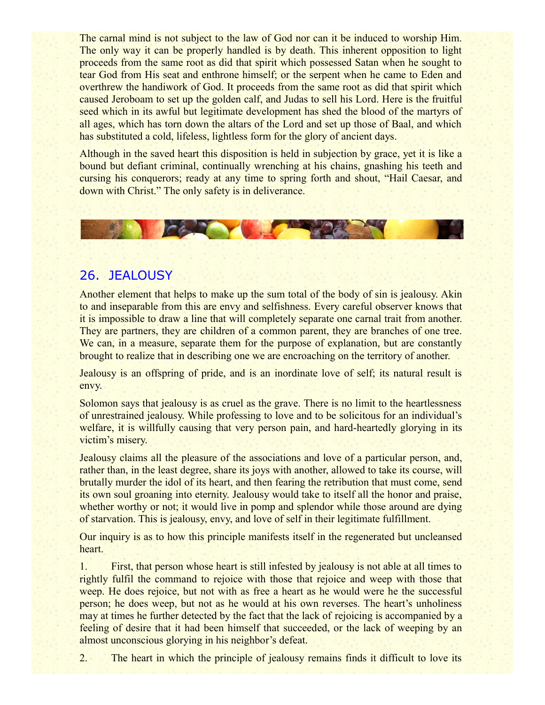The carnal mind is not subject to the law of God nor can it be induced to worship Him. The only way it can be properly handled is by death. This inherent opposition to light proceeds from the same root as did that spirit which possessed Satan when he sought to tear God from His seat and enthrone himself; or the serpent when he came to Eden and overthrew the handiwork of God. It proceeds from the same root as did that spirit which caused Jeroboam to set up the golden calf, and Judas to sell his Lord. Here is the fruitful seed which in its awful but legitimate development has shed the blood of the martyrs of all ages, which has torn down the altars of the Lord and set up those of Baal, and which has substituted a cold, lifeless, lightless form for the glory of ancient days.

Although in the saved heart this disposition is held in subjection by grace, yet it is like a bound but defiant criminal, continually wrenching at his chains, gnashing his teeth and cursing his conquerors; ready at any time to spring forth and shout, "Hail Caesar, and down with Christ." The only safety is in deliverance.



### 26. JEALOUSY

Another element that helps to make up the sum total of the body of sin is jealousy. Akin to and inseparable from this are envy and selfishness. Every careful observer knows that it is impossible to draw a line that will completely separate one carnal trait from another. They are partners, they are children of a common parent, they are branches of one tree. We can, in a measure, separate them for the purpose of explanation, but are constantly brought to realize that in describing one we are encroaching on the territory of another.

Jealousy is an offspring of pride, and is an inordinate love of self; its natural result is envy.

Solomon says that jealousy is as cruel as the grave. There is no limit to the heartlessness of unrestrained jealousy. While professing to love and to be solicitous for an individual's welfare, it is willfully causing that very person pain, and hard-heartedly glorying in its victim's misery.

Jealousy claims all the pleasure of the associations and love of a particular person, and, rather than, in the least degree, share its joys with another, allowed to take its course, will brutally murder the idol of its heart, and then fearing the retribution that must come, send its own soul groaning into eternity. Jealousy would take to itself all the honor and praise, whether worthy or not; it would live in pomp and splendor while those around are dying of starvation. This is jealousy, envy, and love of self in their legitimate fulfillment.

Our inquiry is as to how this principle manifests itself in the regenerated but uncleansed heart.

1. First, that person whose heart is still infested by jealousy is not able at all times to rightly fulfil the command to rejoice with those that rejoice and weep with those that weep. He does rejoice, but not with as free a heart as he would were he the successful person; he does weep, but not as he would at his own reverses. The heart's unholiness may at times he further detected by the fact that the lack of rejoicing is accompanied by a feeling of desire that it had been himself that succeeded, or the lack of weeping by an almost unconscious glorying in his neighbor's defeat.

2. The heart in which the principle of jealousy remains finds it difficult to love its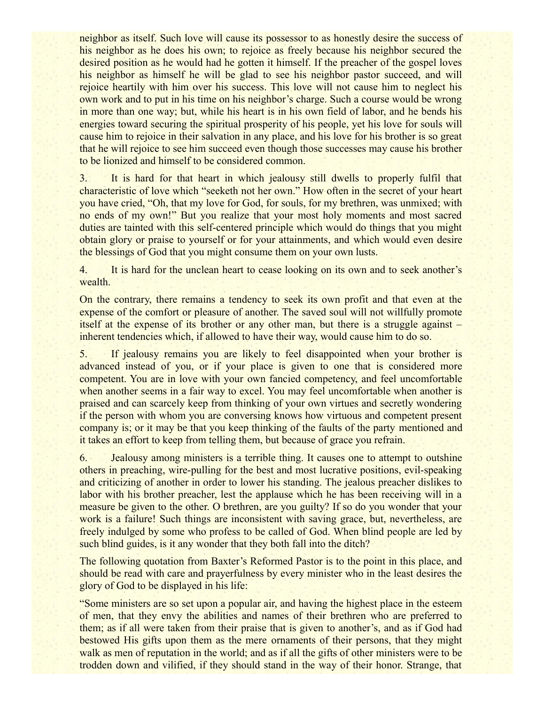neighbor as itself. Such love will cause its possessor to as honestly desire the success of his neighbor as he does his own; to rejoice as freely because his neighbor secured the desired position as he would had he gotten it himself. If the preacher of the gospel loves his neighbor as himself he will be glad to see his neighbor pastor succeed, and will rejoice heartily with him over his success. This love will not cause him to neglect his own work and to put in his time on his neighbor's charge. Such a course would be wrong in more than one way; but, while his heart is in his own field of labor, and he bends his energies toward securing the spiritual prosperity of his people, yet his love for souls will cause him to rejoice in their salvation in any place, and his love for his brother is so great that he will rejoice to see him succeed even though those successes may cause his brother to be lionized and himself to be considered common.

3. It is hard for that heart in which jealousy still dwells to properly fulfil that characteristic of love which "seeketh not her own." How often in the secret of your heart you have cried, "Oh, that my love for God, for souls, for my brethren, was unmixed; with no ends of my own!" But you realize that your most holy moments and most sacred duties are tainted with this self-centered principle which would do things that you might obtain glory or praise to yourself or for your attainments, and which would even desire the blessings of God that you might consume them on your own lusts.

4. It is hard for the unclean heart to cease looking on its own and to seek another's wealth.

On the contrary, there remains a tendency to seek its own profit and that even at the expense of the comfort or pleasure of another. The saved soul will not willfully promote itself at the expense of its brother or any other man, but there is a struggle against – inherent tendencies which, if allowed to have their way, would cause him to do so.

5. If jealousy remains you are likely to feel disappointed when your brother is advanced instead of you, or if your place is given to one that is considered more competent. You are in love with your own fancied competency, and feel uncomfortable when another seems in a fair way to excel. You may feel uncomfortable when another is praised and can scarcely keep from thinking of your own virtues and secretly wondering if the person with whom you are conversing knows how virtuous and competent present company is; or it may be that you keep thinking of the faults of the party mentioned and it takes an effort to keep from telling them, but because of grace you refrain.

6. Jealousy among ministers is a terrible thing. It causes one to attempt to outshine others in preaching, wire-pulling for the best and most lucrative positions, evil-speaking and criticizing of another in order to lower his standing. The jealous preacher dislikes to labor with his brother preacher, lest the applause which he has been receiving will in a measure be given to the other. O brethren, are you guilty? If so do you wonder that your work is a failure! Such things are inconsistent with saving grace, but, nevertheless, are freely indulged by some who profess to be called of God. When blind people are led by such blind guides, is it any wonder that they both fall into the ditch?

The following quotation from Baxter's Reformed Pastor is to the point in this place, and should be read with care and prayerfulness by every minister who in the least desires the glory of God to be displayed in his life:

"Some ministers are so set upon a popular air, and having the highest place in the esteem of men, that they envy the abilities and names of their brethren who are preferred to them; as if all were taken from their praise that is given to another's, and as if God had bestowed His gifts upon them as the mere ornaments of their persons, that they might walk as men of reputation in the world; and as if all the gifts of other ministers were to be trodden down and vilified, if they should stand in the way of their honor. Strange, that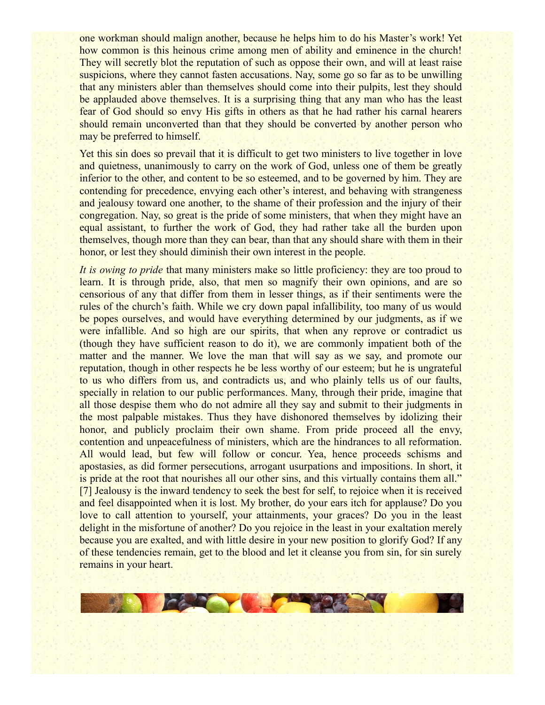one workman should malign another, because he helps him to do his Master's work! Yet how common is this heinous crime among men of ability and eminence in the church! They will secretly blot the reputation of such as oppose their own, and will at least raise suspicions, where they cannot fasten accusations. Nay, some go so far as to be unwilling that any ministers abler than themselves should come into their pulpits, lest they should be applauded above themselves. It is a surprising thing that any man who has the least fear of God should so envy His gifts in others as that he had rather his carnal hearers should remain unconverted than that they should be converted by another person who may be preferred to himself.

Yet this sin does so prevail that it is difficult to get two ministers to live together in love and quietness, unanimously to carry on the work of God, unless one of them be greatly inferior to the other, and content to be so esteemed, and to be governed by him. They are contending for precedence, envying each other's interest, and behaving with strangeness and jealousy toward one another, to the shame of their profession and the injury of their congregation. Nay, so great is the pride of some ministers, that when they might have an equal assistant, to further the work of God, they had rather take all the burden upon themselves, though more than they can bear, than that any should share with them in their honor, or lest they should diminish their own interest in the people.

*It is owing to pride* that many ministers make so little proficiency: they are too proud to learn. It is through pride, also, that men so magnify their own opinions, and are so censorious of any that differ from them in lesser things, as if their sentiments were the rules of the church's faith. While we cry down papal infallibility, too many of us would be popes ourselves, and would have everything determined by our judgments, as if we were infallible. And so high are our spirits, that when any reprove or contradict us (though they have sufficient reason to do it), we are commonly impatient both of the matter and the manner. We love the man that will say as we say, and promote our reputation, though in other respects he be less worthy of our esteem; but he is ungrateful to us who differs from us, and contradicts us, and who plainly tells us of our faults, specially in relation to our public performances. Many, through their pride, imagine that all those despise them who do not admire all they say and submit to their judgments in the most palpable mistakes. Thus they have dishonored themselves by idolizing their honor, and publicly proclaim their own shame. From pride proceed all the envy, contention and unpeacefulness of ministers, which are the hindrances to all reformation. All would lead, but few will follow or concur. Yea, hence proceeds schisms and apostasies, as did former persecutions, arrogant usurpations and impositions. In short, it is pride at the root that nourishes all our other sins, and this virtually contains them all." [7] Jealousy is the inward tendency to seek the best for self, to rejoice when it is received and feel disappointed when it is lost. My brother, do your ears itch for applause? Do you love to call attention to yourself, your attainments, your graces? Do you in the least delight in the misfortune of another? Do you rejoice in the least in your exaltation merely because you are exalted, and with little desire in your new position to glorify God? If any of these tendencies remain, get to the blood and let it cleanse you from sin, for sin surely remains in your heart.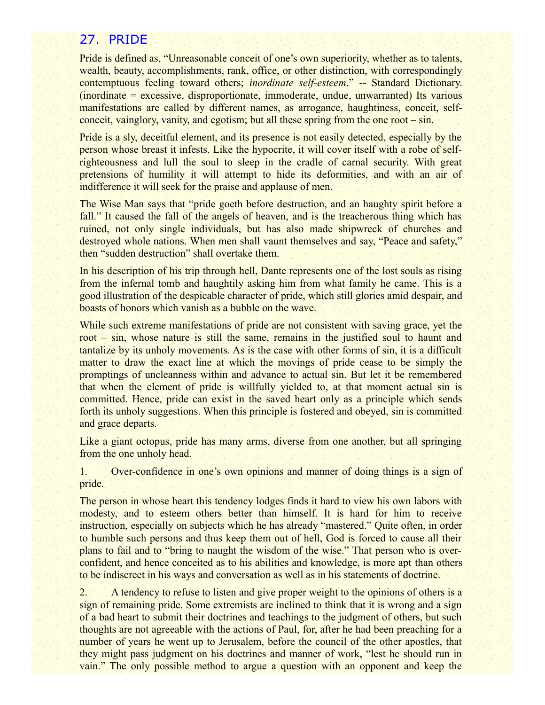### 27. PRIDE

Pride is defined as, "Unreasonable conceit of one's own superiority, whether as to talents, wealth, beauty, accomplishments, rank, office, or other distinction, with correspondingly contemptuous feeling toward others; *inordinate self-esteem*." -- Standard Dictionary. (inordinate = excessive, disproportionate, immoderate, undue, unwarranted) Its various manifestations are called by different names, as arrogance, haughtiness, conceit, selfconceit, vainglory, vanity, and egotism; but all these spring from the one root – sin.

Pride is a sly, deceitful element, and its presence is not easily detected, especially by the person whose breast it infests. Like the hypocrite, it will cover itself with a robe of selfrighteousness and lull the soul to sleep in the cradle of carnal security. With great pretensions of humility it will attempt to hide its deformities, and with an air of indifference it will seek for the praise and applause of men.

The Wise Man says that "pride goeth before destruction, and an haughty spirit before a fall." It caused the fall of the angels of heaven, and is the treacherous thing which has ruined, not only single individuals, but has also made shipwreck of churches and destroyed whole nations. When men shall vaunt themselves and say, "Peace and safety," then "sudden destruction" shall overtake them.

In his description of his trip through hell, Dante represents one of the lost souls as rising from the infernal tomb and haughtily asking him from what family he came. This is a good illustration of the despicable character of pride, which still glories amid despair, and boasts of honors which vanish as a bubble on the wave.

While such extreme manifestations of pride are not consistent with saving grace, yet the root – sin, whose nature is still the same, remains in the justified soul to haunt and tantalize by its unholy movements. As is the case with other forms of sin, it is a difficult matter to draw the exact line at which the movings of pride cease to be simply the promptings of uncleanness within and advance to actual sin. But let it be remembered that when the element of pride is willfully yielded to, at that moment actual sin is committed. Hence, pride can exist in the saved heart only as a principle which sends forth its unholy suggestions. When this principle is fostered and obeyed, sin is committed and grace departs.

Like a giant octopus, pride has many arms, diverse from one another, but all springing from the one unholy head.

1. Over-confidence in one's own opinions and manner of doing things is a sign of pride.

The person in whose heart this tendency lodges finds it hard to view his own labors with modesty, and to esteem others better than himself. It is hard for him to receive instruction, especially on subjects which he has already "mastered." Quite often, in order to humble such persons and thus keep them out of hell, God is forced to cause all their plans to fail and to "bring to naught the wisdom of the wise." That person who is overconfident, and hence conceited as to his abilities and knowledge, is more apt than others to be indiscreet in his ways and conversation as well as in his statements of doctrine.

2. A tendency to refuse to listen and give proper weight to the opinions of others is a sign of remaining pride. Some extremists are inclined to think that it is wrong and a sign of a bad heart to submit their doctrines and teachings to the judgment of others, but such thoughts are not agreeable with the actions of Paul, for, after he had been preaching for a number of years he went up to Jerusalem, before the council of the other apostles, that they might pass judgment on his doctrines and manner of work, "lest he should run in vain." The only possible method to argue a question with an opponent and keep the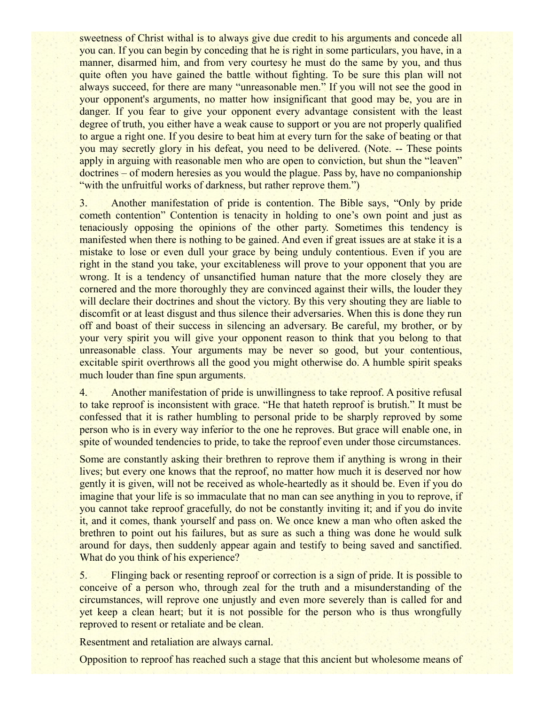sweetness of Christ withal is to always give due credit to his arguments and concede all you can. If you can begin by conceding that he is right in some particulars, you have, in a manner, disarmed him, and from very courtesy he must do the same by you, and thus quite often you have gained the battle without fighting. To be sure this plan will not always succeed, for there are many "unreasonable men." If you will not see the good in your opponent's arguments, no matter how insignificant that good may be, you are in danger. If you fear to give your opponent every advantage consistent with the least degree of truth, you either have a weak cause to support or you are not properly qualified to argue a right one. If you desire to beat him at every turn for the sake of beating or that you may secretly glory in his defeat, you need to be delivered. (Note. -- These points apply in arguing with reasonable men who are open to conviction, but shun the "leaven" doctrines – of modern heresies as you would the plague. Pass by, have no companionship "with the unfruitful works of darkness, but rather reprove them.")

3. Another manifestation of pride is contention. The Bible says, "Only by pride cometh contention" Contention is tenacity in holding to one's own point and just as tenaciously opposing the opinions of the other party. Sometimes this tendency is manifested when there is nothing to be gained. And even if great issues are at stake it is a mistake to lose or even dull your grace by being unduly contentious. Even if you are right in the stand you take, your excitableness will prove to your opponent that you are wrong. It is a tendency of unsanctified human nature that the more closely they are cornered and the more thoroughly they are convinced against their wills, the louder they will declare their doctrines and shout the victory. By this very shouting they are liable to discomfit or at least disgust and thus silence their adversaries. When this is done they run off and boast of their success in silencing an adversary. Be careful, my brother, or by your very spirit you will give your opponent reason to think that you belong to that unreasonable class. Your arguments may be never so good, but your contentious, excitable spirit overthrows all the good you might otherwise do. A humble spirit speaks much louder than fine spun arguments.

4. Another manifestation of pride is unwillingness to take reproof. A positive refusal to take reproof is inconsistent with grace. "He that hateth reproof is brutish." It must be confessed that it is rather humbling to personal pride to be sharply reproved by some person who is in every way inferior to the one he reproves. But grace will enable one, in spite of wounded tendencies to pride, to take the reproof even under those circumstances.

Some are constantly asking their brethren to reprove them if anything is wrong in their lives; but every one knows that the reproof, no matter how much it is deserved nor how gently it is given, will not be received as whole-heartedly as it should be. Even if you do imagine that your life is so immaculate that no man can see anything in you to reprove, if you cannot take reproof gracefully, do not be constantly inviting it; and if you do invite it, and it comes, thank yourself and pass on. We once knew a man who often asked the brethren to point out his failures, but as sure as such a thing was done he would sulk around for days, then suddenly appear again and testify to being saved and sanctified. What do you think of his experience?

5. Flinging back or resenting reproof or correction is a sign of pride. It is possible to conceive of a person who, through zeal for the truth and a misunderstanding of the circumstances, will reprove one unjustly and even more severely than is called for and yet keep a clean heart; but it is not possible for the person who is thus wrongfully reproved to resent or retaliate and be clean.

Resentment and retaliation are always carnal.

Opposition to reproof has reached such a stage that this ancient but wholesome means of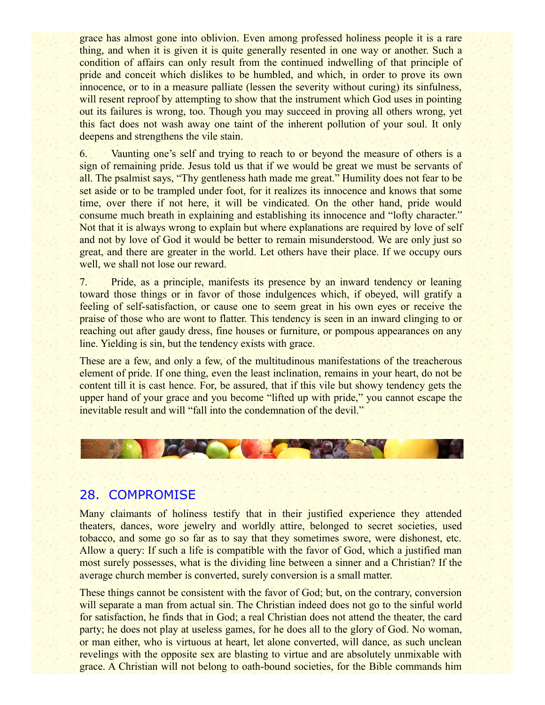grace has almost gone into oblivion. Even among professed holiness people it is a rare thing, and when it is given it is quite generally resented in one way or another. Such a condition of affairs can only result from the continued indwelling of that principle of pride and conceit which dislikes to be humbled, and which, in order to prove its own innocence, or to in a measure palliate (lessen the severity without curing) its sinfulness, will resent reproof by attempting to show that the instrument which God uses in pointing out its failures is wrong, too. Though you may succeed in proving all others wrong, yet this fact does not wash away one taint of the inherent pollution of your soul. It only deepens and strengthens the vile stain.

6. Vaunting one's self and trying to reach to or beyond the measure of others is a sign of remaining pride. Jesus told us that if we would be great we must be servants of all. The psalmist says, "Thy gentleness hath made me great." Humility does not fear to be set aside or to be trampled under foot, for it realizes its innocence and knows that some time, over there if not here, it will be vindicated. On the other hand, pride would consume much breath in explaining and establishing its innocence and "lofty character." Not that it is always wrong to explain but where explanations are required by love of self and not by love of God it would be better to remain misunderstood. We are only just so great, and there are greater in the world. Let others have their place. If we occupy ours well, we shall not lose our reward.

7. Pride, as a principle, manifests its presence by an inward tendency or leaning toward those things or in favor of those indulgences which, if obeyed, will gratify a feeling of self-satisfaction, or cause one to seem great in his own eyes or receive the praise of those who are wont to flatter. This tendency is seen in an inward clinging to or reaching out after gaudy dress, fine houses or furniture, or pompous appearances on any line. Yielding is sin, but the tendency exists with grace.

These are a few, and only a few, of the multitudinous manifestations of the treacherous element of pride. If one thing, even the least inclination, remains in your heart, do not be content till it is cast hence. For, be assured, that if this vile but showy tendency gets the upper hand of your grace and you become "lifted up with pride," you cannot escape the inevitable result and will "fall into the condemnation of the devil."



### 28. COMPROMISE

Many claimants of holiness testify that in their justified experience they attended theaters, dances, wore jewelry and worldly attire, belonged to secret societies, used tobacco, and some go so far as to say that they sometimes swore, were dishonest, etc. Allow a query: If such a life is compatible with the favor of God, which a justified man most surely possesses, what is the dividing line between a sinner and a Christian? If the average church member is converted, surely conversion is a small matter.

These things cannot be consistent with the favor of God; but, on the contrary, conversion will separate a man from actual sin. The Christian indeed does not go to the sinful world for satisfaction, he finds that in God; a real Christian does not attend the theater, the card party; he does not play at useless games, for he does all to the glory of God. No woman, or man either, who is virtuous at heart, let alone converted, will dance, as such unclean revelings with the opposite sex are blasting to virtue and are absolutely unmixable with grace. A Christian will not belong to oath-bound societies, for the Bible commands him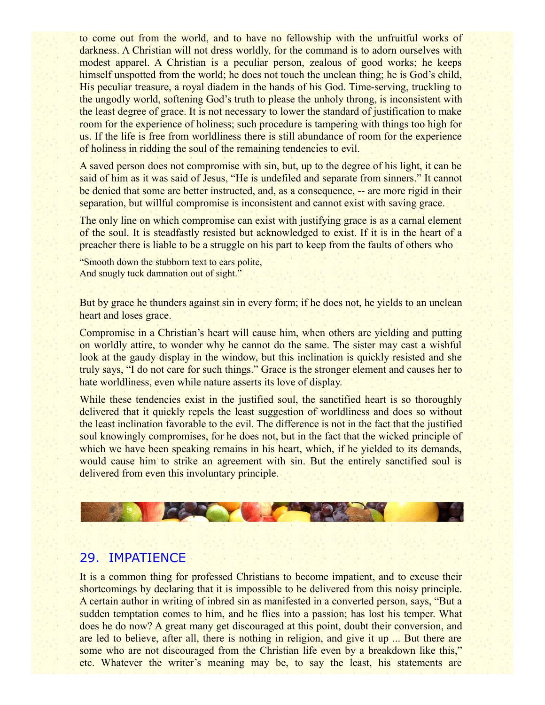to come out from the world, and to have no fellowship with the unfruitful works of darkness. A Christian will not dress worldly, for the command is to adorn ourselves with modest apparel. A Christian is a peculiar person, zealous of good works; he keeps himself unspotted from the world; he does not touch the unclean thing; he is God's child, His peculiar treasure, a royal diadem in the hands of his God. Time-serving, truckling to the ungodly world, softening God's truth to please the unholy throng, is inconsistent with the least degree of grace. It is not necessary to lower the standard of justification to make room for the experience of holiness; such procedure is tampering with things too high for us. If the life is free from worldliness there is still abundance of room for the experience of holiness in ridding the soul of the remaining tendencies to evil.

A saved person does not compromise with sin, but, up to the degree of his light, it can be said of him as it was said of Jesus, "He is undefiled and separate from sinners." It cannot be denied that some are better instructed, and, as a consequence, -- are more rigid in their separation, but willful compromise is inconsistent and cannot exist with saving grace.

The only line on which compromise can exist with justifying grace is as a carnal element of the soul. It is steadfastly resisted but acknowledged to exist. If it is in the heart of a preacher there is liable to be a struggle on his part to keep from the faults of others who

"Smooth down the stubborn text to ears polite, And snugly tuck damnation out of sight."

But by grace he thunders against sin in every form; if he does not, he yields to an unclean heart and loses grace.

Compromise in a Christian's heart will cause him, when others are yielding and putting on worldly attire, to wonder why he cannot do the same. The sister may cast a wishful look at the gaudy display in the window, but this inclination is quickly resisted and she truly says, "I do not care for such things." Grace is the stronger element and causes her to hate worldliness, even while nature asserts its love of display.

While these tendencies exist in the justified soul, the sanctified heart is so thoroughly delivered that it quickly repels the least suggestion of worldliness and does so without the least inclination favorable to the evil. The difference is not in the fact that the justified soul knowingly compromises, for he does not, but in the fact that the wicked principle of which we have been speaking remains in his heart, which, if he yielded to its demands, would cause him to strike an agreement with sin. But the entirely sanctified soul is delivered from even this involuntary principle.



### 29. IMPATIENCE

It is a common thing for professed Christians to become impatient, and to excuse their shortcomings by declaring that it is impossible to be delivered from this noisy principle. A certain author in writing of inbred sin as manifested in a converted person, says, "But a sudden temptation comes to him, and he flies into a passion; has lost his temper. What does he do now? A great many get discouraged at this point, doubt their conversion, and are led to believe, after all, there is nothing in religion, and give it up ... But there are some who are not discouraged from the Christian life even by a breakdown like this," etc. Whatever the writer's meaning may be, to say the least, his statements are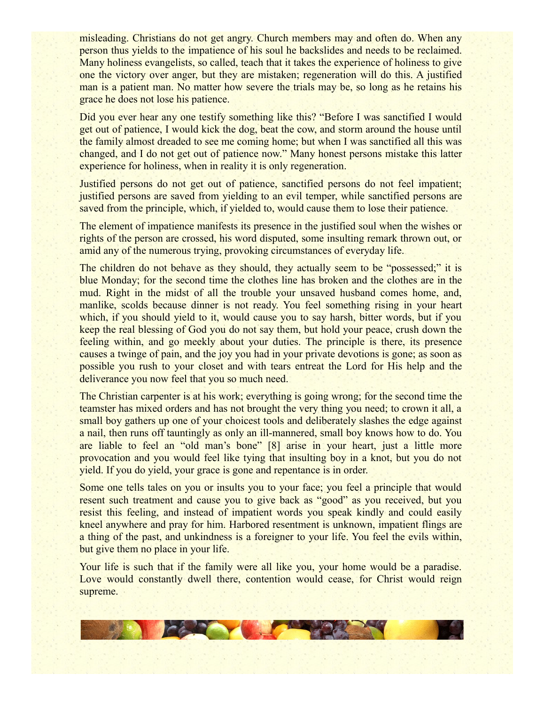misleading. Christians do not get angry. Church members may and often do. When any person thus yields to the impatience of his soul he backslides and needs to be reclaimed. Many holiness evangelists, so called, teach that it takes the experience of holiness to give one the victory over anger, but they are mistaken; regeneration will do this. A justified man is a patient man. No matter how severe the trials may be, so long as he retains his grace he does not lose his patience.

Did you ever hear any one testify something like this? "Before I was sanctified I would get out of patience, I would kick the dog, beat the cow, and storm around the house until the family almost dreaded to see me coming home; but when I was sanctified all this was changed, and I do not get out of patience now." Many honest persons mistake this latter experience for holiness, when in reality it is only regeneration.

Justified persons do not get out of patience, sanctified persons do not feel impatient; justified persons are saved from yielding to an evil temper, while sanctified persons are saved from the principle, which, if yielded to, would cause them to lose their patience.

The element of impatience manifests its presence in the justified soul when the wishes or rights of the person are crossed, his word disputed, some insulting remark thrown out, or amid any of the numerous trying, provoking circumstances of everyday life.

The children do not behave as they should, they actually seem to be "possessed;" it is blue Monday; for the second time the clothes line has broken and the clothes are in the mud. Right in the midst of all the trouble your unsaved husband comes home, and, manlike, scolds because dinner is not ready. You feel something rising in your heart which, if you should yield to it, would cause you to say harsh, bitter words, but if you keep the real blessing of God you do not say them, but hold your peace, crush down the feeling within, and go meekly about your duties. The principle is there, its presence causes a twinge of pain, and the joy you had in your private devotions is gone; as soon as possible you rush to your closet and with tears entreat the Lord for His help and the deliverance you now feel that you so much need.

The Christian carpenter is at his work; everything is going wrong; for the second time the teamster has mixed orders and has not brought the very thing you need; to crown it all, a small boy gathers up one of your choicest tools and deliberately slashes the edge against a nail, then runs off tauntingly as only an ill-mannered, small boy knows how to do. You are liable to feel an "old man's bone" [8] arise in your heart, just a little more provocation and you would feel like tying that insulting boy in a knot, but you do not yield. If you do yield, your grace is gone and repentance is in order.

Some one tells tales on you or insults you to your face; you feel a principle that would resent such treatment and cause you to give back as "good" as you received, but you resist this feeling, and instead of impatient words you speak kindly and could easily kneel anywhere and pray for him. Harbored resentment is unknown, impatient flings are a thing of the past, and unkindness is a foreigner to your life. You feel the evils within, but give them no place in your life.

Your life is such that if the family were all like you, your home would be a paradise. Love would constantly dwell there, contention would cease, for Christ would reign supreme.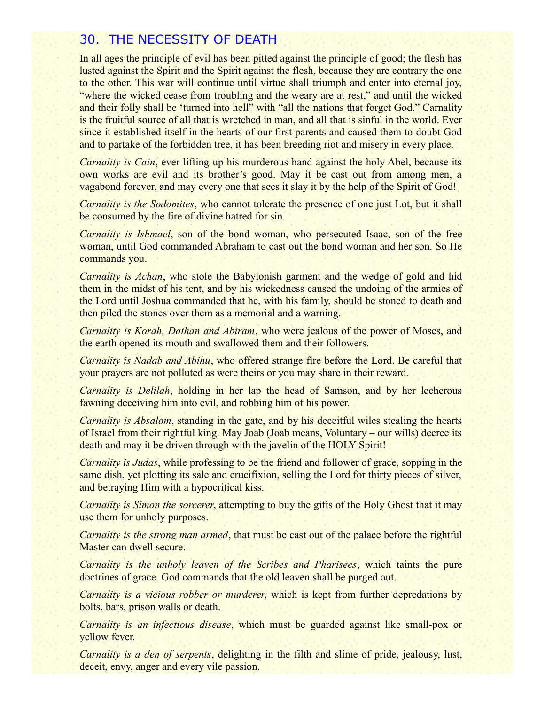### 30. THE NECESSITY OF DEATH

In all ages the principle of evil has been pitted against the principle of good; the flesh has lusted against the Spirit and the Spirit against the flesh, because they are contrary the one to the other. This war will continue until virtue shall triumph and enter into eternal joy, "where the wicked cease from troubling and the weary are at rest," and until the wicked and their folly shall be 'turned into hell" with "all the nations that forget God." Carnality is the fruitful source of all that is wretched in man, and all that is sinful in the world. Ever since it established itself in the hearts of our first parents and caused them to doubt God and to partake of the forbidden tree, it has been breeding riot and misery in every place.

*Carnality is Cain*, ever lifting up his murderous hand against the holy Abel, because its own works are evil and its brother's good. May it be cast out from among men, a vagabond forever, and may every one that sees it slay it by the help of the Spirit of God!

*Carnality is the Sodomites, who cannot tolerate the presence of one just Lot, but it shall* be consumed by the fire of divine hatred for sin.

*Carnality is Ishmael*, son of the bond woman, who persecuted Isaac, son of the free woman, until God commanded Abraham to cast out the bond woman and her son. So He commands you.

*Carnality is Achan*, who stole the Babylonish garment and the wedge of gold and hid them in the midst of his tent, and by his wickedness caused the undoing of the armies of the Lord until Joshua commanded that he, with his family, should be stoned to death and then piled the stones over them as a memorial and a warning.

*Carnality is Korah, Dathan and Abiram*, who were jealous of the power of Moses, and the earth opened its mouth and swallowed them and their followers.

*Carnality is Nadab and Abihu*, who offered strange fire before the Lord. Be careful that your prayers are not polluted as were theirs or you may share in their reward.

*Carnality is Delilah*, holding in her lap the head of Samson, and by her lecherous fawning deceiving him into evil, and robbing him of his power.

*Carnality is Absalom*, standing in the gate, and by his deceitful wiles stealing the hearts of Israel from their rightful king. May Joab (Joab means, Voluntary – our wills) decree its death and may it be driven through with the javelin of the HOLY Spirit!

*Carnality is Judas*, while professing to be the friend and follower of grace, sopping in the same dish, yet plotting its sale and crucifixion, selling the Lord for thirty pieces of silver, and betraying Him with a hypocritical kiss.

*Carnality is Simon the sorcerer*, attempting to buy the gifts of the Holy Ghost that it may use them for unholy purposes.

*Carnality is the strong man armed*, that must be cast out of the palace before the rightful Master can dwell secure.

*Carnality is the unholy leaven of the Scribes and Pharisees*, which taints the pure doctrines of grace. God commands that the old leaven shall be purged out.

*Carnality is a vicious robber or murderer*, which is kept from further depredations by bolts, bars, prison walls or death.

*Carnality is an infectious disease*, which must be guarded against like small-pox or yellow fever.

*Carnality is a den of serpents*, delighting in the filth and slime of pride, jealousy, lust, deceit, envy, anger and every vile passion.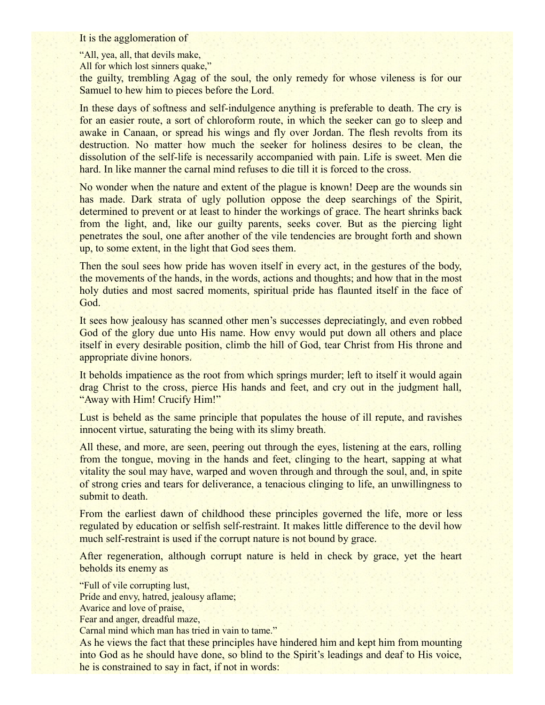It is the agglomeration of

"All, yea, all, that devils make,

All for which lost sinners quake,"

the guilty, trembling Agag of the soul, the only remedy for whose vileness is for our Samuel to hew him to pieces before the Lord.

In these days of softness and self-indulgence anything is preferable to death. The cry is for an easier route, a sort of chloroform route, in which the seeker can go to sleep and awake in Canaan, or spread his wings and fly over Jordan. The flesh revolts from its destruction. No matter how much the seeker for holiness desires to be clean, the dissolution of the self-life is necessarily accompanied with pain. Life is sweet. Men die hard. In like manner the carnal mind refuses to die till it is forced to the cross.

No wonder when the nature and extent of the plague is known! Deep are the wounds sin has made. Dark strata of ugly pollution oppose the deep searchings of the Spirit, determined to prevent or at least to hinder the workings of grace. The heart shrinks back from the light, and, like our guilty parents, seeks cover. But as the piercing light penetrates the soul, one after another of the vile tendencies are brought forth and shown up, to some extent, in the light that God sees them.

Then the soul sees how pride has woven itself in every act, in the gestures of the body, the movements of the hands, in the words, actions and thoughts; and how that in the most holy duties and most sacred moments, spiritual pride has flaunted itself in the face of God.

It sees how jealousy has scanned other men's successes depreciatingly, and even robbed God of the glory due unto His name. How envy would put down all others and place itself in every desirable position, climb the hill of God, tear Christ from His throne and appropriate divine honors.

It beholds impatience as the root from which springs murder; left to itself it would again drag Christ to the cross, pierce His hands and feet, and cry out in the judgment hall, "Away with Him! Crucify Him!"

Lust is beheld as the same principle that populates the house of ill repute, and ravishes innocent virtue, saturating the being with its slimy breath.

All these, and more, are seen, peering out through the eyes, listening at the ears, rolling from the tongue, moving in the hands and feet, clinging to the heart, sapping at what vitality the soul may have, warped and woven through and through the soul, and, in spite of strong cries and tears for deliverance, a tenacious clinging to life, an unwillingness to submit to death.

From the earliest dawn of childhood these principles governed the life, more or less regulated by education or selfish self-restraint. It makes little difference to the devil how much self-restraint is used if the corrupt nature is not bound by grace.

After regeneration, although corrupt nature is held in check by grace, yet the heart beholds its enemy as

"Full of vile corrupting lust, Pride and envy, hatred, jealousy aflame; Avarice and love of praise, Fear and anger, dreadful maze, Carnal mind which man has tried in vain to tame." As he views the fact that these principles have hindered him and kept him from mounting into God as he should have done, so blind to the Spirit's leadings and deaf to His voice, he is constrained to say in fact, if not in words: